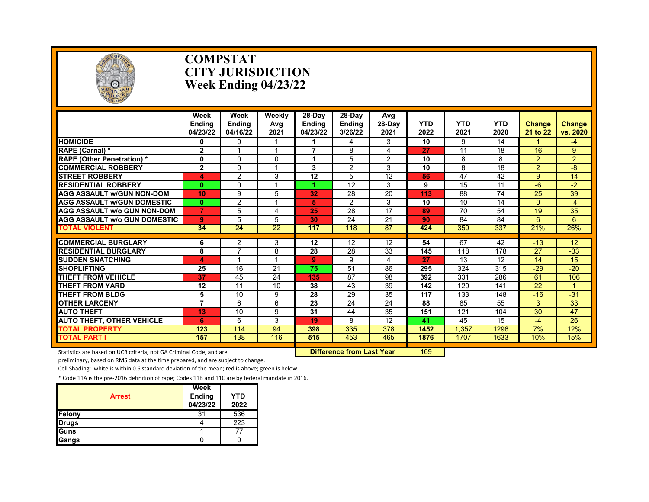

#### **COMPSTAT CITY JURISDICTION Week Ending 04/23/22**

|                                                                     | Week<br><b>Endina</b><br>04/23/22 | Week<br><b>Endina</b><br>04/16/22 | Weekly<br>Avg<br>2021            | 28-Dav<br><b>Endina</b><br>04/23/22 | $28-Dav$<br><b>Endina</b><br>3/26/22 | Avg<br>28-Day<br>2021 | <b>YTD</b><br>2022 | <b>YTD</b><br>2021 | <b>YTD</b><br>2020 | <b>Change</b><br>21 to 22 | Change<br>vs. 2020 |
|---------------------------------------------------------------------|-----------------------------------|-----------------------------------|----------------------------------|-------------------------------------|--------------------------------------|-----------------------|--------------------|--------------------|--------------------|---------------------------|--------------------|
| <b>HOMICIDE</b>                                                     | $\mathbf{0}$                      | $\mathbf{0}$                      |                                  |                                     | 4                                    | 3                     | 10                 | 9                  | 14                 |                           | $-4$               |
| <b>RAPE (Carnal) *</b>                                              | $\mathbf{2}$                      | 1                                 |                                  | $\overline{\phantom{a}}$            | 8                                    | 4                     | 27                 | 11                 | 18                 | 16                        | 9                  |
| <b>RAPE (Other Penetration) *</b>                                   | $\mathbf 0$                       | $\Omega$                          | $\Omega$                         |                                     | 5                                    | $\overline{2}$        | 10                 | 8                  | 8                  | $\overline{2}$            | $\overline{2}$     |
| <b>COMMERCIAL ROBBERY</b>                                           | $\overline{2}$                    | $\Omega$                          |                                  | 3                                   | $\overline{2}$                       | 3                     | 10                 | 8                  | 18                 | $\overline{2}$            | $-8$               |
| <b>STREET ROBBERY</b>                                               | 4                                 | $\overline{2}$                    | 3                                | 12                                  | 5                                    | 12                    | 56                 | 47                 | 42                 | 9                         | 14                 |
| <b>RESIDENTIAL ROBBERY</b>                                          | $\bf{0}$                          | $\Omega$                          |                                  |                                     | $\overline{12}$                      | 3                     | 9                  | $\overline{15}$    | 11                 | $-6$                      | $-2$               |
| <b>AGG ASSAULT w/GUN NON-DOM</b>                                    | 10                                | 9                                 | 5                                | 32                                  | 28                                   | 20                    | 113                | 88                 | 74                 | 25                        | 39                 |
| <b>AGG ASSAULT w/GUN DOMESTIC</b>                                   | $\mathbf{0}$                      | $\overline{2}$                    |                                  | 5                                   | 2                                    | 3                     | 10                 | 10                 | 14                 | $\Omega$                  | -4                 |
| <b>AGG ASSAULT w/o GUN NON-DOM</b>                                  | $\overline{7}$                    | 5                                 | 4                                | 25                                  | $\overline{28}$                      | $\overline{17}$       | 89                 | $\overline{70}$    | 54                 | 19                        | 35                 |
| <b>AGG ASSAULT w/o GUN DOMESTIC</b>                                 | 9                                 | 5                                 | 5                                | 30                                  | 24                                   | 21                    | 90                 | 84                 | 84                 | 6                         | 6                  |
| <b>TOTAL VIOLENT</b>                                                | 34                                | 24                                | $\overline{22}$                  | 117                                 | $\overline{118}$                     | 87                    | 424                | 350                | 337                | 21%                       | 26%                |
| <b>COMMERCIAL BURGLARY</b>                                          |                                   | 2                                 | 3                                | 12                                  | 12                                   | 12                    | 54                 | 67                 | 42                 | $-13$                     | 12                 |
| <b>RESIDENTIAL BURGLARY</b>                                         | 6<br>8                            | $\overline{7}$                    | 8                                | 28                                  | 28                                   | 33                    | 145                | 118                | 178                | 27                        | $-33$              |
| <b>SUDDEN SNATCHING</b>                                             |                                   |                                   |                                  | 9                                   | 9                                    | 4                     | 27                 | 13                 | 12                 | 14                        | 15                 |
| <b>SHOPLIFTING</b>                                                  | 4<br>25                           | 16                                | 21                               | 75                                  | 51                                   | 86                    | 295                | 324                | 315                | $-29$                     | $-20$              |
| <b>THEFT FROM VEHICLE</b>                                           | 37                                | 45                                | 24                               | 135                                 | 87                                   | 98                    | 392                | 331                | 286                | 61                        | 106                |
| <b>THEFT FROM YARD</b>                                              | 12                                | 11                                | 10                               | 38                                  | 43                                   | 39                    | 142                | 120                | 141                | $\overline{22}$           |                    |
| <b>THEFT FROM BLDG</b>                                              | 5                                 | 10                                | 9                                | 28                                  | 29                                   | 35                    | 117                | 133                | 148                | $-16$                     | $-31$              |
| <b>OTHER LARCENY</b>                                                | $\overline{7}$                    | 6                                 | 6                                | 23                                  | 24                                   | 24                    | 88                 | 85                 | 55                 | 3                         | 33                 |
| <b>AUTO THEFT</b>                                                   | 13                                | 10                                | 9                                | 31                                  | 44                                   | 35                    | 151                | 121                | 104                | $\overline{30}$           | $\overline{47}$    |
|                                                                     |                                   | 6                                 | 3                                | 19                                  | 8                                    | 12                    |                    |                    | 15                 |                           |                    |
| <b>AUTO THEFT, OTHER VEHICLE</b><br><b>TOTAL PROPERTY</b>           | 6<br>123                          |                                   | 94                               | 398                                 | 335                                  | 378                   | 41<br>1452         | 45                 |                    | -4<br>7%                  | 26<br>12%          |
| <b>TOTAL PART I</b>                                                 | 157                               | 114<br>138                        | 116                              | 515                                 | 453                                  | 465                   | 1876               | 1,357<br>1707      | 1296<br>1633       | 10%                       | 15%                |
|                                                                     |                                   |                                   |                                  |                                     |                                      |                       |                    |                    |                    |                           |                    |
| Statistics are based on UCR criteria, not GA Criminal Code, and are |                                   |                                   | <b>Difference from Last Year</b> |                                     | 169                                  |                       |                    |                    |                    |                           |                    |

preliminary, based on RMS data at the time prepared, and are subject to change.

Cell Shading: white is within 0.6 standard deviation of the mean; red is above; green is below.

| <b>Arrest</b> | Week<br><b>Ending</b><br>04/23/22 | <b>YTD</b><br>2022 |
|---------------|-----------------------------------|--------------------|
| Felony        | 31                                | 536                |
| <b>Drugs</b>  |                                   | 223                |
| Guns          |                                   |                    |
| Gangs         |                                   |                    |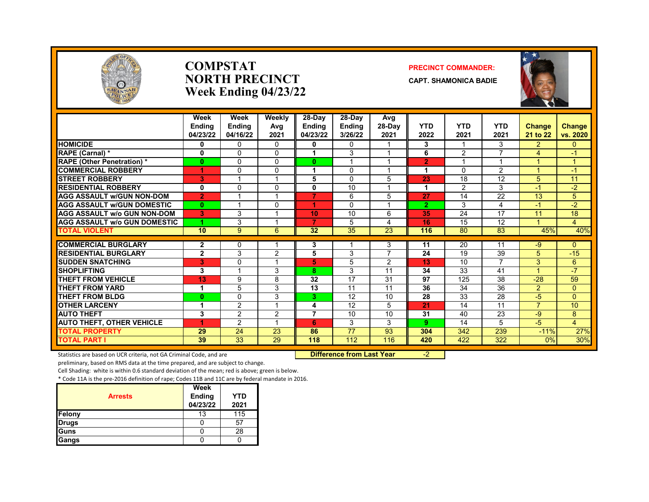

#### **COMPSTAT PRECINCT COMMANDER: NORTH PRECINCT CAPT. SHAMONICA BADIE Week Ending 04/23/22**



|                                     | Week           | Week                     | Weekly   | 28-Day         | 28-Dav          | Avg                      |                    |            |                    |                      |                    |
|-------------------------------------|----------------|--------------------------|----------|----------------|-----------------|--------------------------|--------------------|------------|--------------------|----------------------|--------------------|
|                                     | <b>Ending</b>  | <b>Ending</b>            | Avg      | <b>Endina</b>  | <b>Ending</b>   | 28-Day                   | <b>YTD</b><br>2022 | <b>YTD</b> | <b>YTD</b><br>2021 | <b>Change</b>        | <b>Change</b>      |
|                                     | 04/23/22       | 04/16/22                 | 2021     | 04/23/22       | 3/26/22         | 2021                     |                    | 2021       |                    | 21 to 22             | vs. 2020           |
| <b>HOMICIDE</b>                     | 0              | $\Omega$                 | 0        | 0              | $\Omega$        |                          | 3                  |            | 3                  | $\overline{2}$       | 0                  |
| RAPE (Carnal) *                     | 0              | $\Omega$                 | $\Omega$ |                | 3               |                          | 6                  | 2          | ⇁                  | 4                    | $\blacktriangle$ 1 |
| <b>RAPE (Other Penetration)*</b>    | $\bf{0}$       | $\Omega$                 | $\Omega$ | $\bf{0}$       |                 |                          | $\overline{2}$     |            |                    |                      | 1                  |
| <b>COMMERCIAL ROBBERY</b>           | 1              | $\Omega$                 | $\Omega$ | 1              | $\Omega$        | $\overline{A}$           | 1                  | $\Omega$   | $\overline{2}$     | $\overline{A}$       | $-1$               |
| <b>STREET ROBBERY</b>               | 3              |                          |          | 5              | $\Omega$        | 5                        | 23                 | 18         | 12                 | 5                    | 11                 |
| <b>RESIDENTIAL ROBBERY</b>          | 0              | $\Omega$                 | 0        | 0              | 10              |                          | 1                  | 2          | 3                  | $-1$                 | $-2$               |
| <b>AGG ASSAULT W/GUN NON-DOM</b>    | $\overline{2}$ |                          |          | 7              | 6               | 5                        | 27                 | 14         | $\overline{22}$    | 13                   | 5                  |
| <b>AGG ASSAULT W/GUN DOMESTIC</b>   | $\bf{0}$       |                          | $\Omega$ |                | $\Omega$        |                          | $\overline{2}$     | 3          | 4                  | $-1$                 | $-2$               |
| <b>AGG ASSAULT w/o GUN NON-DOM</b>  | 3              | 3                        |          | 10             | 10              | 6                        | 35                 | 24         | 17                 | 11                   | 18                 |
| <b>AGG ASSAULT W/o GUN DOMESTIC</b> |                | 3                        |          | 7              | 5               | 4                        | 16                 | 15         | 12                 |                      | 4                  |
| <b>TOTAL VIOLENT</b>                | 10             | 9                        | 6        | 32             | $\overline{35}$ | $\overline{23}$          | 116                | 80         | 83                 | 45%                  | 40%                |
| <b>COMMERCIAL BURGLARY</b>          | $\mathbf{2}$   | $\mathbf{0}$             |          | 3              |                 | 3                        | 11                 | 20         | 11                 | $-9$                 | $\Omega$           |
| <b>RESIDENTIAL BURGLARY</b>         | $\mathbf{2}$   | 3                        | 2        | 5              | 3               | $\overline{\phantom{a}}$ | 24                 | 19         | 39                 | 5                    | $-15$              |
| <b>SUDDEN SNATCHING</b>             | 3              | $\Omega$                 |          | 5              | 5               | $\overline{2}$           | 13                 | 10         | $\overline{ }$     | 3                    | $6\phantom{1}$     |
| <b>SHOPLIFTING</b>                  | 3              | $\overline{\phantom{a}}$ | 3        | 8              | 3               | 11                       | 34                 | 33         | 41                 | $\blacktriangleleft$ | $-7$               |
| <b>THEFT FROM VEHICLE</b>           | 13             | 9                        | 8        | 32             | 17              | 31                       | 97                 | 125        | 38                 | $-28$                | 59                 |
| <b>THEFT FROM YARD</b>              | 1              | 5                        | 3        | 13             | 11              | 11                       | 36                 | 34         | 36                 | $\overline{2}$       | $\overline{0}$     |
| <b>THEFT FROM BLDG</b>              | $\bf{0}$       | $\Omega$                 | 3        | 3.             | 12              | 10                       | 28                 | 33         | 28                 | $-5$                 | $\Omega$           |
| <b>OTHER LARCENY</b>                | 1              | 2                        |          | 4              | 12              | 5                        | 21                 | 14         | 11                 | $\overline{7}$       | 10                 |
| <b>AUTO THEFT</b>                   | 3              | 2                        | 2        | $\overline{7}$ | 10              | 10                       | 31                 | 40         | 23                 | $-9$                 | 8                  |
| <b>AUTO THEFT, OTHER VEHICLE</b>    | и              | 2                        |          | 6              | 3               | 3                        | 9                  | 14         | 5                  | $-5$                 | $\overline{4}$     |
| <b>TOTAL PROPERTY</b>               | 29             | $\overline{24}$          | 23       | 86             | $\overline{77}$ | 93                       | 304                | 342        | 239                | $-11%$               | 27%                |
| <b>TOTAL PART I</b>                 | 39             | $\overline{33}$          | 29       | 118            | 112             | 116                      | 420                | 422        | 322                | 0%                   | 30%                |

Statistics are based on UCR criteria, not GA Criminal Code, and are **Difference from Last Year** -2

preliminary, based on RMS data at the time prepared, and are subject to change.

Cell Shading: white is within 0.6 standard deviation of the mean; red is above; green is below.

| <b>Arrests</b> | <b>Week</b><br><b>Ending</b><br>04/23/22 | <b>YTD</b><br>2021 |
|----------------|------------------------------------------|--------------------|
| Felony         | 13                                       | 115                |
| <b>Drugs</b>   |                                          | 57                 |
| Guns           |                                          | 28                 |
| Gangs          |                                          |                    |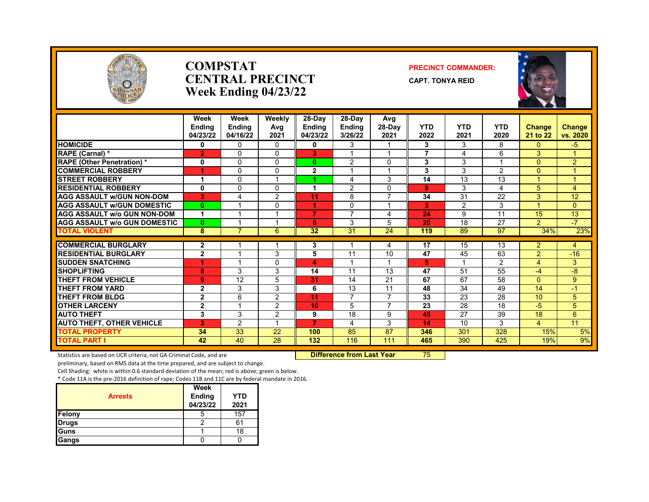

#### **COMPSTAT PRECINCT COMMANDER: CENTRAL PRECINCT** CAPT. TONYA REID **Week Ending 04/23/22**





|                                     | Week<br><b>Ending</b><br>04/23/22 | Week<br><b>Endina</b><br>04/16/22 | Weekly<br>Avg<br>2021   | 28-Day<br><b>Ending</b><br>04/23/22 | $28-Dav$<br><b>Ending</b><br>3/26/22 | Avg<br>28-Day<br>2021   | <b>YTD</b><br>2022 | <b>YTD</b><br>2021 | <b>YTD</b><br>2020 | Change<br>21 to 22      | Change<br>vs. 2020 |
|-------------------------------------|-----------------------------------|-----------------------------------|-------------------------|-------------------------------------|--------------------------------------|-------------------------|--------------------|--------------------|--------------------|-------------------------|--------------------|
| <b>HOMICIDE</b>                     | 0                                 | $\Omega$                          | 0                       | 0                                   | 3                                    |                         | 3                  | 3                  | 8                  | $\mathbf{0}$            | $-5$               |
| RAPE (Carnal) *                     | $\overline{2}$                    | $\Omega$                          | 0                       | 3                                   | $\overline{\mathbf{A}}$              | $\overline{\mathbf{A}}$ | $\overline{7}$     | 4                  | 6                  | 3                       | 1                  |
| <b>RAPE (Other Penetration) *</b>   | 0                                 | $\Omega$                          | 0                       | $\mathbf{0}$                        | $\overline{2}$                       | $\Omega$                | 3                  | 3                  |                    | $\Omega$                | 2                  |
| <b>COMMERCIAL ROBBERY</b>           | 1                                 | $\Omega$                          | 0                       | $\mathbf{2}$                        | 1                                    | 4                       | 3                  | 3                  | 2                  | $\Omega$                | $\overline{1}$     |
| <b>STREET ROBBERY</b>               | $\blacktriangleleft$              | $\Omega$                          | $\overline{\mathbf{A}}$ |                                     | 4                                    | 3                       | 14                 | 13                 | 13                 | $\overline{\mathbf{A}}$ | $\mathbf{1}$       |
| <b>RESIDENTIAL ROBBERY</b>          | 0                                 | $\Omega$                          | 0                       | 1                                   | 2                                    | $\mathbf{0}$            | 8                  | 3                  | 4                  | 5                       | $\overline{4}$     |
| <b>AGG ASSAULT w/GUN NON-DOM</b>    | 3                                 | 4                                 | $\overline{2}$          | 11                                  | 8                                    | $\overline{ }$          | 34                 | 31                 | 22                 | 3                       | 12                 |
| <b>AGG ASSAULT w/GUN DOMESTIC</b>   | $\mathbf{0}$                      |                                   | 0                       | 1                                   | $\Omega$                             | и                       | 3                  | 2                  | 3                  |                         | $\mathbf{0}$       |
| <b>AGG ASSAULT w/o GUN NON-DOM</b>  | $\blacktriangleleft$              |                                   | и                       | $\overline{7}$                      | $\overline{7}$                       | 4                       | 24                 | 9                  | 11                 | 15                      | 13                 |
| <b>AGG ASSAULT w/o GUN DOMESTIC</b> | $\mathbf{0}$                      |                                   |                         | 6                                   | 3                                    | 5                       | 20                 | 18                 | 27                 | 2                       | $-7$               |
| <b>TOTAL VIOLENT</b>                | 8                                 | 7                                 | 6                       | 32                                  | $\overline{31}$                      | 24                      | 119                | 89                 | 97                 | 34%                     | 23%                |
| <b>COMMERCIAL BURGLARY</b>          | $\mathbf{2}$                      |                                   |                         | 3                                   | 1                                    | 4                       | 17                 | 15                 | 13                 | 2                       | 4                  |
| <b>RESIDENTIAL BURGLARY</b>         | $\overline{2}$                    |                                   | 3                       | 5                                   | 11                                   | 10                      | 47                 | 45                 | 63                 | $\overline{2}$          | $-16$              |
| <b>SUDDEN SNATCHING</b>             | 1                                 |                                   | 0                       | 4                                   | $\overline{\mathbf{A}}$              | 4                       | 5                  |                    | 2                  | 4                       | 3                  |
| <b>SHOPLIFTING</b>                  | 8                                 | 3                                 | 3                       | 14                                  | 11                                   | 13                      | 47                 | 51                 | 55                 | -4                      | -8                 |
| <b>THEFT FROM VEHICLE</b>           | 9                                 | 12                                | 5                       | 31                                  | 14                                   | 21                      | 67                 | 67                 | 58                 | $\Omega$                | 9                  |
| <b>THEFT FROM YARD</b>              | $\mathbf{2}$                      | 3                                 | 3                       | 6                                   | 13                                   | 11                      | 48                 | 34                 | 49                 | 14                      | $-1$               |
| <b>THEFT FROM BLDG</b>              | $\mathbf{2}$                      | 6                                 | 2                       | 11                                  | $\overline{7}$                       | $\overline{7}$          | 33                 | 23                 | $\overline{28}$    | 10                      | 5                  |
| <b>OTHER LARCENY</b>                | $\mathbf{2}$                      |                                   | 2                       | 10                                  | 5                                    | $\overline{7}$          | 23                 | 28                 | 18                 | -5                      | 5                  |
| <b>AUTO THEFT</b>                   | 3                                 | 3                                 | $\overline{2}$          | 9                                   | 18                                   | 9                       | 45                 | 27                 | 39                 | 18                      | 6                  |
| <b>AUTO THEFT, OTHER VEHICLE</b>    | в                                 | 2                                 |                         | $\overline{7}$                      | 4                                    | 3                       | 14                 | 10                 | 3                  | $\overline{4}$          | 11                 |
| <b>TOTAL PROPERTY</b>               | 34                                | 33                                | 22                      | 100                                 | 85                                   | 87                      | 346                | 301                | 328                | 15%                     | 5%                 |
| <b>TOTAL PART I</b>                 | 42                                | 40                                | 28                      | 132                                 | 116                                  | 111                     | 465                | 390                | 425                | 19%                     | 9%                 |

Statistics are based on UCR criteria, not GA Criminal Code, and are **Difference from Last Year** 75

preliminary, based on RMS data at the time prepared, and are subject to change.

Cell Shading: white is within 0.6 standard deviation of the mean; red is above; green is below.

| <b>Arrests</b> | Week<br><b>Ending</b><br>04/23/22 | <b>YTD</b><br>2021 |
|----------------|-----------------------------------|--------------------|
| Felony         | b                                 | 157                |
| Drugs          |                                   | 61                 |
| Guns           |                                   | 18                 |
| Gangs          |                                   |                    |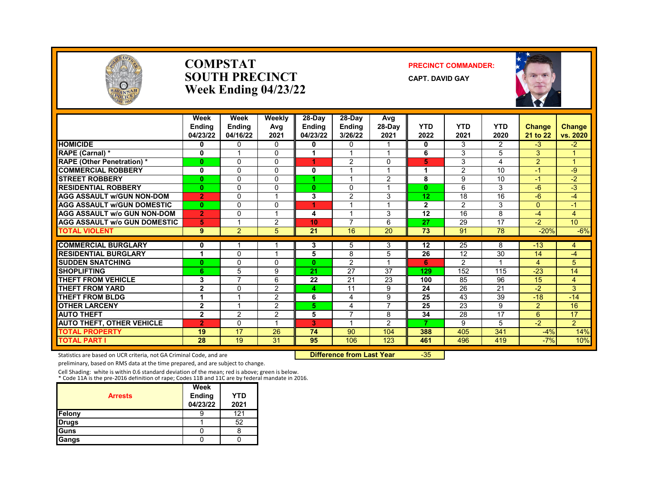

#### **COMPSTAT PRECINCT COMMANDER: SOUTH PRECINCT** CAPT. DAVID GAY **Week Ending 04/23/22**



|                                    | Week<br><b>Endina</b><br>04/23/22 | Week<br><b>Endina</b><br>04/16/22 | Weekly<br>Avg<br>2021 | 28-Day<br><b>Endina</b><br>04/23/22 | 28-Day<br><b>Endina</b><br>3/26/22 | Avg<br>$28-Dav$<br>2021 | <b>YTD</b><br>2022 | <b>YTD</b><br>2021 | <b>YTD</b><br>2020 | <b>Change</b><br>21 to 22 | <b>Change</b><br>vs. 2020 |
|------------------------------------|-----------------------------------|-----------------------------------|-----------------------|-------------------------------------|------------------------------------|-------------------------|--------------------|--------------------|--------------------|---------------------------|---------------------------|
| <b>HOMICIDE</b>                    | 0                                 | $\Omega$                          | $\Omega$              | 0                                   | $\mathbf{0}$                       |                         | 0                  | 3                  | $\overline{2}$     | $-3$                      | $-2$                      |
| RAPE (Carnal) *                    | 0                                 |                                   | 0                     | 1                                   |                                    | 1                       | 6                  | 3                  | 5                  | 3                         | 1                         |
| <b>RAPE (Other Penetration)*</b>   | 0                                 | $\Omega$                          | 0                     |                                     | 2                                  | 0                       | 5                  | 3                  | 4                  | $\overline{2}$            | 4                         |
| <b>COMMERCIAL ROBBERY</b>          | $\mathbf{0}$                      | $\Omega$                          | $\Omega$              | 0                                   |                                    | $\overline{ }$          | 1                  | 2                  | 10                 | $\cdot$                   | -9                        |
| <b>STREET ROBBERY</b>              | $\bf{0}$                          | $\Omega$                          | 0                     |                                     |                                    | 2                       | 8                  | 9                  | 10                 | $-1$                      | $-2$                      |
| <b>RESIDENTIAL ROBBERY</b>         | 0                                 | $\mathbf{0}$                      | 0                     | $\mathbf{0}$                        | 0                                  | 1                       | $\bf{0}$           | 6                  | 3                  | $-6$                      | $-3$                      |
| <b>AGG ASSAULT W/GUN NON-DOM</b>   | $\overline{2}$                    | $\Omega$                          |                       | 3                                   | $\overline{2}$                     | 3                       | 12                 | 18                 | 16                 | $-6$                      | -4                        |
| <b>AGG ASSAULT W/GUN DOMESTIC</b>  | $\bf{0}$                          | $\Omega$                          | 0                     |                                     |                                    | 1                       | $\mathbf{2}$       | $\overline{2}$     | 3                  | $\Omega$                  | $-1$                      |
| <b>AGG ASSAULT w/o GUN NON-DOM</b> | $\overline{2}$                    | $\Omega$                          |                       | 4                                   |                                    | 3                       | 12                 | 16                 | 8                  | -4                        | $\overline{4}$            |
| AGG ASSAULT w/o GUN DOMESTIC       | 5                                 |                                   | 2                     | 10                                  | $\overline{7}$                     | 6                       | 27                 | 29                 | 17                 | $-2$                      | 10 <sup>10</sup>          |
| <b>TOTAL VIOLENT</b>               | 9                                 | 2                                 | 5                     | 21                                  | 16                                 | $\overline{20}$         | 73                 | 91                 | $\overline{78}$    | $-20%$                    | $-6%$                     |
| <b>COMMERCIAL BURGLARY</b>         | 0                                 |                                   |                       | 3                                   | 5                                  | 3                       | 12                 | 25                 | 8                  | $-13$                     | 4                         |
| <b>RESIDENTIAL BURGLARY</b>        | 1                                 | $\Omega$                          |                       | 5                                   | 8                                  | 5                       | 26                 | 12                 | 30                 | 14                        | $-4$                      |
| <b>SUDDEN SNATCHING</b>            | $\bf{0}$                          | $\Omega$                          | $\Omega$              | $\mathbf{0}$                        | 2                                  | $\overline{\mathbf{A}}$ | 6                  | 2                  |                    | 4                         | 5                         |
| <b>SHOPLIFTING</b>                 | 6                                 | 5                                 | 9                     | 21                                  | 27                                 | 37                      | 129                | 152                | 115                | $-23$                     | 14                        |
| <b>THEFT FROM VEHICLE</b>          | 3                                 | 7                                 | 6                     | 22                                  | 21                                 | 23                      | 100                | 85                 | 96                 | 15                        | 4                         |
| <b>THEFT FROM YARD</b>             | $\overline{2}$                    | $\Omega$                          | 2                     | 4                                   | 11                                 | 9                       | 24                 | 26                 | 21                 | $-2$                      | 3                         |
| THEFT FROM BLDG                    | 1                                 |                                   | $\overline{2}$        | 6                                   | 4                                  | 9                       | 25                 | 43                 | 39                 | $-18$                     | $-14$                     |
| <b>OTHER LARCENY</b>               | $\mathbf{2}$                      |                                   | 2                     | 5.                                  | 4                                  | $\overline{7}$          | 25                 | 23                 | 9                  | $\overline{2}$            | 16                        |
| <b>AUTO THEFT</b>                  | $\overline{2}$                    | 2                                 | $\overline{2}$        | 5                                   | $\overline{\phantom{a}}$           | 8                       | 34                 | 28                 | 17                 | 6                         | 17                        |
| <b>AUTO THEFT, OTHER VEHICLE</b>   | $\overline{2}$                    | $\Omega$                          |                       | 3                                   |                                    | $\overline{2}$          | 7                  | 9                  | 5                  | $-2$                      | $\overline{2}$            |
| <b>TOTAL PROPERTY</b>              | 19                                | $\overline{17}$                   | 26                    | 74                                  | 90                                 | 104                     | 388                | 405                | 341                | $-4%$                     | 14%                       |
| <b>TOTAL PART I</b>                | 28                                | 19                                | 31                    | 95                                  | 106                                | 123                     | 461                | 496                | 419                | $-7%$                     | 10%                       |

Statistics are based on UCR criteria, not GA Criminal Code, and are **Difference from Last Year** -35

preliminary, based on RMS data at the time prepared, and are subject to change.

Cell Shading: white is within 0.6 standard deviation of the mean; red is above; green is below. \* Code 11A is the pre-2016 definition of rape; Codes 11B and 11C are by federal mandate in 2016.

| <b>Arrests</b> | Week<br><b>Ending</b><br>04/23/22 | YTD<br>2021 |
|----------------|-----------------------------------|-------------|
| Felony         | y                                 | 121         |
| <b>Drugs</b>   |                                   | 52          |
| <b>Guns</b>    |                                   | 8           |
| Gangs          |                                   |             |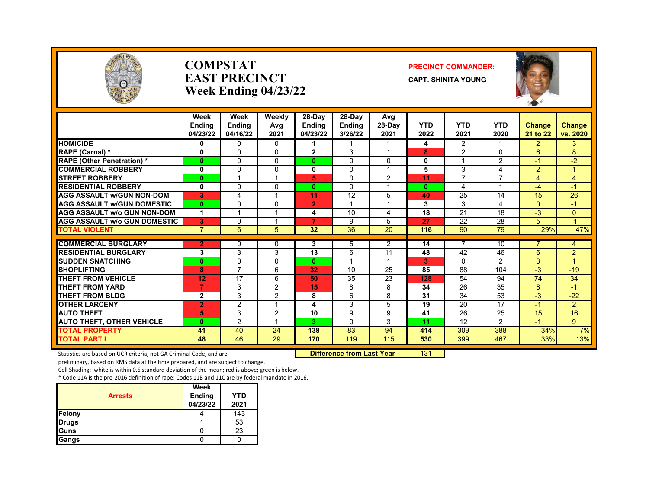

#### **COMPSTAT PRECINCT COMMANDER: EAST PRECINCT CAPT.** SHINITA YOUNG **Week Ending 04/23/22**



|                                     | Week<br><b>Endina</b><br>04/23/22 | Week<br><b>Endina</b><br>04/16/22 | Weekly<br>Avg<br>2021 | $28-Dav$<br>Endina<br>04/23/22 | 28-Dav<br><b>Endina</b><br>3/26/22 | Avg<br>$28-Dav$<br>2021 | <b>YTD</b><br>2022 | <b>YTD</b><br>2021 | <b>YTD</b><br>2020       | <b>Change</b><br>21 to 22 | <b>Change</b><br>vs. 2020 |
|-------------------------------------|-----------------------------------|-----------------------------------|-----------------------|--------------------------------|------------------------------------|-------------------------|--------------------|--------------------|--------------------------|---------------------------|---------------------------|
| <b>HOMICIDE</b>                     | 0                                 | 0                                 | $\Omega$              |                                |                                    | 1                       | 4                  | $\overline{2}$     | 1                        | $\overline{2}$            | 3                         |
| RAPE (Carnal) *                     | $\mathbf{0}$                      | $\Omega$                          | $\Omega$              | $\overline{2}$                 | 3                                  | $\overline{ }$          | 8                  | $\mathfrak{p}$     | $\Omega$                 | 6                         | 8                         |
| <b>RAPE</b> (Other Penetration) *   | $\mathbf{0}$                      | $\Omega$                          | $\Omega$              | 0                              | $\Omega$                           | 0                       | 0                  |                    | $\overline{2}$           | $-1$                      | $-2$                      |
| <b>COMMERCIAL ROBBERY</b>           | $\mathbf{0}$                      | $\Omega$                          | $\Omega$              | 0                              | $\Omega$                           | $\overline{ }$          | 5                  | 3                  | 4                        | $\overline{2}$            |                           |
| <b>STREET ROBBERY</b>               | $\bf{0}$                          |                                   |                       | 5                              | $\Omega$                           | 2                       | 11                 | $\overline{7}$     | $\overline{\phantom{a}}$ | 4                         | 4                         |
| <b>RESIDENTIAL ROBBERY</b>          | 0                                 | $\Omega$                          | $\Omega$              | 0                              | $\Omega$                           | 1                       | $\mathbf{0}$       | 4                  | -1                       | $-4$                      | $\blacktriangleleft$      |
| <b>AGG ASSAULT w/GUN NON-DOM</b>    | 3                                 | 4                                 |                       | 11                             | 12                                 | 5                       | 40                 | 25                 | 14                       | 15                        | 26                        |
| <b>AGG ASSAULT w/GUN DOMESTIC</b>   | $\mathbf{0}$                      | $\Omega$                          | $\Omega$              | $\overline{2}$                 |                                    | $\overline{ }$          | 3                  | 3                  | 4                        | $\Omega$                  | $\blacksquare$            |
| <b>AGG ASSAULT W/o GUN NON-DOM</b>  | 1                                 | $\overline{\mathbf{A}}$           | 1                     | 4                              | 10                                 | 4                       | 18                 | 21                 | 18                       | $-3$                      | 0                         |
| <b>AGG ASSAULT w/o GUN DOMESTIC</b> | 3                                 | $\Omega$                          |                       | 7                              | 9                                  | 5                       | 27                 | 22                 | 28                       | 5                         | $\blacktriangle$          |
| <b>TOTAL VIOLENT</b>                | $\overline{7}$                    | 6                                 | 5                     | 32                             | 36                                 | 20                      | 116                | 90                 | 79                       | 29%                       | 47%                       |
| <b>COMMERCIAL BURGLARY</b>          | $\overline{2}$                    | $\Omega$                          | 0                     | 3                              | 5                                  | 2                       | 14                 | 7                  | 10                       |                           | 4                         |
| <b>RESIDENTIAL BURGLARY</b>         | 3                                 | 3                                 | 3                     | 13                             | 6                                  | 11                      | 48                 | 42                 | 46                       | 6                         | $\overline{2}$            |
| <b>SUDDEN SNATCHING</b>             | $\bf{0}$                          | $\Omega$                          | $\Omega$              | 0                              | $\overline{\mathbf{A}}$            | 1                       | 3                  | $\mathbf{0}$       | $\overline{2}$           | 3                         |                           |
| <b>SHOPLIFTING</b>                  | 8                                 | $\overline{7}$                    | 6                     | 32                             | 10                                 | 25                      | 85                 | 88                 | 104                      | $-3$                      | $-19$                     |
| <b>THEFT FROM VEHICLE</b>           | 12                                | 17                                | 6                     | 50                             | 35                                 | 23                      | 128                | 54                 | 94                       | 74                        | 34                        |
| <b>THEFT FROM YARD</b>              | 7                                 | 3                                 | $\overline{2}$        | 15                             | 8                                  | 8                       | 34                 | 26                 | 35                       | 8                         | $-1$                      |
| <b>THEFT FROM BLDG</b>              | $\mathbf{2}$                      | 3                                 | 2                     | 8                              | 6                                  | 8                       | 31                 | 34                 | $\overline{53}$          | $-3$                      | $-22$                     |
| <b>OTHER LARCENY</b>                | $\overline{2}$                    | $\overline{2}$                    |                       | 4                              | 3                                  | 5                       | 19                 | 20                 | 17                       | $-1$                      | $\overline{2}$            |
| <b>AUTO THEFT</b>                   | 5                                 | 3                                 | $\overline{2}$        | 10                             | 9                                  | 9                       | 41                 | 26                 | 25                       | 15                        | 16                        |
| <b>AUTO THEFT, OTHER VEHICLE</b>    | $\mathbf{0}$                      | $\overline{2}$                    |                       | 3.                             | $\Omega$                           | 3                       | 11                 | 12                 | $\overline{2}$           | $-1$                      | $9^{\circ}$               |
| <b>TOTAL PROPERTY</b>               | 41                                | 40                                | 24                    | 138                            | 83                                 | 94                      | 414                | 309                | 388                      | 34%                       | 7%                        |
| <b>TOTAL PART I</b>                 | 48                                | 46                                | 29                    | 170                            | 119                                | 115                     | 530                | 399                | 467                      | 33%                       | 13%                       |

Statistics are based on UCR criteria, not GA Criminal Code, and are **Difference from Last Year** 131

preliminary, based on RMS data at the time prepared, and are subject to change.

Cell Shading: white is within 0.6 standard deviation of the mean; red is above; green is below.

| <b>Arrests</b> | Week<br><b>Ending</b><br>04/23/22 | YTD<br>2021 |
|----------------|-----------------------------------|-------------|
| Felony         |                                   | 143         |
| <b>Drugs</b>   |                                   | 53          |
| Guns           |                                   | 23          |
| Gangs          |                                   |             |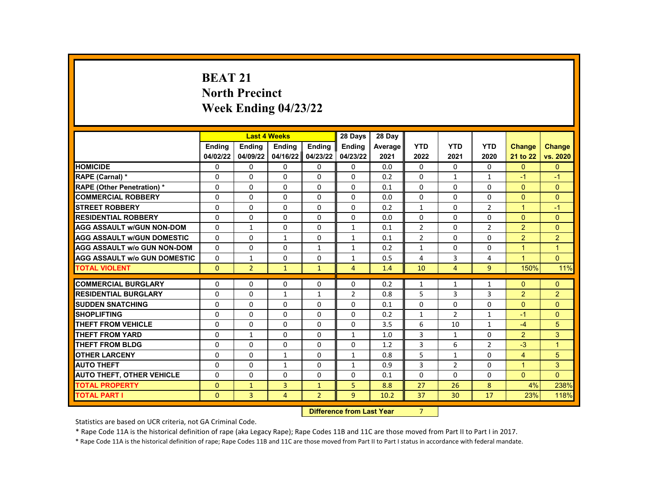# **BEAT 21 North Precinct Week Ending 04/23/22**

|                                     |                    | <b>Last 4 Weeks</b> |              |                | 28 Days        | 28 Day  |                |                |                |                |                |
|-------------------------------------|--------------------|---------------------|--------------|----------------|----------------|---------|----------------|----------------|----------------|----------------|----------------|
|                                     | <b>Endina</b>      | <b>Endina</b>       | Ending       | Ending         | <b>Endina</b>  | Average | <b>YTD</b>     | <b>YTD</b>     | <b>YTD</b>     | <b>Change</b>  | <b>Change</b>  |
|                                     | 04/02/22           | 04/09/22            | 04/16/22     | 04/23/22       | 04/23/22       | 2021    | 2022           | 2021           | 2020           | 21 to 22       | vs. 2020       |
| <b>HOMICIDE</b>                     | 0                  | 0                   | 0            | 0              | 0              | 0.0     | $\Omega$       | $\Omega$       | $\Omega$       | $\Omega$       | $\Omega$       |
| RAPE (Carnal) *                     | 0                  | $\Omega$            | $\Omega$     | $\Omega$       | $\Omega$       | 0.2     | $\Omega$       | $\mathbf{1}$   | $\mathbf{1}$   | $-1$           | $-1$           |
| RAPE (Other Penetration) *          | 0                  | $\Omega$            | $\Omega$     | $\Omega$       | $\Omega$       | 0.1     | $\Omega$       | $\Omega$       | $\Omega$       | $\Omega$       | $\Omega$       |
| <b>COMMERCIAL ROBBERY</b>           | 0                  | $\Omega$            | $\Omega$     | 0              | $\Omega$       | 0.0     | $\Omega$       | 0              | $\Omega$       | $\Omega$       | $\Omega$       |
| <b>STREET ROBBERY</b>               | 0                  | 0                   | 0            | 0              | $\Omega$       | 0.2     | $\mathbf{1}$   | 0              | $\overline{2}$ | $\mathbf{1}$   | $-1$           |
| <b>RESIDENTIAL ROBBERY</b>          | $\Omega$           | $\Omega$            | $\Omega$     | $\Omega$       | $\Omega$       | 0.0     | $\Omega$       | $\Omega$       | $\Omega$       | $\Omega$       | $\Omega$       |
| <b>AGG ASSAULT w/GUN NON-DOM</b>    | 0                  | 1                   | 0            | 0              | $\mathbf{1}$   | 0.1     | $\overline{2}$ | 0              | 2              | $\overline{2}$ | $\mathbf{0}$   |
| <b>AGG ASSAULT w/GUN DOMESTIC</b>   | 0                  | 0                   | $\mathbf{1}$ | 0              | $\mathbf{1}$   | 0.1     | $\overline{2}$ | $\Omega$       | $\Omega$       | $\overline{2}$ | $\overline{2}$ |
| <b>AGG ASSAULT w/o GUN NON-DOM</b>  | $\Omega$           | $\Omega$            | $\Omega$     | $\mathbf{1}$   | $\mathbf{1}$   | 0.2     | $\mathbf{1}$   | $\Omega$       | $\Omega$       | $\overline{1}$ | $\overline{1}$ |
| <b>AGG ASSAULT w/o GUN DOMESTIC</b> | $\Omega$           | 1                   | 0            | 0              | $\mathbf{1}$   | 0.5     | 4              | 3              | 4              | $\mathbf{1}$   | $\Omega$       |
| <b>TOTAL VIOLENT</b>                | $\Omega$           | $\overline{2}$      | $\mathbf{1}$ | $\mathbf{1}$   | $\overline{4}$ | 1.4     | 10             | 4              | $\overline{9}$ | 150%           | 11%            |
|                                     |                    |                     |              |                |                |         |                |                |                |                |                |
| <b>COMMERCIAL BURGLARY</b>          | 0                  | 0                   | 0            | 0              | 0              | 0.2     | $\mathbf{1}$   | 1              | 1              | $\Omega$       | $\mathbf{0}$   |
| <b>RESIDENTIAL BURGLARY</b>         | $\Omega$           | 0                   | $\mathbf{1}$ | $\mathbf{1}$   | $\overline{2}$ | 0.8     | 5              | 3              | 3              | $\overline{2}$ | $\overline{2}$ |
| <b>SUDDEN SNATCHING</b>             | $\Omega$           | $\Omega$            | $\Omega$     | $\Omega$       | $\Omega$       | 0.1     | $\Omega$       | $\Omega$       | $\Omega$       | $\Omega$       | $\Omega$       |
| <b>SHOPLIFTING</b>                  | 0                  | $\Omega$            | $\Omega$     | 0              | $\Omega$       | 0.2     | $\mathbf{1}$   | $\overline{2}$ | 1              | $-1$           | $\Omega$       |
| <b>THEFT FROM VEHICLE</b>           | 0                  | 0                   | $\Omega$     | $\Omega$       | $\Omega$       | 3.5     | 6              | 10             | $\mathbf{1}$   | $-4$           | 5              |
| <b>THEFT FROM YARD</b>              | 0                  | $\mathbf{1}$        | $\Omega$     | $\Omega$       | $\mathbf{1}$   | 1.0     | 3              | $\mathbf{1}$   | $\Omega$       | $\overline{2}$ | 3              |
| <b>THEFT FROM BLDG</b>              | 0                  | $\Omega$            | 0            | $\Omega$       | $\Omega$       | 1.2     | 3              | 6              | $\overline{2}$ | $-3$           | $\overline{1}$ |
| <b>OTHER LARCENY</b>                | 0                  | $\Omega$            | $\mathbf{1}$ | 0              | $\mathbf{1}$   | 0.8     | 5              | $\mathbf{1}$   | 0              | 4              | 5              |
| <b>AUTO THEFT</b>                   | $\Omega$           | $\Omega$            | $\mathbf{1}$ | $\Omega$       | $\mathbf{1}$   | 0.9     | 3              | $\overline{2}$ | $\Omega$       | $\mathbf{1}$   | 3              |
| <b>AUTO THEFT, OTHER VEHICLE</b>    | 0                  | $\Omega$            | 0            | 0              | 0              | 0.1     | $\Omega$       | $\Omega$       | 0              | $\Omega$       | $\Omega$       |
| <b>TOTAL PROPERTY</b>               | $\Omega$           | $\mathbf{1}$        | 3            | $\mathbf{1}$   | 5              | 8.8     | 27             | 26             | 8              | 4%             | 238%           |
| <b>TOTAL PART I</b>                 | $\overline{0}$     | 3                   | 4            | $\overline{2}$ | 9              | 10.2    | 37             | 30             | 17             | 23%            | 118%           |
|                                     | <b>CARLO CARDS</b> |                     |              |                |                |         |                |                |                |                |                |

**Difference from Last Year** 7

Statistics are based on UCR criteria, not GA Criminal Code.

\* Rape Code 11A is the historical definition of rape (aka Legacy Rape); Rape Codes 11B and 11C are those moved from Part II to Part I in 2017.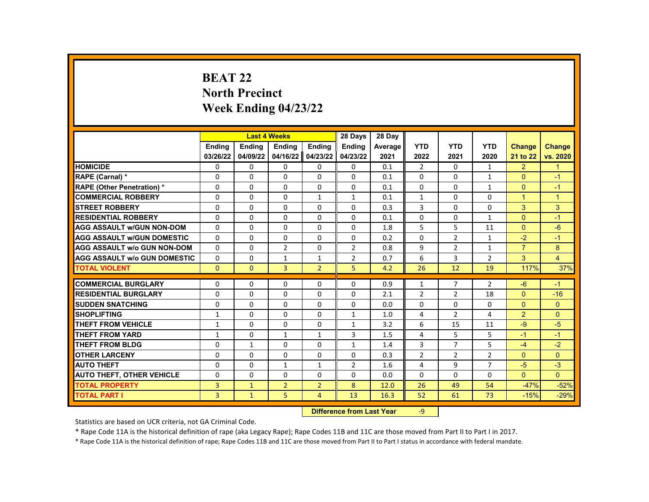# **BEAT 22 North Precinct Week Ending 04/23/22**

|                                     |                |                           | <b>Last 4 Weeks</b> |                | 28 Days        | 28 Day  |                |                |                |                |                |
|-------------------------------------|----------------|---------------------------|---------------------|----------------|----------------|---------|----------------|----------------|----------------|----------------|----------------|
|                                     | <b>Endina</b>  | <b>Ending</b>             | Ending              | Ending         | <b>Ending</b>  | Average | <b>YTD</b>     | <b>YTD</b>     | <b>YTD</b>     | <b>Change</b>  | <b>Change</b>  |
|                                     | 03/26/22       | 04/09/22                  | 04/16/22            | 04/23/22       | 04/23/22       | 2021    | 2022           | 2021           | 2020           | 21 to 22       | vs. 2020       |
| <b>HOMICIDE</b>                     | 0              | 0                         | 0                   | 0              | 0              | 0.1     | $\overline{2}$ | $\Omega$       | $\mathbf{1}$   | $\overline{2}$ | $\mathbf{1}$   |
| RAPE (Carnal) *                     | 0              | $\Omega$                  | $\Omega$            | $\Omega$       | $\Omega$       | 0.1     | $\Omega$       | $\Omega$       | $\mathbf{1}$   | $\Omega$       | $-1$           |
| RAPE (Other Penetration) *          | $\Omega$       | $\Omega$                  | $\Omega$            | $\Omega$       | $\Omega$       | 0.1     | $\Omega$       | $\Omega$       | $\mathbf{1}$   | $\Omega$       | $-1$           |
| <b>COMMERCIAL ROBBERY</b>           | $\Omega$       | $\Omega$                  | $\Omega$            | $\mathbf{1}$   | $\mathbf{1}$   | 0.1     | $\mathbf{1}$   | $\Omega$       | $\Omega$       | $\mathbf{1}$   | $\mathbf{1}$   |
| <b>STREET ROBBERY</b>               | $\Omega$       | $\Omega$                  | $\Omega$            | $\Omega$       | $\Omega$       | 0.3     | 3              | $\Omega$       | $\Omega$       | 3              | 3              |
| <b>RESIDENTIAL ROBBERY</b>          | $\Omega$       | $\Omega$                  | $\Omega$            | $\Omega$       | $\Omega$       | 0.1     | $\Omega$       | $\Omega$       | $\mathbf{1}$   | $\Omega$       | $-1$           |
| <b>AGG ASSAULT w/GUN NON-DOM</b>    | $\Omega$       | 0                         | 0                   | 0              | 0              | 1.8     | 5              | 5              | 11             | $\Omega$       | $-6$           |
| <b>AGG ASSAULT W/GUN DOMESTIC</b>   | $\Omega$       | 0                         | 0                   | $\Omega$       | $\Omega$       | 0.2     | 0              | $\overline{2}$ | $\mathbf{1}$   | $-2$           | $-1$           |
| <b>AGG ASSAULT w/o GUN NON-DOM</b>  | $\Omega$       | $\Omega$                  | $\overline{2}$      | $\Omega$       | $\overline{2}$ | 0.8     | 9              | $\overline{2}$ | $\mathbf{1}$   | $\overline{7}$ | 8              |
| <b>AGG ASSAULT W/o GUN DOMESTIC</b> | $\Omega$       | 0                         | $\mathbf{1}$        | $\mathbf{1}$   | $\overline{2}$ | 0.7     | 6              | 3              | $\overline{2}$ | 3              | $\overline{4}$ |
| <b>TOTAL VIOLENT</b>                | $\mathbf{0}$   | $\mathbf{0}$              | 3                   | $\overline{2}$ | 5              | 4.2     | 26             | 12             | 19             | 117%           | 37%            |
|                                     |                |                           |                     |                |                |         |                |                |                |                |                |
| <b>COMMERCIAL BURGLARY</b>          | 0              | 0                         | 0                   | 0              | 0              | 0.9     | $\mathbf{1}$   | 7              | 2              | $-6$           | $-1$           |
| <b>RESIDENTIAL BURGLARY</b>         | 0              | $\Omega$                  | $\Omega$            | $\Omega$       | 0              | 2.1     | $\overline{2}$ | $\overline{2}$ | 18             | $\Omega$       | $-16$          |
| <b>SUDDEN SNATCHING</b>             | 0              | $\Omega$                  | $\Omega$            | $\Omega$       | $\Omega$       | 0.0     | $\Omega$       | $\Omega$       | $\Omega$       | $\Omega$       | $\Omega$       |
| <b>SHOPLIFTING</b>                  | $\mathbf{1}$   | $\Omega$                  | 0                   | $\Omega$       | $\mathbf{1}$   | 1.0     | 4              | $\overline{2}$ | 4              | $\overline{2}$ | $\Omega$       |
| <b>THEFT FROM VEHICLE</b>           | $\mathbf{1}$   | $\Omega$                  | $\Omega$            | $\Omega$       | $\mathbf{1}$   | 3.2     | 6              | 15             | 11             | $-9$           | $-5$           |
| <b>THEFT FROM YARD</b>              | $\mathbf{1}$   | $\Omega$                  | $\mathbf{1}$        | $\mathbf{1}$   | 3              | 1.5     | 4              | 5              | 5              | $-1$           | $-1$           |
| <b>THEFT FROM BLDG</b>              | $\Omega$       | $\mathbf{1}$              | $\Omega$            | $\Omega$       | $\mathbf{1}$   | 1.4     | 3              | $\overline{7}$ | 5              | $-4$           | $-2$           |
| <b>OTHER LARCENY</b>                | $\Omega$       | $\Omega$                  | $\Omega$            | $\Omega$       | $\Omega$       | 0.3     | $\overline{2}$ | $\overline{2}$ | $\overline{2}$ | $\Omega$       | $\Omega$       |
| <b>AUTO THEFT</b>                   | 0              | $\Omega$                  | $\mathbf{1}$        | $\mathbf{1}$   | $\overline{2}$ | 1.6     | 4              | 9              | $\overline{7}$ | $-5$           | $-3$           |
| <b>AUTO THEFT, OTHER VEHICLE</b>    | 0              | $\Omega$                  | 0                   | $\Omega$       | $\Omega$       | 0.0     | $\Omega$       | 0              | 0              | $\Omega$       | $\Omega$       |
| <b>TOTAL PROPERTY</b>               | 3              | $\mathbf{1}$              | $\overline{2}$      | $\overline{2}$ | 8              | 12.0    | 26             | 49             | 54             | $-47%$         | $-52%$         |
| <b>TOTAL PART I</b>                 | $\overline{3}$ | $\mathbf{1}$              | 5                   | $\overline{4}$ | 13             | 16.3    | 52             | 61             | 73             | $-15%$         | $-29%$         |
|                                     |                | Difference from Loot Voor |                     | $\Omega$       |                |         |                |                |                |                |                |

**Difference from Last Year** 

Statistics are based on UCR criteria, not GA Criminal Code.

\* Rape Code 11A is the historical definition of rape (aka Legacy Rape); Rape Codes 11B and 11C are those moved from Part II to Part I in 2017.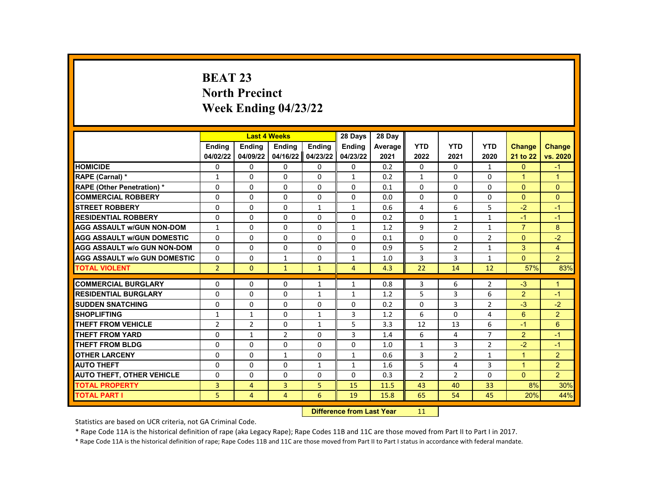# **BEAT 23 North Precinct Week Ending 04/23/22**

|                                     |                |                | <b>Last 4 Weeks</b> |               | 28 Days                   | 28 Day  |                |                |                |                |                |
|-------------------------------------|----------------|----------------|---------------------|---------------|---------------------------|---------|----------------|----------------|----------------|----------------|----------------|
|                                     | <b>Endina</b>  | <b>Endina</b>  | <b>Endina</b>       | <b>Endina</b> | <b>Endina</b>             | Average | <b>YTD</b>     | <b>YTD</b>     | <b>YTD</b>     | <b>Change</b>  | <b>Change</b>  |
|                                     | 04/02/22       | 04/09/22       | 04/16/22            | 04/23/22      | 04/23/22                  | 2021    | 2022           | 2021           | 2020           | 21 to 22       | vs. 2020       |
| <b>HOMICIDE</b>                     | 0              | 0              | 0                   | 0             | 0                         | 0.2     | 0              | 0              | $\mathbf{1}$   | $\mathbf{0}$   | $-1$           |
| RAPE (Carnal) *                     | $\mathbf{1}$   | $\Omega$       | $\Omega$            | $\Omega$      | $\mathbf{1}$              | 0.2     | $\mathbf{1}$   | $\Omega$       | $\Omega$       | $\mathbf{1}$   | $\mathbf{1}$   |
| RAPE (Other Penetration) *          | $\Omega$       | $\Omega$       | $\Omega$            | $\Omega$      | $\Omega$                  | 0.1     | $\Omega$       | $\Omega$       | $\Omega$       | $\Omega$       | $\Omega$       |
| <b>COMMERCIAL ROBBERY</b>           | 0              | 0              | 0                   | 0             | 0                         | 0.0     | 0              | 0              | 0              | $\Omega$       | $\mathbf{0}$   |
| <b>STREET ROBBERY</b>               | $\Omega$       | $\Omega$       | $\Omega$            | $\mathbf{1}$  | $\mathbf{1}$              | 0.6     | 4              | 6              | 5              | $-2$           | $-1$           |
| <b>RESIDENTIAL ROBBERY</b>          | $\Omega$       | $\Omega$       | $\Omega$            | $\Omega$      | $\Omega$                  | 0.2     | $\Omega$       | $\mathbf{1}$   | $\mathbf{1}$   | $-1$           | $-1$           |
| <b>AGG ASSAULT w/GUN NON-DOM</b>    | $\mathbf{1}$   | 0              | 0                   | 0             | 1                         | 1.2     | 9              | $\overline{2}$ | 1              | $\overline{7}$ | 8              |
| <b>AGG ASSAULT w/GUN DOMESTIC</b>   | $\Omega$       | $\Omega$       | $\Omega$            | $\Omega$      | $\Omega$                  | 0.1     | $\Omega$       | $\Omega$       | $\overline{2}$ | $\Omega$       | $-2$           |
| <b>AGG ASSAULT w/o GUN NON-DOM</b>  | $\Omega$       | $\Omega$       | $\Omega$            | $\Omega$      | $\Omega$                  | 0.9     | 5              | $\overline{2}$ | $\mathbf{1}$   | 3              | $\overline{4}$ |
| <b>AGG ASSAULT w/o GUN DOMESTIC</b> | $\Omega$       | 0              | $\mathbf{1}$        | $\Omega$      | 1                         | 1.0     | 3              | 3              | 1              | $\Omega$       | $\overline{2}$ |
| <b>TOTAL VIOLENT</b>                | $\overline{2}$ | $\mathbf{0}$   | $\mathbf{1}$        | $\mathbf{1}$  | $\overline{4}$            | 4.3     | 22             | 14             | 12             | 57%            | 83%            |
|                                     |                |                |                     |               |                           |         |                |                |                |                |                |
| <b>COMMERCIAL BURGLARY</b>          | 0              | 0              | 0                   | $\mathbf{1}$  | $\mathbf{1}$              | 0.8     | 3              | 6              | 2              | $-3$           | $\mathbf{1}$   |
| <b>RESIDENTIAL BURGLARY</b>         | $\Omega$       | $\Omega$       | $\Omega$            | $\mathbf{1}$  | $\mathbf{1}$              | 1.2     | 5              | 3              | 6              | $\overline{2}$ | $-1$           |
| <b>SUDDEN SNATCHING</b>             | $\Omega$       | $\Omega$       | $\Omega$            | $\Omega$      | $\Omega$                  | 0.2     | $\Omega$       | 3              | $\overline{2}$ | $-3$           | $-2$           |
| <b>SHOPLIFTING</b>                  | $\mathbf{1}$   | $\mathbf{1}$   | $\Omega$            | $\mathbf{1}$  | 3                         | 1.2     | 6              | $\Omega$       | 4              | 6              | $\overline{2}$ |
| <b>THEFT FROM VEHICLE</b>           | $\overline{2}$ | $\overline{2}$ | $\Omega$            | $\mathbf{1}$  | 5                         | 3.3     | 12             | 13             | 6              | $-1$           | 6              |
| <b>THEFT FROM YARD</b>              | $\Omega$       | $\mathbf{1}$   | $\overline{2}$      | $\Omega$      | 3                         | 1.4     | 6              | 4              | $\overline{7}$ | $\overline{2}$ | $-1$           |
| <b>THEFT FROM BLDG</b>              | $\Omega$       | $\Omega$       | $\Omega$            | $\Omega$      | $\Omega$                  | 1.0     | $\mathbf{1}$   | 3              | $\overline{2}$ | $-2$           | $-1$           |
| <b>OTHER LARCENY</b>                | 0              | $\Omega$       | $\mathbf{1}$        | $\Omega$      | $\mathbf{1}$              | 0.6     | 3              | $\overline{2}$ | 1              | $\mathbf{1}$   | $\overline{2}$ |
| <b>AUTO THEFT</b>                   | $\Omega$       | $\Omega$       | $\Omega$            | $\mathbf{1}$  | $\mathbf{1}$              | 1.6     | 5              | 4              | 3              | $\mathbf{1}$   | $\overline{2}$ |
| <b>AUTO THEFT, OTHER VEHICLE</b>    | $\Omega$       | $\Omega$       | $\Omega$            | $\Omega$      | $\Omega$                  | 0.3     | $\overline{2}$ | $\overline{2}$ | $\Omega$       | $\Omega$       | $\overline{2}$ |
| <b>TOTAL PROPERTY</b>               | 3              | $\overline{4}$ | $\overline{3}$      | 5             | 15                        | 11.5    | 43             | 40             | 33             | 8%             | 30%            |
| <b>TOTAL PART I</b>                 | 5              | $\overline{4}$ | $\overline{4}$      | 6             | 19                        | 15.8    | 65             | 54             | 45             | 20%            | 44%            |
|                                     |                |                |                     |               | Difference from Lost Voor |         | 11             |                |                |                |                |

**Difference from Last Year** 

Statistics are based on UCR criteria, not GA Criminal Code.

\* Rape Code 11A is the historical definition of rape (aka Legacy Rape); Rape Codes 11B and 11C are those moved from Part II to Part I in 2017.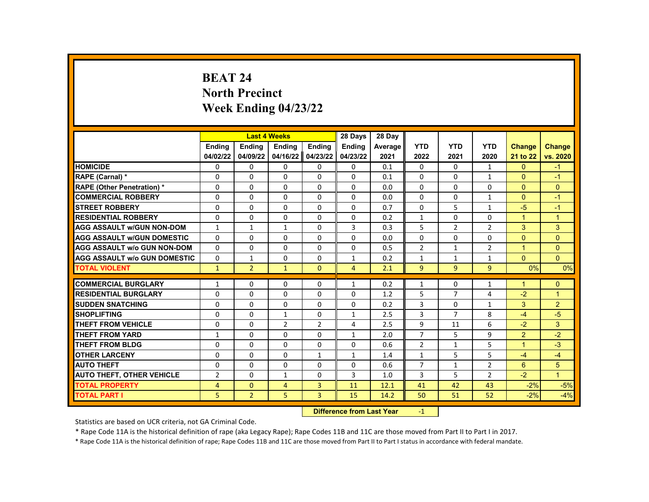# **BEAT 24 North Precinct Week Ending 04/23/22**

|                                     |                | <b>Last 4 Weeks</b> |                |                | 28 Days        | 28 Day  |                |                |                |                |                |
|-------------------------------------|----------------|---------------------|----------------|----------------|----------------|---------|----------------|----------------|----------------|----------------|----------------|
|                                     | Ending         | <b>Ending</b>       | Ending         | Ending         | <b>Ending</b>  | Average | <b>YTD</b>     | <b>YTD</b>     | <b>YTD</b>     | <b>Change</b>  | <b>Change</b>  |
|                                     | 04/02/22       | 04/09/22            | 04/16/22       | 04/23/22       | 04/23/22       | 2021    | 2022           | 2021           | 2020           | 21 to 22       | vs. 2020       |
| <b>HOMICIDE</b>                     | 0              | 0                   | 0              | 0              | 0              | 0.1     | $\mathbf{0}$   | $\Omega$       | $\mathbf{1}$   | $\mathbf{0}$   | $-1$           |
| RAPE (Carnal) *                     | $\Omega$       | $\Omega$            | 0              | $\Omega$       | $\Omega$       | 0.1     | $\Omega$       | $\Omega$       | $\mathbf{1}$   | $\Omega$       | $-1$           |
| <b>RAPE (Other Penetration) *</b>   | $\Omega$       | $\Omega$            | $\Omega$       | $\Omega$       | $\Omega$       | 0.0     | $\Omega$       | $\Omega$       | $\Omega$       | $\Omega$       | $\mathbf{0}$   |
| <b>COMMERCIAL ROBBERY</b>           | 0              | 0                   | 0              | 0              | $\Omega$       | 0.0     | $\mathbf 0$    | 0              | $\mathbf{1}$   | $\Omega$       | $-1$           |
| <b>STREET ROBBERY</b>               | $\Omega$       | $\Omega$            | $\Omega$       | $\Omega$       | $\Omega$       | 0.7     | $\Omega$       | 5              | $\mathbf{1}$   | $-5$           | $-1$           |
| <b>RESIDENTIAL ROBBERY</b>          | $\Omega$       | $\Omega$            | $\Omega$       | $\Omega$       | $\Omega$       | 0.2     | $\mathbf{1}$   | $\Omega$       | $\Omega$       | $\overline{1}$ | $\overline{1}$ |
| <b>AGG ASSAULT w/GUN NON-DOM</b>    | $\mathbf{1}$   | $\mathbf{1}$        | $\mathbf{1}$   | $\Omega$       | 3              | 0.3     | 5              | $\overline{2}$ | $\overline{2}$ | 3              | 3              |
| <b>AGG ASSAULT W/GUN DOMESTIC</b>   | $\Omega$       | $\Omega$            | 0              | $\Omega$       | $\Omega$       | 0.0     | 0              | $\Omega$       | $\Omega$       | $\Omega$       | $\mathbf{0}$   |
| <b>AGG ASSAULT w/o GUN NON-DOM</b>  | $\Omega$       | $\Omega$            | $\Omega$       | $\Omega$       | $\Omega$       | 0.5     | $\overline{2}$ | $\mathbf{1}$   | $\overline{2}$ | $\overline{1}$ | $\Omega$       |
| <b>AGG ASSAULT W/o GUN DOMESTIC</b> | $\Omega$       | $\mathbf{1}$        | 0              | 0              | 1              | 0.2     | $\mathbf{1}$   | $\mathbf{1}$   | 1              | $\Omega$       | $\overline{0}$ |
| <b>TOTAL VIOLENT</b>                | $\mathbf{1}$   | $\overline{2}$      | $\mathbf{1}$   | $\Omega$       | $\overline{4}$ | 2.1     | $\overline{9}$ | 9              | $\overline{9}$ | $0\%$          | 0%             |
|                                     |                |                     |                |                |                |         |                |                |                |                |                |
| <b>COMMERCIAL BURGLARY</b>          | 1              | 0                   | $\mathbf{0}$   | 0              | $\mathbf{1}$   | 0.2     | $\mathbf{1}$   | 0              | $\mathbf{1}$   | $\mathbf 1$    | $\mathbf{0}$   |
| <b>RESIDENTIAL BURGLARY</b>         | 0              | $\Omega$            | $\Omega$       | $\Omega$       | $\Omega$       | 1.2     | 5              | $\overline{7}$ | 4              | $-2$           | $\mathbf{1}$   |
| <b>SUDDEN SNATCHING</b>             | $\Omega$       | $\Omega$            | $\Omega$       | $\Omega$       | $\Omega$       | 0.2     | 3              | $\Omega$       | $\mathbf{1}$   | 3              | 2              |
| <b>SHOPLIFTING</b>                  | 0              | 0                   | $\mathbf{1}$   | 0              | $\mathbf{1}$   | 2.5     | 3              | $\overline{7}$ | 8              | $-4$           | $-5$           |
| <b>THEFT FROM VEHICLE</b>           | 0              | $\Omega$            | $\overline{2}$ | $\overline{2}$ | 4              | 2.5     | 9              | 11             | 6              | $-2$           | 3              |
| <b>THEFT FROM YARD</b>              | $\mathbf{1}$   | $\Omega$            | $\Omega$       | $\Omega$       | $\mathbf{1}$   | 2.0     | $\overline{7}$ | 5              | 9              | 2              | $-2$           |
| <b>THEFT FROM BLDG</b>              | 0              | $\Omega$            | 0              | $\Omega$       | $\Omega$       | 0.6     | $\overline{2}$ | $\mathbf{1}$   | 5              | $\mathbf{1}$   | $-3$           |
| <b>OTHER LARCENY</b>                | $\Omega$       | $\Omega$            | $\Omega$       | $\mathbf{1}$   | $\mathbf{1}$   | 1.4     | $\mathbf{1}$   | 5              | 5              | $-4$           | $-4$           |
| <b>AUTO THEFT</b>                   | $\Omega$       | $\Omega$            | $\Omega$       | $\Omega$       | $\Omega$       | 0.6     | $\overline{7}$ | $\mathbf{1}$   | $\overline{2}$ | 6              | 5              |
| <b>AUTO THEFT, OTHER VEHICLE</b>    | $\overline{2}$ | 0                   | $\mathbf{1}$   | 0              | 3              | 1.0     | 3              | 5              | $\overline{2}$ | $-2$           | $\mathbf{1}$   |
| <b>TOTAL PROPERTY</b>               | 4              | $\mathbf{0}$        | 4              | 3              | 11             | 12.1    | 41             | 42             | 43             | $-2%$          | $-5%$          |
| <b>TOTAL PART I</b>                 | 5              | $\overline{2}$      | 5              | 3              | 15             | 14.2    | 50             | 51             | 52             | $-2%$          | $-4%$          |
|                                     |                |                     |                |                |                |         |                |                |                |                |                |

**Difference from Last Year** -1

Statistics are based on UCR criteria, not GA Criminal Code.

\* Rape Code 11A is the historical definition of rape (aka Legacy Rape); Rape Codes 11B and 11C are those moved from Part II to Part I in 2017.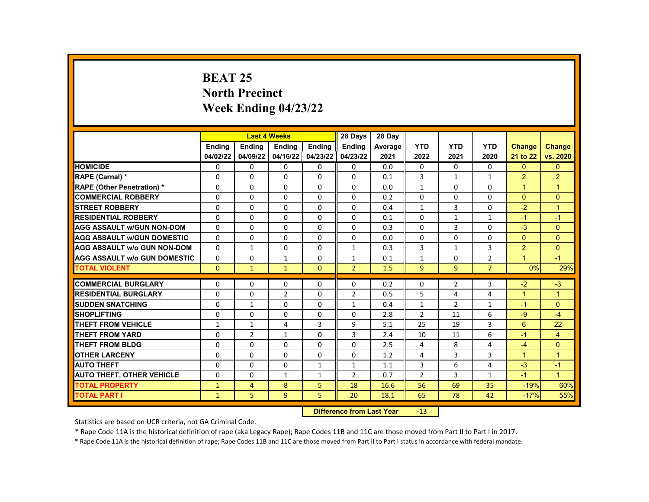# **BEAT 25 North Precinct Week Ending 04/23/22**

|                                     |               | <b>Last 4 Weeks</b> |                |              | 28 Days        | 28 Day  |                |                |                |                      |                      |
|-------------------------------------|---------------|---------------------|----------------|--------------|----------------|---------|----------------|----------------|----------------|----------------------|----------------------|
|                                     | Ending        | <b>Ending</b>       | <b>Ending</b>  | Ending       | <b>Endina</b>  | Average | <b>YTD</b>     | <b>YTD</b>     | <b>YTD</b>     | <b>Change</b>        | <b>Change</b>        |
|                                     | 04/02/22      | 04/09/22            | 04/16/22       | 04/23/22     | 04/23/22       | 2021    | 2022           | 2021           | 2020           | 21 to 22             | vs. 2020             |
| <b>HOMICIDE</b>                     | 0             | $\Omega$            | $\mathbf{0}$   | $\Omega$     | $\Omega$       | 0.0     | $\Omega$       | $\Omega$       | $\Omega$       | $\mathbf{0}$         | $\mathbf{0}$         |
| RAPE (Carnal) *                     | $\Omega$      | $\Omega$            | $\Omega$       | $\Omega$     | $\Omega$       | 0.1     | 3              | $\mathbf{1}$   | $\mathbf{1}$   | $\overline{2}$       | $\overline{2}$       |
| <b>RAPE (Other Penetration) *</b>   | $\Omega$      | $\Omega$            | 0              | $\Omega$     | $\Omega$       | 0.0     | $\mathbf{1}$   | $\Omega$       | $\Omega$       | $\overline{1}$       | $\mathbf{1}$         |
| <b>COMMERCIAL ROBBERY</b>           | $\Omega$      | $\mathbf{0}$        | 0              | $\Omega$     | $\Omega$       | 0.2     | $\Omega$       | $\Omega$       | $\Omega$       | $\Omega$             | $\Omega$             |
| <b>STREET ROBBERY</b>               | $\Omega$      | $\Omega$            | $\Omega$       | $\Omega$     | $\Omega$       | 0.4     | $\mathbf{1}$   | 3              | $\Omega$       | $-2$                 | $\overline{1}$       |
| <b>RESIDENTIAL ROBBERY</b>          | $\Omega$      | $\mathbf{0}$        | 0              | $\Omega$     | $\Omega$       | 0.1     | $\Omega$       | $\mathbf{1}$   | $\mathbf{1}$   | $-1$                 | $-1$                 |
| <b>AGG ASSAULT W/GUN NON-DOM</b>    | $\Omega$      | $\mathbf{0}$        | 0              | $\Omega$     | $\Omega$       | 0.3     | $\Omega$       | 3              | $\Omega$       | $-3$                 | $\mathbf{0}$         |
| <b>AGG ASSAULT W/GUN DOMESTIC</b>   | $\Omega$      | $\Omega$            | 0              | $\Omega$     | $\Omega$       | 0.0     | $\Omega$       | $\Omega$       | $\Omega$       | $\Omega$             | $\mathbf{0}$         |
| <b>AGG ASSAULT W/o GUN NON-DOM</b>  | $\Omega$      | $\mathbf{1}$        | $\Omega$       | $\Omega$     | $\mathbf{1}$   | 0.3     | 3              | $\mathbf{1}$   | 3              | $\overline{2}$       | $\Omega$             |
| <b>AGG ASSAULT W/o GUN DOMESTIC</b> | 0             | $\mathbf{0}$        | $\mathbf{1}$   | $\Omega$     | $\mathbf{1}$   | 0.1     | $\mathbf{1}$   | $\Omega$       | 2              | $\blacktriangleleft$ | $-1$                 |
| <b>TOTAL VIOLENT</b>                | $\Omega$      | $\mathbf{1}$        | $\mathbf{1}$   | $\mathbf{0}$ | $\overline{2}$ | 1.5     | 9              | 9              | $\overline{7}$ | 0%                   | 29%                  |
|                                     |               |                     |                |              |                |         |                |                |                |                      |                      |
| <b>COMMERCIAL BURGLARY</b>          | $\Omega$      | 0                   | 0              | $\Omega$     | $\Omega$       | 0.2     | $\Omega$       | $\overline{2}$ | 3              | $-2$                 | $-3$                 |
| <b>RESIDENTIAL BURGLARY</b>         | $\Omega$      | $\Omega$            | $\overline{2}$ | $\Omega$     | 2              | 0.5     | 5              | 4              | 4              | $\blacktriangleleft$ | $\overline{1}$       |
| <b>SUDDEN SNATCHING</b>             | $\Omega$      | $\mathbf{1}$        | $\Omega$       | $\Omega$     | $\mathbf{1}$   | 0.4     | $\mathbf{1}$   | $\overline{2}$ | $\mathbf{1}$   | $-1$                 | $\Omega$             |
| <b>SHOPLIFTING</b>                  | 0             | $\mathbf{0}$        | 0              | $\Omega$     | 0              | 2.8     | $\overline{2}$ | 11             | 6              | $-9$                 | $-4$                 |
| <b>THEFT FROM VEHICLE</b>           | $\mathbf{1}$  | $\mathbf{1}$        | 4              | 3            | 9              | 5.1     | 25             | 19             | 3              | 6                    | 22                   |
| <b>THEFT FROM YARD</b>              | $\Omega$      | $\overline{2}$      | $\mathbf{1}$   | $\Omega$     | 3              | 2.4     | 10             | 11             | 6              | $-1$                 | $\overline{4}$       |
| THEFT FROM BLDG                     | 0             | 0                   | 0              | $\Omega$     | $\Omega$       | 2.5     | 4              | 8              | 4              | $-4$                 | $\overline{0}$       |
| <b>OTHER LARCENY</b>                | $\Omega$      | $\mathbf{0}$        | $\Omega$       | $\Omega$     | $\Omega$       | 1.2     | 4              | $\overline{3}$ | 3              | $\blacktriangleleft$ | $\overline{1}$       |
| <b>AUTO THEFT</b>                   | $\Omega$      | $\mathbf{0}$        | 0              | $\mathbf{1}$ | $\mathbf{1}$   | 1.1     | 3              | 6              | 4              | $-3$                 | $-1$                 |
| <b>AUTO THEFT, OTHER VEHICLE</b>    | 0             | 0                   | $\mathbf{1}$   | $\mathbf{1}$ | $\overline{2}$ | 0.7     | $\overline{2}$ | 3              | $\mathbf{1}$   | $-1$                 | $\blacktriangleleft$ |
| <b>TOTAL PROPERTY</b>               | $\mathbf{1}$  | 4                   | 8              | 5            | 18             | 16.6    | 56             | 69             | 35             | $-19%$               | 60%                  |
| <b>TOTAL PART I</b>                 | $\mathbf{1}$  | 5.                  | 9              | 5            | 20             | 18.1    | 65             | 78             | 42             | $-17%$               | 55%                  |
|                                     | <b>INSECT</b> |                     |                |              |                |         |                |                |                |                      |                      |

**Difference from Last Year** -13

Statistics are based on UCR criteria, not GA Criminal Code.

\* Rape Code 11A is the historical definition of rape (aka Legacy Rape); Rape Codes 11B and 11C are those moved from Part II to Part I in 2017.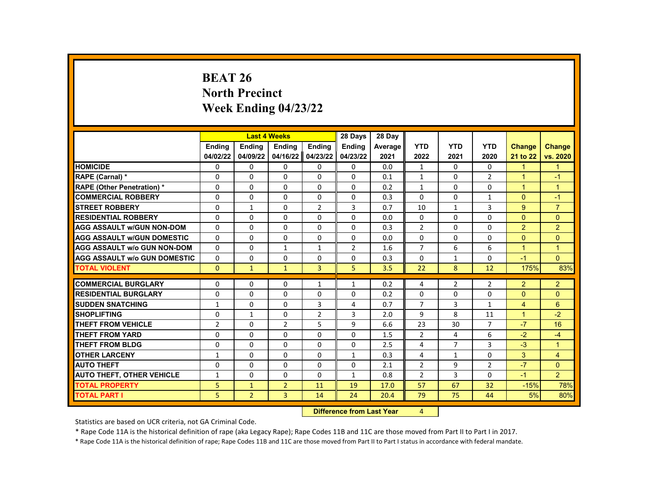# **BEAT 26 North Precinct Week Ending 04/23/22**

|                                     |                |                | <b>Last 4 Weeks</b> |                | 28 Days        | 28 Day  |                |                |                |                |                |
|-------------------------------------|----------------|----------------|---------------------|----------------|----------------|---------|----------------|----------------|----------------|----------------|----------------|
|                                     | Ending         | <b>Ending</b>  | <b>Ending</b>       | Ending         | <b>Ending</b>  | Average | <b>YTD</b>     | <b>YTD</b>     | <b>YTD</b>     | <b>Change</b>  | <b>Change</b>  |
|                                     | 04/02/22       | 04/09/22       | 04/16/22            | 04/23/22       | 04/23/22       | 2021    | 2022           | 2021           | 2020           | 21 to 22       | vs. 2020       |
| <b>HOMICIDE</b>                     | 0              | 0              | 0                   | 0              | 0              | 0.0     | $\mathbf{1}$   | $\Omega$       | 0              | $\mathbf{1}$   | $\mathbf{1}$   |
| RAPE (Carnal) *                     | 0              | $\Omega$       | $\Omega$            | $\Omega$       | $\Omega$       | 0.1     | $\mathbf{1}$   | $\Omega$       | $\overline{2}$ | $\mathbf{1}$   | $-1$           |
| <b>RAPE (Other Penetration)*</b>    | $\Omega$       | $\Omega$       | $\Omega$            | $\Omega$       | $\Omega$       | 0.2     | $\mathbf{1}$   | $\Omega$       | $\Omega$       | $\mathbf{1}$   | $\mathbf{1}$   |
| <b>COMMERCIAL ROBBERY</b>           | $\Omega$       | 0              | $\Omega$            | 0              | 0              | 0.3     | $\Omega$       | 0              | 1              | $\Omega$       | $-1$           |
| <b>STREET ROBBERY</b>               | 0              | $\mathbf{1}$   | $\Omega$            | $\overline{2}$ | 3              | 0.7     | 10             | $\mathbf{1}$   | 3              | 9              | $\overline{7}$ |
| <b>RESIDENTIAL ROBBERY</b>          | $\Omega$       | $\Omega$       | $\Omega$            | $\Omega$       | $\Omega$       | 0.0     | $\Omega$       | $\Omega$       | $\Omega$       | $\Omega$       | $\Omega$       |
| <b>AGG ASSAULT w/GUN NON-DOM</b>    | $\Omega$       | $\Omega$       | $\Omega$            | $\Omega$       | $\Omega$       | 0.3     | $\overline{2}$ | $\Omega$       | $\Omega$       | 2              | $\overline{2}$ |
| <b>AGG ASSAULT w/GUN DOMESTIC</b>   | 0              | 0              | 0                   | 0              | 0              | 0.0     | 0              | 0              | 0              | $\Omega$       | $\mathbf{0}$   |
| <b>AGG ASSAULT w/o GUN NON-DOM</b>  | $\Omega$       | $\Omega$       | $\mathbf{1}$        | $\mathbf{1}$   | $\overline{2}$ | 1.6     | $\overline{7}$ | 6              | 6              | $\mathbf{1}$   | $\mathbf{1}$   |
| <b>AGG ASSAULT w/o GUN DOMESTIC</b> | $\Omega$       | 0              | $\Omega$            | $\Omega$       | 0              | 0.3     | 0              | $\mathbf{1}$   | $\Omega$       | $-1$           | $\overline{0}$ |
| <b>TOTAL VIOLENT</b>                | $\Omega$       | $\mathbf{1}$   | $\mathbf{1}$        | 3              | 5.             | 3.5     | 22             | 8              | 12             | 175%           | 83%            |
|                                     |                |                |                     |                |                |         |                |                |                |                |                |
| <b>COMMERCIAL BURGLARY</b>          | 0              | 0              | 0                   | 1              | 1              | 0.2     | 4              | $\overline{2}$ | $\overline{2}$ | $\overline{2}$ | $\overline{2}$ |
| <b>RESIDENTIAL BURGLARY</b>         | $\Omega$       | $\Omega$       | $\Omega$            | $\Omega$       | $\Omega$       | 0.2     | $\Omega$       | $\Omega$       | $\Omega$       | $\Omega$       | $\mathbf{0}$   |
| <b>SUDDEN SNATCHING</b>             | $\mathbf{1}$   | $\Omega$       | $\Omega$            | 3              | $\overline{4}$ | 0.7     | $\overline{7}$ | 3              | $\mathbf{1}$   | $\overline{4}$ | 6              |
| <b>SHOPLIFTING</b>                  | 0              | $\mathbf{1}$   | 0                   | $\overline{2}$ | 3              | 2.0     | 9              | 8              | 11             | $\mathbf{1}$   | $-2$           |
| <b>THEFT FROM VEHICLE</b>           | $\overline{2}$ | $\Omega$       | $\overline{2}$      | 5              | 9              | 6.6     | 23             | 30             | $\overline{7}$ | $-7$           | 16             |
| <b>THEFT FROM YARD</b>              | $\Omega$       | $\Omega$       | $\Omega$            | $\Omega$       | $\Omega$       | 1.5     | $\overline{2}$ | 4              | 6              | $-2$           | $-4$           |
| <b>THEFT FROM BLDG</b>              | 0              | 0              | 0                   | 0              | 0              | 2.5     | 4              | $\overline{7}$ | 3              | $-3$           | $\mathbf{1}$   |
| <b>OTHER LARCENY</b>                | $\mathbf{1}$   | $\Omega$       | $\Omega$            | $\Omega$       | $\mathbf{1}$   | 0.3     | 4              | $\mathbf{1}$   | $\Omega$       | 3              | $\overline{4}$ |
| <b>AUTO THEFT</b>                   | $\Omega$       | $\Omega$       | $\Omega$            | $\Omega$       | $\Omega$       | 2.1     | $\overline{2}$ | 9              | $\overline{2}$ | $-7$           | $\Omega$       |
| <b>AUTO THEFT, OTHER VEHICLE</b>    | $\mathbf{1}$   | 0              | 0                   | 0              | 1              | 0.8     | $\overline{2}$ | 3              | 0              | $-1$           | $\overline{2}$ |
| <b>TOTAL PROPERTY</b>               | 5              | $\mathbf{1}$   | $\overline{2}$      | 11             | 19             | 17.0    | 57             | 67             | 32             | $-15%$         | 78%            |
| <b>TOTAL PART I</b>                 | 5              | $\overline{2}$ | 3                   | 14             | 24             | 20.4    | 79             | 75             | 44             | 5%             | 80%            |
|                                     |                |                |                     | <b>INSECUL</b> |                |         |                |                |                |                |                |

**Difference from Last Year** 4

Statistics are based on UCR criteria, not GA Criminal Code.

\* Rape Code 11A is the historical definition of rape (aka Legacy Rape); Rape Codes 11B and 11C are those moved from Part II to Part I in 2017.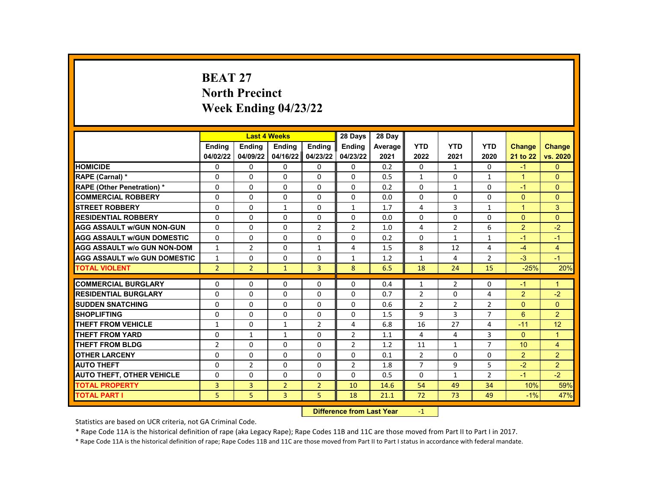# **BEAT 27 North Precinct Week Ending 04/23/22**

|                                     |                | <b>Last 4 Weeks</b> |                |                | 28 Days                   | 28 Day  |                |                |                         |                |                |
|-------------------------------------|----------------|---------------------|----------------|----------------|---------------------------|---------|----------------|----------------|-------------------------|----------------|----------------|
|                                     | <b>Endina</b>  | <b>Endina</b>       | <b>Endina</b>  | <b>Endina</b>  | <b>Endina</b>             | Average | <b>YTD</b>     | <b>YTD</b>     | <b>YTD</b>              | <b>Change</b>  | <b>Change</b>  |
|                                     | 04/02/22       | 04/09/22            | 04/16/22       | 04/23/22       | 04/23/22                  | 2021    | 2022           | 2021           | 2020                    | 21 to 22       | vs. 2020       |
| <b>HOMICIDE</b>                     | 0              | 0                   | 0              | 0              | 0                         | 0.2     | $\mathbf{0}$   | $\mathbf{1}$   | 0                       | $-1$           | $\Omega$       |
| RAPE (Carnal) *                     | 0              | 0                   | 0              | 0              | $\Omega$                  | 0.5     | $\mathbf{1}$   | 0              | $\mathbf{1}$            | $\mathbf{1}$   | $\Omega$       |
| <b>RAPE (Other Penetration) *</b>   | 0              | $\Omega$            | $\Omega$       | $\Omega$       | $\Omega$                  | 0.2     | $\Omega$       | $\mathbf{1}$   | $\Omega$                | $-1$           | $\Omega$       |
| <b>COMMERCIAL ROBBERY</b>           | 0              | 0                   | 0              | 0              | 0                         | 0.0     | $\Omega$       | 0              | 0                       | $\mathbf{0}$   | $\mathbf{0}$   |
| <b>STREET ROBBERY</b>               | 0              | $\Omega$            | $\mathbf{1}$   | $\Omega$       | $\mathbf{1}$              | 1.7     | 4              | $\overline{3}$ | $\mathbf{1}$            | $\mathbf{1}$   | 3              |
| <b>RESIDENTIAL ROBBERY</b>          | $\Omega$       | $\Omega$            | $\Omega$       | $\Omega$       | $\Omega$                  | 0.0     | $\Omega$       | $\Omega$       | $\Omega$                | $\Omega$       | $\Omega$       |
| <b>AGG ASSAULT w/GUN NON-GUN</b>    | $\Omega$       | $\Omega$            | $\Omega$       | $\overline{2}$ | $\overline{2}$            | 1.0     | 4              | $\overline{2}$ | 6                       | $\overline{2}$ | $-2$           |
| <b>AGG ASSAULT w/GUN DOMESTIC</b>   | $\Omega$       | $\Omega$            | 0              | 0              | $\Omega$                  | 0.2     | $\Omega$       | $\mathbf{1}$   | $\mathbf{1}$            | $-1$           | $-1$           |
| <b>AGG ASSAULT w/o GUN NON-DOM</b>  | $\mathbf{1}$   | $\overline{2}$      | $\Omega$       | $\mathbf{1}$   | $\overline{4}$            | 1.5     | 8              | 12             | $\overline{\mathbf{A}}$ | $-4$           | $\overline{4}$ |
| <b>AGG ASSAULT w/o GUN DOMESTIC</b> | 1              | 0                   | 0              | 0              | $\mathbf{1}$              | 1.2     | $\mathbf{1}$   | 4              | 2                       | $-3$           | $-1$           |
| <b>TOTAL VIOLENT</b>                | $\overline{2}$ | $\overline{2}$      | $\mathbf{1}$   | $\overline{3}$ | 8                         | 6.5     | 18             | 24             | 15                      | $-25%$         | 20%            |
| <b>COMMERCIAL BURGLARY</b>          |                |                     |                |                |                           |         |                |                |                         |                | 1              |
|                                     | 0              | 0                   | 0              | 0              | 0                         | 0.4     | $\mathbf{1}$   | 2              | 0                       | $-1$           |                |
| <b>RESIDENTIAL BURGLARY</b>         | 0              | 0                   | 0              | 0              | 0                         | 0.7     | $\overline{2}$ | 0              | 4                       | $\overline{2}$ | $-2$           |
| <b>SUDDEN SNATCHING</b>             | $\Omega$       | $\Omega$            | $\Omega$       | $\Omega$       | $\Omega$                  | 0.6     | $\overline{2}$ | $\overline{2}$ | $\overline{2}$          | $\Omega$       | $\Omega$       |
| <b>SHOPLIFTING</b>                  | 0              | $\Omega$            | $\Omega$       | 0              | 0                         | 1.5     | 9              | 3              | $\overline{7}$          | 6              | $\overline{2}$ |
| <b>THEFT FROM VEHICLE</b>           | $\mathbf{1}$   | 0                   | $\mathbf{1}$   | $\overline{2}$ | 4                         | 6.8     | 16             | 27             | 4                       | $-11$          | 12             |
| <b>THEFT FROM YARD</b>              | $\Omega$       | $\mathbf{1}$        | $\mathbf{1}$   | $\Omega$       | $\overline{2}$            | 1.1     | 4              | 4              | 3                       | $\Omega$       | $\overline{1}$ |
| <b>THEFT FROM BLDG</b>              | $\overline{2}$ | $\Omega$            | 0              | $\Omega$       | $\overline{2}$            | 1.2     | 11             | $\mathbf{1}$   | 7                       | 10             | $\overline{4}$ |
| <b>OTHER LARCENY</b>                | $\Omega$       | $\Omega$            | $\Omega$       | $\Omega$       | $\Omega$                  | 0.1     | $\overline{2}$ | $\Omega$       | $\Omega$                | $\overline{2}$ | $\overline{2}$ |
| <b>AUTO THEFT</b>                   | 0              | $\overline{2}$      | 0              | 0              | $\overline{2}$            | 1.8     | $\overline{7}$ | 9              | 5                       | $-2$           | $\overline{2}$ |
| <b>AUTO THEFT, OTHER VEHICLE</b>    | 0              | 0                   | $\Omega$       | 0              | 0                         | 0.5     | $\mathbf{0}$   | $\mathbf{1}$   | $\overline{2}$          | $-1$           | $-2$           |
| <b>TOTAL PROPERTY</b>               | 3              | $\overline{3}$      | $\overline{2}$ | $\overline{2}$ | 10                        | 14.6    | 54             | 49             | 34                      | 10%            | 59%            |
| <b>TOTAL PART I</b>                 | 5              | 5                   | 3              | 5              | 18                        | 21.1    | 72             | 73             | 49                      | $-1%$          | 47%            |
|                                     |                |                     |                | <b>INSECUL</b> | a a dheanna 1 anns a Mara |         | $\overline{A}$ |                |                         |                |                |

**Difference from Last Year** -1

Statistics are based on UCR criteria, not GA Criminal Code.

\* Rape Code 11A is the historical definition of rape (aka Legacy Rape); Rape Codes 11B and 11C are those moved from Part II to Part I in 2017.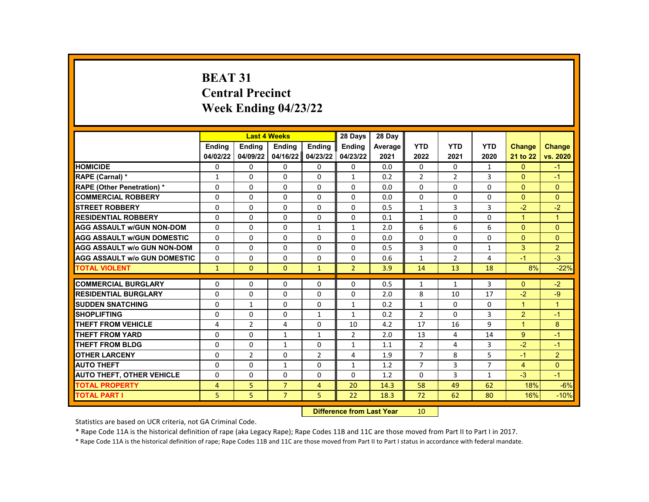# **BEAT 31 Central Precinct Week Ending 04/23/22**

|                                                           |               |                     | <b>Last 4 Weeks</b> |                     | 28 Days                   | 28 Day  |                 |                |                |                |                 |
|-----------------------------------------------------------|---------------|---------------------|---------------------|---------------------|---------------------------|---------|-----------------|----------------|----------------|----------------|-----------------|
|                                                           | <b>Endina</b> | <b>Ending</b>       | <b>Ending</b>       | <b>Ending</b>       | <b>Endina</b>             | Average | <b>YTD</b>      | <b>YTD</b>     | <b>YTD</b>     | <b>Change</b>  | <b>Change</b>   |
|                                                           | 04/02/22      | 04/09/22            | 04/16/22            | 04/23/22            | 04/23/22                  | 2021    | 2022            | 2021           | 2020           | 21 to 22       | vs. 2020        |
| <b>HOMICIDE</b>                                           | 0             | 0                   | 0                   | 0                   | 0                         | 0.0     | $\mathbf{0}$    | $\mathbf{0}$   | 1              | $\mathbf{0}$   | $-1$            |
| RAPE (Carnal) *                                           | 1             | 0                   | $\Omega$            | $\mathbf 0$         | 1                         | 0.2     | $\overline{2}$  | $\overline{2}$ | 3              | $\Omega$       | $-1$            |
| <b>RAPE (Other Penetration) *</b>                         | $\Omega$      | $\Omega$            | $\Omega$            | $\Omega$            | $\Omega$                  | 0.0     | $\Omega$        | $\Omega$       | $\Omega$       | $\Omega$       | $\Omega$        |
| <b>COMMERCIAL ROBBERY</b>                                 | $\Omega$      | $\Omega$            | $\Omega$            | $\Omega$            | $\Omega$                  | 0.0     | $\Omega$        | 0              | 0              | $\Omega$       | $\Omega$        |
| <b>STREET ROBBERY</b>                                     | 0             | 0                   | 0                   | 0                   | 0                         | 0.5     | $\mathbf{1}$    | 3              | 3              | $-2$           | $-2$            |
| <b>RESIDENTIAL ROBBERY</b>                                | $\Omega$      | $\Omega$            | $\Omega$            | $\Omega$            | 0                         | 0.1     | $\mathbf{1}$    | $\Omega$       | $\Omega$       | $\mathbf{1}$   | $\overline{1}$  |
| <b>AGG ASSAULT w/GUN NON-DOM</b>                          | $\Omega$      | 0                   | $\Omega$            | $\mathbf{1}$        | $\mathbf{1}$              | 2.0     | 6               | 6              | 6              | $\Omega$       | $\Omega$        |
| <b>AGG ASSAULT w/GUN DOMESTIC</b>                         | $\Omega$      | $\Omega$            | $\Omega$            | $\Omega$            | $\Omega$                  | 0.0     | $\Omega$        | $\Omega$       | $\Omega$       | $\Omega$       | $\Omega$        |
| <b>AGG ASSAULT w/o GUN NON-DOM</b>                        | $\Omega$      | $\Omega$            | $\Omega$            | $\Omega$            | $\Omega$                  | 0.5     | 3               | $\Omega$       | $\mathbf{1}$   | 3              | 2               |
| <b>AGG ASSAULT w/o GUN DOMESTIC</b>                       | $\Omega$      | 0                   | 0                   | 0                   | 0                         | 0.6     | $\mathbf{1}$    | $\overline{2}$ | 4              | $-1$           | $-3$            |
| <b>TOTAL VIOLENT</b>                                      | $\mathbf{1}$  | $\mathbf{0}$        | $\mathbf{0}$        | $\mathbf{1}$        | $\overline{2}$            | 3.9     | 14              | 13             | 18             | 8%             | $-22%$          |
| <b>COMMERCIAL BURGLARY</b>                                | 0             | 0                   | 0                   |                     | 0                         | 0.5     | 1               | 1              | 3              | $\Omega$       | $-2$            |
| <b>RESIDENTIAL BURGLARY</b>                               | $\Omega$      | 0                   | $\Omega$            | 0<br>0              | $\Omega$                  | 2.0     | 8               | 10             | 17             | $-2$           | $-9$            |
| <b>SUDDEN SNATCHING</b>                                   | $\Omega$      | $\mathbf{1}$        | $\Omega$            | $\Omega$            | $\mathbf{1}$              | 0.2     | $\mathbf{1}$    | $\Omega$       | $\Omega$       | $\mathbf{1}$   | $\mathbf{1}$    |
| <b>SHOPLIFTING</b>                                        |               |                     | 0                   | $\mathbf{1}$        | 1                         | 0.2     | $\overline{2}$  | $\Omega$       | 3              | $\overline{2}$ | $-1$            |
| <b>THEFT FROM VEHICLE</b>                                 | 0             | 0<br>$\overline{2}$ |                     | 0                   | 10                        | 4.2     | 17              | 16             | 9              | $\mathbf{1}$   | 8               |
| <b>THEFT FROM YARD</b>                                    | 4<br>$\Omega$ | $\Omega$            | 4<br>$\mathbf{1}$   | $\mathbf{1}$        | $\overline{2}$            | 2.0     | 13              | 4              | 14             | 9              | $-1$            |
| <b>THEFT FROM BLDG</b>                                    | $\Omega$      | $\Omega$            | $\mathbf{1}$        | $\Omega$            | $\mathbf{1}$              | 1.1     | $\overline{2}$  | 4              | 3              | $-2$           | $-1$            |
| <b>OTHER LARCENY</b>                                      | 0             | $\overline{2}$      | 0                   | $\overline{2}$      |                           | 1.9     | $\overline{7}$  | 8              | 5              | $-1$           | 2               |
| <b>AUTO THEFT</b>                                         | 0             | $\Omega$            | $\mathbf{1}$        | $\Omega$            | 4<br>$\mathbf{1}$         | 1.2     | $\overline{7}$  | 3              | $\overline{7}$ | 4              | $\Omega$        |
|                                                           | $\Omega$      | $\Omega$            | $\Omega$            | $\Omega$            | 0                         | 1.2     | $\Omega$        | 3              | $\mathbf{1}$   | $-3$           | $-1$            |
| <b>AUTO THEFT, OTHER VEHICLE</b><br><b>TOTAL PROPERTY</b> |               |                     | $\overline{7}$      |                     | 20                        | 14.3    | 58              | 49             | 62             | 18%            |                 |
| <b>TOTAL PART I</b>                                       | 4<br>5        | 5<br>5              | $\overline{7}$      | $\overline{4}$<br>5 |                           |         | 72              | 62             | 80             |                | $-6%$<br>$-10%$ |
|                                                           |               |                     |                     |                     | 22                        | 18.3    |                 |                |                | 16%            |                 |
|                                                           |               |                     |                     |                     | Difference from Loot Voor |         | 10 <sub>1</sub> |                |                |                |                 |

**Difference from Last Year** 10

Statistics are based on UCR criteria, not GA Criminal Code.

\* Rape Code 11A is the historical definition of rape (aka Legacy Rape); Rape Codes 11B and 11C are those moved from Part II to Part I in 2017.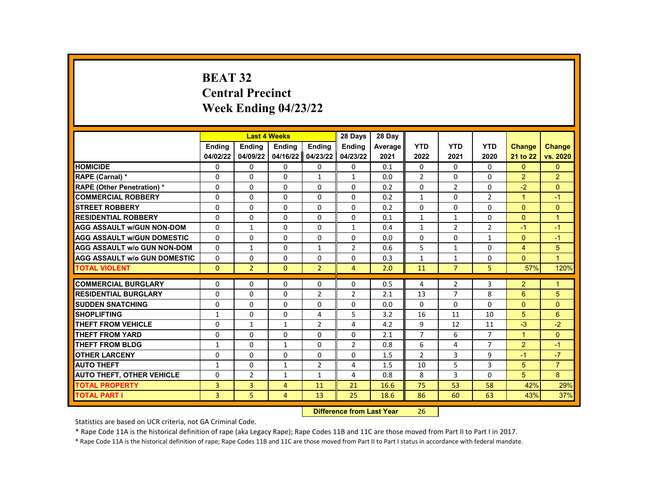# **BEAT 32 Central Precinct Week Ending 04/23/22**

|                                     |               |                          | <b>Last 4 Weeks</b> |                     | 28 Days                   | 28 Day     |                |                |                |                |                |
|-------------------------------------|---------------|--------------------------|---------------------|---------------------|---------------------------|------------|----------------|----------------|----------------|----------------|----------------|
|                                     | <b>Endina</b> | <b>Ending</b>            | <b>Ending</b>       | <b>Ending</b>       | Ending                    | Average    | <b>YTD</b>     | <b>YTD</b>     | <b>YTD</b>     | <b>Change</b>  | <b>Change</b>  |
|                                     | 04/02/22      | 04/09/22                 | 04/16/22            | 04/23/22            | 04/23/22                  | 2021       | 2022           | 2021           | 2020           | 21 to 22       | vs. 2020       |
| <b>HOMICIDE</b>                     | 0             | 0                        | 0                   | 0                   | 0                         | 0.1        | 0              | $\mathbf{0}$   | 0              | $\mathbf{0}$   | $\mathbf{0}$   |
| RAPE (Carnal) *                     | 0             | $\Omega$                 | $\Omega$            | $\mathbf{1}$        | $\mathbf{1}$              | 0.0        | $\overline{2}$ | $\Omega$       | $\Omega$       | $\overline{2}$ | $\overline{2}$ |
| <b>RAPE (Other Penetration) *</b>   | $\Omega$      | $\Omega$                 | $\Omega$            | $\Omega$            | $\Omega$                  | 0.2        | $\Omega$       | $\overline{2}$ | $\Omega$       | $-2$           | $\Omega$       |
| <b>COMMERCIAL ROBBERY</b>           | $\Omega$      | 0                        | 0                   | 0                   | 0                         | 0.2        | $\mathbf{1}$   | $\Omega$       | $\overline{2}$ | $\mathbf{1}$   | $-1$           |
| <b>STREET ROBBERY</b>               | $\Omega$      | $\Omega$                 | $\Omega$            | $\Omega$            | $\Omega$                  | 0.2        | $\Omega$       | $\Omega$       | $\Omega$       | $\Omega$       | $\mathbf{0}$   |
| <b>RESIDENTIAL ROBBERY</b>          | $\Omega$      | $\Omega$                 | $\Omega$            | $\Omega$            | $\Omega$                  | 0.1        | $\mathbf{1}$   | $\mathbf{1}$   | $\Omega$       | $\Omega$       | $\mathbf{1}$   |
| <b>AGG ASSAULT w/GUN NON-DOM</b>    | $\Omega$      | 1                        | 0                   | 0                   | 1                         | 0.4        | $\mathbf{1}$   | $\overline{2}$ | $\overline{2}$ | $-1$           | $-1$           |
| <b>AGG ASSAULT w/GUN DOMESTIC</b>   | $\Omega$      | $\Omega$                 | $\Omega$            | $\Omega$            | $\Omega$                  | 0.0        | $\Omega$       | $\Omega$       | $\mathbf{1}$   | $\Omega$       | $-1$           |
| <b>AGG ASSAULT w/o GUN NON-DOM</b>  | $\Omega$      | $\mathbf{1}$             | $\Omega$            | $\mathbf{1}$        | $\overline{2}$            | 0.6        | 5              | $\mathbf{1}$   | $\Omega$       | $\overline{4}$ | 5              |
| <b>AGG ASSAULT w/o GUN DOMESTIC</b> | 0             | 0                        | 0                   | 0                   | 0                         | 0.3        | $\mathbf{1}$   | 1              | 0              | $\Omega$       | $\overline{1}$ |
| <b>TOTAL VIOLENT</b>                | $\mathbf{0}$  | $\overline{2}$           | $\mathbf{0}$        | $\overline{2}$      | $\overline{4}$            | 2.0        | 11             | $\overline{7}$ | 5              | 57%            | 120%           |
| <b>COMMERCIAL BURGLARY</b>          | 0             | 0                        | 0                   | 0                   | $\Omega$                  | 0.5        | 4              | $\overline{2}$ | 3              | $\overline{2}$ | $\mathbf 1$    |
| <b>RESIDENTIAL BURGLARY</b>         | $\Omega$      | $\Omega$                 | $\Omega$            | $\overline{2}$      | $\overline{2}$            | 2.1        | 13             | $\overline{7}$ | 8              | 6              | 5              |
| <b>SUDDEN SNATCHING</b>             | $\Omega$      | $\Omega$                 | $\Omega$            | $\Omega$            | $\Omega$                  | 0.0        | $\Omega$       | $\Omega$       | $\Omega$       | $\Omega$       | $\Omega$       |
| <b>SHOPLIFTING</b>                  | $\mathbf{1}$  | 0                        | 0                   | 4                   | 5                         | 3.2        | 16             | 11             | 10             | 5              | 6              |
| <b>THEFT FROM VEHICLE</b>           | $\Omega$      |                          | $\mathbf{1}$        | $\overline{2}$      | 4                         | 4.2        | 9              | 12             | 11             | $-3$           | $-2$           |
| <b>THEFT FROM YARD</b>              | $\Omega$      | $\mathbf{1}$<br>$\Omega$ | $\Omega$            | $\Omega$            | $\Omega$                  | 2.1        | $\overline{7}$ | 6              | $\overline{7}$ | $\mathbf{1}$   | $\Omega$       |
| <b>THEFT FROM BLDG</b>              | $\mathbf{1}$  | $\Omega$                 | $\mathbf{1}$        | $\Omega$            | $\overline{2}$            | 0.8        | 6              | 4              | $\overline{7}$ | $\overline{2}$ | $-1$           |
| <b>OTHER LARCENY</b>                |               |                          | $\Omega$            |                     |                           |            | $\overline{2}$ |                |                | $-1$           | $-7$           |
| <b>AUTO THEFT</b>                   | 0             | 0<br>0                   | $\mathbf{1}$        | 0<br>$\overline{2}$ | 0<br>4                    | 1.5<br>1.5 | 10             | 3<br>5         | 9<br>3         | 5              | $\overline{7}$ |
|                                     | 1<br>$\Omega$ |                          |                     |                     | 4                         |            | 8              | 3              | $\Omega$       | 5              | 8              |
| <b>AUTO THEFT, OTHER VEHICLE</b>    |               | $\overline{2}$           | $\mathbf{1}$        | $\mathbf{1}$        |                           | 0.8        |                |                |                |                |                |
| <b>TOTAL PROPERTY</b>               | 3             | 3                        | $\overline{4}$      | 11                  | 21                        | 16.6       | 75             | 53             | 58             | 42%            | 29%            |
| <b>TOTAL PART I</b>                 | 3             | 5                        | $\overline{4}$      | 13                  | 25                        | 18.6       | 86             | 60             | 63             | 43%            | 37%            |
|                                     |               |                          |                     |                     | Difference from Loot Voor |            | nc.            |                |                |                |                |

**Difference from Last Year** 26

Statistics are based on UCR criteria, not GA Criminal Code.

\* Rape Code 11A is the historical definition of rape (aka Legacy Rape); Rape Codes 11B and 11C are those moved from Part II to Part I in 2017.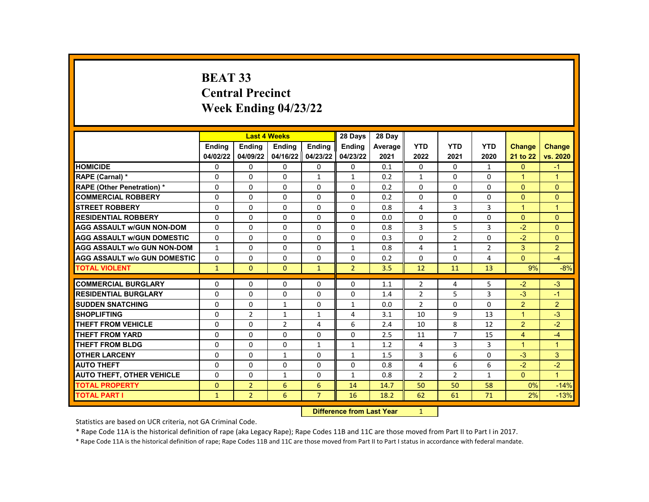# **BEAT 33 Central Precinct Week Ending 04/23/22**

|                                     |              |                | <b>Last 4 Weeks</b> |                   | 28 Days        | 28 Day  |                |                |                |                      |                      |
|-------------------------------------|--------------|----------------|---------------------|-------------------|----------------|---------|----------------|----------------|----------------|----------------------|----------------------|
|                                     | Ending       | <b>Ending</b>  | Ending              | Ending            | <b>Ending</b>  | Average | <b>YTD</b>     | <b>YTD</b>     | <b>YTD</b>     | <b>Change</b>        | <b>Change</b>        |
|                                     | 04/02/22     | 04/09/22       |                     | 04/16/22 04/23/22 | 04/23/22       | 2021    | 2022           | 2021           | 2020           | 21 to 22             | vs. 2020             |
| <b>HOMICIDE</b>                     | 0            | 0              | 0                   | $\mathbf{0}$      | 0              | 0.1     | 0              | 0              | $\mathbf{1}$   | $\mathbf{0}$         | $-1$                 |
| RAPE (Carnal) *                     | 0            | $\Omega$       | 0                   | $\mathbf{1}$      | $\mathbf{1}$   | 0.2     | $\mathbf{1}$   | $\Omega$       | $\Omega$       | $\blacktriangleleft$ | $\overline{1}$       |
| <b>RAPE (Other Penetration) *</b>   | $\Omega$     | 0              | $\Omega$            | $\Omega$          | $\Omega$       | 0.2     | $\Omega$       | $\Omega$       | $\Omega$       | $\Omega$             | $\mathbf{0}$         |
| <b>COMMERCIAL ROBBERY</b>           | 0            | 0              | 0                   | $\mathbf{0}$      | 0              | 0.2     | $\Omega$       | 0              | 0              | $\mathbf{0}$         | $\mathbf{0}$         |
| <b>STREET ROBBERY</b>               | 0            | $\Omega$       | 0                   | $\Omega$          | 0              | 0.8     | $\overline{4}$ | 3              | 3              | $\mathbf{1}$         | $\overline{1}$       |
| <b>RESIDENTIAL ROBBERY</b>          | $\Omega$     | $\Omega$       | $\Omega$            | $\Omega$          | $\Omega$       | 0.0     | $\Omega$       | $\Omega$       | $\Omega$       | $\Omega$             | $\Omega$             |
| <b>AGG ASSAULT w/GUN NON-DOM</b>    | $\Omega$     | $\Omega$       | $\Omega$            | $\mathbf{0}$      | $\Omega$       | 0.8     | 3              | 5              | 3              | $-2$                 | $\Omega$             |
| <b>AGG ASSAULT W/GUN DOMESTIC</b>   | 0            | 0              | 0                   | 0                 | 0              | 0.3     | 0              | $\overline{2}$ | 0              | $-2$                 | $\Omega$             |
| <b>AGG ASSAULT W/o GUN NON-DOM</b>  | $\mathbf{1}$ | $\mathbf 0$    | $\Omega$            | $\Omega$          | $\mathbf{1}$   | 0.8     | $\overline{4}$ | $\mathbf{1}$   | $\overline{2}$ | 3                    | $\overline{2}$       |
| <b>AGG ASSAULT W/o GUN DOMESTIC</b> | 0            | 0              | 0                   | $\mathbf{0}$      | $\Omega$       | 0.2     | $\Omega$       | $\Omega$       | 4              | $\Omega$             | $-4$                 |
| <b>TOTAL VIOLENT</b>                | $\mathbf{1}$ | $\mathbf{0}$   | $\Omega$            | $\mathbf{1}$      | $\overline{2}$ | 3.5     | 12             | 11             | 13             | 9%                   | $-8%$                |
|                                     |              |                |                     |                   |                |         |                |                |                |                      |                      |
| <b>COMMERCIAL BURGLARY</b>          | 0            | 0              | 0                   | $\mathbf{0}$      | 0              | 1.1     | $\overline{2}$ | 4              | 5              | $-2$                 | $-3$                 |
| <b>RESIDENTIAL BURGLARY</b>         | $\mathbf 0$  | $\mathbf 0$    | $\Omega$            | $\Omega$          | $\Omega$       | 1.4     | $\overline{2}$ | 5              | 3              | $-3$                 | $-1$                 |
| <b>SUDDEN SNATCHING</b>             | $\Omega$     | $\Omega$       | $\mathbf{1}$        | 0                 | $\mathbf{1}$   | 0.0     | $\overline{2}$ | $\Omega$       | $\Omega$       | $\overline{2}$       | $\overline{2}$       |
| <b>SHOPLIFTING</b>                  | 0            | $\overline{2}$ | $\mathbf{1}$        | $\mathbf{1}$      | 4              | 3.1     | 10             | 9              | 13             | $\mathbf{1}$         | $-3$                 |
| <b>THEFT FROM VEHICLE</b>           | $\mathbf 0$  | 0              | $\overline{2}$      | 4                 | 6              | 2.4     | 10             | 8              | 12             | 2                    | $-2$                 |
| <b>THEFT FROM YARD</b>              | $\Omega$     | $\Omega$       | $\Omega$            | $\Omega$          | $\Omega$       | 2.5     | 11             | $\overline{7}$ | 15             | $\overline{4}$       | $-4$                 |
| <b>THEFT FROM BLDG</b>              | 0            | $\Omega$       | $\Omega$            | $\mathbf{1}$      | $\mathbf{1}$   | 1.2     | 4              | 3              | 3              | $\mathbf{1}$         | $\mathbf{1}$         |
| <b>OTHER LARCENY</b>                | $\Omega$     | $\Omega$       | $\mathbf{1}$        | $\Omega$          | $\mathbf{1}$   | 1.5     | 3              | 6              | $\Omega$       | $-3$                 | 3                    |
| <b>AUTO THEFT</b>                   | $\Omega$     | $\Omega$       | 0                   | $\Omega$          | $\Omega$       | 0.8     | $\overline{4}$ | 6              | 6              | $-2$                 | $-2$                 |
| <b>AUTO THEFT, OTHER VEHICLE</b>    | 0            | 0              | $\mathbf{1}$        | $\mathbf{0}$      | $\mathbf{1}$   | 0.8     | $\overline{2}$ | $\overline{2}$ | 1              | $\overline{0}$       | $\blacktriangleleft$ |
| <b>TOTAL PROPERTY</b>               | $\mathbf{0}$ | $\overline{2}$ | 6                   | 6                 | 14             | 14.7    | 50             | 50             | 58             | 0%                   | $-14%$               |
| <b>TOTAL PART I</b>                 | $\mathbf{1}$ | $\overline{2}$ | 6                   | $\overline{7}$    | 16             | 18.2    | 62             | 61             | 71             | 2%                   | $-13%$               |
|                                     |              |                |                     | <b>INSECUL</b>    |                |         |                |                |                |                      |                      |

**Difference from Last Year** 1

Statistics are based on UCR criteria, not GA Criminal Code.

\* Rape Code 11A is the historical definition of rape (aka Legacy Rape); Rape Codes 11B and 11C are those moved from Part II to Part I in 2017.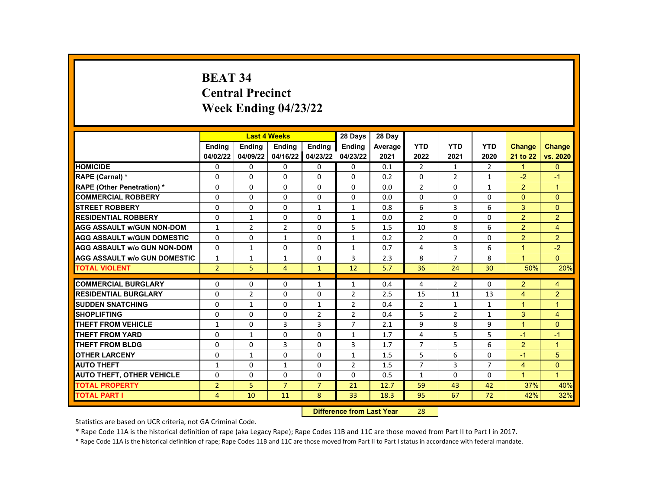# **BEAT 34 Central Precinct Week Ending 04/23/22**

|                                     |                | <b>Last 4 Weeks</b> |                |                | 28 Days        | 28 Day  |                |                |                |                |                      |
|-------------------------------------|----------------|---------------------|----------------|----------------|----------------|---------|----------------|----------------|----------------|----------------|----------------------|
|                                     | Ending         | <b>Ending</b>       | Ending         | Ending         | <b>Ending</b>  | Average | <b>YTD</b>     | <b>YTD</b>     | <b>YTD</b>     | <b>Change</b>  | <b>Change</b>        |
|                                     | 04/02/22       | 04/09/22            | 04/16/22       | 04/23/22       | 04/23/22       | 2021    | 2022           | 2021           | 2020           | 21 to 22       | vs. 2020             |
| <b>HOMICIDE</b>                     | 0              | 0                   | 0              | 0              | 0              | 0.1     | $\overline{2}$ | $\mathbf{1}$   | $\overline{2}$ | $\mathbf{1}$   | $\mathbf{0}$         |
| RAPE (Carnal) *                     | $\Omega$       | $\Omega$            | $\Omega$       | $\Omega$       | 0              | 0.2     | 0              | $\overline{2}$ | $\mathbf{1}$   | $-2$           | $-1$                 |
| <b>RAPE (Other Penetration) *</b>   | $\Omega$       | $\Omega$            | $\Omega$       | 0              | $\Omega$       | 0.0     | $\overline{2}$ | $\Omega$       | $\mathbf{1}$   | $\overline{2}$ | $\overline{1}$       |
| <b>COMMERCIAL ROBBERY</b>           | 0              | 0                   | 0              | 0              | 0              | 0.0     | $\Omega$       | 0              | $\Omega$       | $\Omega$       | $\mathbf{0}$         |
| <b>STREET ROBBERY</b>               | $\Omega$       | $\Omega$            | $\Omega$       | $\mathbf{1}$   | $\mathbf{1}$   | 0.8     | 6              | 3              | 6              | 3              | $\Omega$             |
| <b>RESIDENTIAL ROBBERY</b>          | $\Omega$       | $\mathbf{1}$        | $\Omega$       | $\Omega$       | 1              | 0.0     | $\mathfrak{p}$ | $\Omega$       | $\Omega$       | $\overline{2}$ | 2                    |
| <b>AGG ASSAULT w/GUN NON-DOM</b>    | $\mathbf{1}$   | $\overline{2}$      | $\overline{2}$ | $\Omega$       | 5              | 1.5     | 10             | 8              | 6              | $\overline{2}$ | $\overline{4}$       |
| <b>AGG ASSAULT w/GUN DOMESTIC</b>   | $\Omega$       | 0                   | $\mathbf{1}$   | 0              | $\mathbf{1}$   | 0.2     | $\overline{2}$ | 0              | 0              | $\overline{2}$ | $\overline{2}$       |
| <b>AGG ASSAULT w/o GUN NON-DOM</b>  | $\Omega$       | $\mathbf{1}$        | $\mathbf 0$    | $\mathbf 0$    | 1              | 0.7     | 4              | 3              | 6              | $\mathbf{1}$   | $-2$                 |
| <b>AGG ASSAULT w/o GUN DOMESTIC</b> | $\mathbf{1}$   | 1                   | 1              | 0              | 3              | 2.3     | 8              | $\overline{7}$ | 8              | $\mathbf{1}$   | $\Omega$             |
| <b>TOTAL VIOLENT</b>                | $\overline{2}$ | 5                   | 4              | $\mathbf{1}$   | 12             | 5.7     | 36             | 24             | 30             | 50%            | 20%                  |
|                                     |                |                     |                |                |                |         |                |                |                |                |                      |
| <b>COMMERCIAL BURGLARY</b>          | 0              | 0                   | $\Omega$       | 1              | 1              | 0.4     | 4              | $\overline{2}$ | $\Omega$       | $\overline{2}$ | 4                    |
| <b>RESIDENTIAL BURGLARY</b>         | $\mathbf 0$    | $\overline{2}$      | $\Omega$       | $\mathbf 0$    | $\overline{2}$ | 2.5     | 15             | 11             | 13             | $\overline{4}$ | $\overline{2}$       |
| <b>SUDDEN SNATCHING</b>             | $\Omega$       | $\mathbf{1}$        | $\Omega$       | $\mathbf{1}$   | $\overline{2}$ | 0.4     | $\overline{2}$ | $\mathbf{1}$   | $\mathbf{1}$   | $\mathbf{1}$   | $\mathbf{1}$         |
| <b>SHOPLIFTING</b>                  | 0              | $\Omega$            | 0              | $\overline{2}$ | $\overline{2}$ | 0.4     | 5              | $\overline{2}$ | $\mathbf{1}$   | 3              | $\overline{4}$       |
| <b>THEFT FROM VEHICLE</b>           | $\mathbf{1}$   | 0                   | 3              | 3              | $\overline{7}$ | 2.1     | 9              | 8              | 9              | $\mathbf{1}$   | $\Omega$             |
| <b>THEFT FROM YARD</b>              | $\Omega$       | $\mathbf{1}$        | $\Omega$       | $\Omega$       | $\mathbf{1}$   | 1.7     | 4              | 5              | 5              | $-1$           | $-1$                 |
| <b>THEFT FROM BLDG</b>              | 0              | $\Omega$            | 3              | 0              | 3              | 1.7     | $\overline{7}$ | 5              | 6              | $\overline{2}$ | $\mathbf{1}$         |
| <b>OTHER LARCENY</b>                | $\Omega$       | $\mathbf{1}$        | $\Omega$       | $\Omega$       | $\mathbf{1}$   | 1.5     | 5              | 6              | $\Omega$       | $-1$           | 5                    |
| <b>AUTO THEFT</b>                   | $\mathbf{1}$   | $\Omega$            | $\mathbf{1}$   | $\Omega$       | $\overline{2}$ | 1.5     | $\overline{7}$ | 3              | $\overline{7}$ | 4              | $\Omega$             |
| <b>AUTO THEFT, OTHER VEHICLE</b>    | $\Omega$       | 0                   | $\Omega$       | 0              | 0              | 0.5     | $\mathbf{1}$   | 0              | 0              | $\mathbf{1}$   | $\blacktriangleleft$ |
| <b>TOTAL PROPERTY</b>               | $\overline{2}$ | 5                   | $\overline{7}$ | $\overline{7}$ | 21             | 12.7    | 59             | 43             | 42             | 37%            | 40%                  |
| <b>TOTAL PART I</b>                 | 4              | 10                  | 11             | 8              | 33             | 18.3    | 95             | 67             | 72             | 42%            | 32%                  |
|                                     |                |                     |                | <b>INSECUL</b> |                |         |                |                |                |                |                      |

**Difference from Last Year** 28

Statistics are based on UCR criteria, not GA Criminal Code.

\* Rape Code 11A is the historical definition of rape (aka Legacy Rape); Rape Codes 11B and 11C are those moved from Part II to Part I in 2017.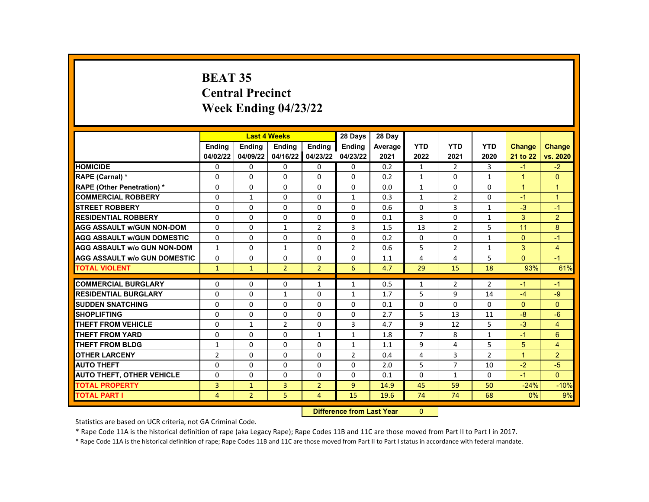# **BEAT 35 Central Precinct Week Ending 04/23/22**

|                                     |                | <b>Last 4 Weeks</b> |                |                | 28 Days        | 28 Day  |                |                |                |               |                |
|-------------------------------------|----------------|---------------------|----------------|----------------|----------------|---------|----------------|----------------|----------------|---------------|----------------|
|                                     | Ending         | <b>Ending</b>       | Ending         | Ending         | <b>Ending</b>  | Average | <b>YTD</b>     | <b>YTD</b>     | <b>YTD</b>     | <b>Change</b> | <b>Change</b>  |
|                                     | 04/02/22       | 04/09/22            | 04/16/22       | 04/23/22       | 04/23/22       | 2021    | 2022           | 2021           | 2020           | 21 to 22      | vs. 2020       |
| <b>HOMICIDE</b>                     | 0              | 0                   | 0              | 0              | 0              | 0.2     | $\mathbf{1}$   | $\overline{2}$ | 3              | $-1$          | $-2$           |
| RAPE (Carnal) *                     | $\Omega$       | $\Omega$            | $\Omega$       | $\Omega$       | 0              | 0.2     | $\mathbf{1}$   | $\Omega$       | $\mathbf{1}$   | $\mathbf{1}$  | $\Omega$       |
| <b>RAPE (Other Penetration) *</b>   | $\Omega$       | 0                   | $\Omega$       | 0              | $\Omega$       | 0.0     | $\mathbf{1}$   | $\mathbf{0}$   | $\Omega$       | $\mathbf{1}$  | $\mathbf{1}$   |
| <b>COMMERCIAL ROBBERY</b>           | 0              | $\mathbf{1}$        | 0              | 0              | $\mathbf{1}$   | 0.3     | $\mathbf{1}$   | $\overline{2}$ | 0              | $-1$          | $\mathbf{1}$   |
| <b>STREET ROBBERY</b>               | $\Omega$       | $\Omega$            | $\Omega$       | $\Omega$       | 0              | 0.6     | $\Omega$       | 3              | $\mathbf{1}$   | $-3$          | $-1$           |
| <b>RESIDENTIAL ROBBERY</b>          | $\Omega$       | $\Omega$            | $\Omega$       | $\Omega$       | $\Omega$       | 0.1     | 3              | $\Omega$       | $\mathbf{1}$   | 3             | 2              |
| <b>AGG ASSAULT w/GUN NON-DOM</b>    | $\Omega$       | $\Omega$            | $\mathbf{1}$   | $\overline{2}$ | 3              | 1.5     | 13             | $\overline{2}$ | 5              | 11            | 8              |
| <b>AGG ASSAULT w/GUN DOMESTIC</b>   | $\Omega$       | 0                   | 0              | 0              | 0              | 0.2     | 0              | 0              | $\mathbf{1}$   | $\mathbf{0}$  | $-1$           |
| <b>AGG ASSAULT w/o GUN NON-DOM</b>  | $\mathbf{1}$   | $\mathbf 0$         | $\mathbf{1}$   | 0              | $\overline{2}$ | 0.6     | 5              | $\overline{2}$ | 1              | 3             | $\overline{4}$ |
| <b>AGG ASSAULT w/o GUN DOMESTIC</b> | 0              | 0                   | 0              | 0              | 0              | 1.1     | 4              | 4              | 5              | $\Omega$      | $-1$           |
| <b>TOTAL VIOLENT</b>                | $\mathbf{1}$   | $\mathbf{1}$        | $\overline{2}$ | $\overline{2}$ | 6              | 4.7     | 29             | 15             | 18             | 93%           | 61%            |
|                                     |                |                     |                |                |                |         |                |                |                |               |                |
| <b>COMMERCIAL BURGLARY</b>          | 0              | 0                   | $\Omega$       | 1              | 1              | 0.5     | 1              | $\overline{2}$ | $\overline{2}$ | $-1$          | $-1$           |
| <b>RESIDENTIAL BURGLARY</b>         | $\mathbf 0$    | $\mathbf 0$         | $\mathbf{1}$   | $\mathbf 0$    | $\mathbf{1}$   | 1.7     | 5              | 9              | 14             | $-4$          | $-9$           |
| <b>SUDDEN SNATCHING</b>             | $\Omega$       | $\Omega$            | $\Omega$       | $\Omega$       | 0              | 0.1     | 0              | $\Omega$       | $\Omega$       | $\Omega$      | $\Omega$       |
| <b>SHOPLIFTING</b>                  | 0              | $\Omega$            | $\Omega$       | $\Omega$       | 0              | 2.7     | 5              | 13             | 11             | $-8$          | $-6$           |
| <b>THEFT FROM VEHICLE</b>           | 0              | $\mathbf{1}$        | $\overline{2}$ | 0              | 3              | 4.7     | 9              | 12             | 5              | $-3$          | $\overline{4}$ |
| <b>THEFT FROM YARD</b>              | $\Omega$       | $\Omega$            | $\Omega$       | $\mathbf{1}$   | $\mathbf{1}$   | 1.8     | $\overline{7}$ | 8              | $\mathbf{1}$   | $-1$          | 6              |
| <b>THEFT FROM BLDG</b>              | 1              | $\Omega$            | 0              | 0              | $\mathbf{1}$   | 1.1     | 9              | 4              | 5              | 5             | $\overline{4}$ |
| <b>OTHER LARCENY</b>                | $\overline{2}$ | $\Omega$            | $\Omega$       | $\Omega$       | $\overline{2}$ | 0.4     | 4              | 3              | $\overline{2}$ | $\mathbf{1}$  | $\overline{2}$ |
| <b>AUTO THEFT</b>                   | $\Omega$       | $\Omega$            | $\Omega$       | $\Omega$       | 0              | 2.0     | 5              | $\overline{7}$ | 10             | $-2$          | $-5$           |
| <b>AUTO THEFT, OTHER VEHICLE</b>    | $\Omega$       | 0                   | $\Omega$       | 0              | 0              | 0.1     | 0              | $\mathbf{1}$   | 0              | $-1$          | $\Omega$       |
| <b>TOTAL PROPERTY</b>               | 3              | $\mathbf{1}$        | 3              | $\overline{2}$ | 9              | 14.9    | 45             | 59             | 50             | $-24%$        | $-10%$         |
| <b>TOTAL PART I</b>                 | 4              | $\overline{2}$      | 5              | 4              | 15             | 19.6    | 74             | 74             | 68             | 0%            | 9%             |
|                                     |                |                     |                | <b>INSECUL</b> |                |         |                |                |                |               |                |

**Difference from Last Year** 0

Statistics are based on UCR criteria, not GA Criminal Code.

\* Rape Code 11A is the historical definition of rape (aka Legacy Rape); Rape Codes 11B and 11C are those moved from Part II to Part I in 2017.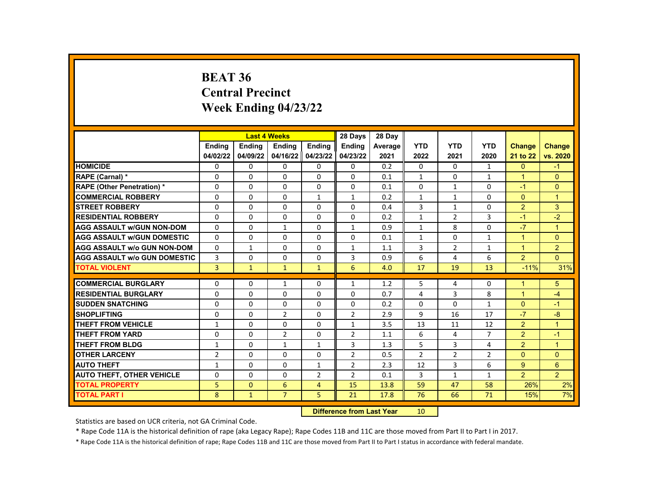#### **BEAT 36 Central Precinct Week Ending 04/23/22**

|                                     |                | <b>Last 4 Weeks</b> |                |                   | 28 Days        | 28 Day  |                |                |                |                      |                |
|-------------------------------------|----------------|---------------------|----------------|-------------------|----------------|---------|----------------|----------------|----------------|----------------------|----------------|
|                                     | <b>Endina</b>  | <b>Endina</b>       | <b>Endina</b>  | <b>Endina</b>     | Ending         | Average | <b>YTD</b>     | <b>YTD</b>     | <b>YTD</b>     | <b>Change</b>        | <b>Change</b>  |
|                                     | 04/02/22       | 04/09/22            |                | 04/16/22 04/23/22 | 04/23/22       | 2021    | 2022           | 2021           | 2020           | 21 to 22             | vs. 2020       |
| <b>HOMICIDE</b>                     | 0              | 0                   | 0              | 0                 | 0              | 0.2     | 0              | 0              | $\mathbf{1}$   | $\mathbf{0}$         | $-1$           |
| RAPE (Carnal) *                     | $\Omega$       | $\Omega$            | $\Omega$       | 0                 | $\Omega$       | 0.1     | $\mathbf{1}$   | $\Omega$       | $\mathbf{1}$   | $\mathbf{1}$         | $\Omega$       |
| <b>RAPE (Other Penetration) *</b>   | $\Omega$       | $\Omega$            | $\Omega$       | $\Omega$          | $\Omega$       | 0.1     | $\Omega$       | $\mathbf{1}$   | $\Omega$       | $-1$                 | $\Omega$       |
| <b>COMMERCIAL ROBBERY</b>           | 0              | 0                   | 0              | $\mathbf{1}$      | $\mathbf{1}$   | 0.2     | $\mathbf{1}$   | $\mathbf{1}$   | $\Omega$       | $\mathbf{0}$         | $\overline{1}$ |
| <b>STREET ROBBERY</b>               | 0              | $\Omega$            | $\Omega$       | 0                 | $\Omega$       | 0.4     | 3              | $\mathbf{1}$   | $\Omega$       | 2                    | 3              |
| <b>RESIDENTIAL ROBBERY</b>          | $\Omega$       | $\Omega$            | $\Omega$       | $\Omega$          | $\Omega$       | 0.2     | $\mathbf{1}$   | $\overline{2}$ | 3              | $-1$                 | $-2$           |
| <b>AGG ASSAULT w/GUN NON-DOM</b>    | $\Omega$       | $\Omega$            | $\mathbf{1}$   | $\Omega$          | $\mathbf{1}$   | 0.9     | $\mathbf{1}$   | 8              | $\Omega$       | $-7$                 | $\overline{1}$ |
| <b>AGG ASSAULT W/GUN DOMESTIC</b>   | $\Omega$       | $\Omega$            | 0              | 0                 | $\Omega$       | 0.1     | $\mathbf{1}$   | $\Omega$       | $\mathbf{1}$   | $\blacktriangleleft$ | $\Omega$       |
| <b>AGG ASSAULT W/o GUN NON-DOM</b>  | $\Omega$       | $\mathbf{1}$        | $\Omega$       | $\Omega$          | $\mathbf{1}$   | 1.1     | $\overline{3}$ | $\overline{2}$ | $\mathbf{1}$   | $\mathbf{1}$         | $\overline{2}$ |
| <b>AGG ASSAULT W/o GUN DOMESTIC</b> | 3              | $\Omega$            | 0              | 0                 | 3              | 0.9     | 6              | 4              | 6              | 2                    | $\Omega$       |
| <b>TOTAL VIOLENT</b>                | 3              | $\mathbf{1}$        | $\mathbf{1}$   | $\mathbf{1}$      | 6              | 4.0     | 17             | 19             | 13             | $-11%$               | 31%            |
|                                     |                |                     |                |                   |                |         |                |                |                |                      |                |
| <b>COMMERCIAL BURGLARY</b>          | 0              | 0                   | 1              | 0                 | $\mathbf{1}$   | 1.2     | 5              | 4              | 0              | $\mathbf{1}$         | 5              |
| <b>RESIDENTIAL BURGLARY</b>         | 0              | 0                   | 0              | 0                 | 0              | 0.7     | $\overline{4}$ | 3              | 8              | $\mathbf{1}$         | $-4$           |
| <b>SUDDEN SNATCHING</b>             | $\Omega$       | $\mathbf{0}$        | $\Omega$       | $\Omega$          | $\Omega$       | 0.2     | $\Omega$       | $\Omega$       | $\mathbf{1}$   | $\Omega$             | $-1$           |
| <b>SHOPLIFTING</b>                  | 0              | $\Omega$            | $\overline{2}$ | 0                 | $\overline{2}$ | 2.9     | 9              | 16             | 17             | $-7$                 | $-8$           |
| <b>THEFT FROM VEHICLE</b>           | $\mathbf{1}$   | 0                   | 0              | 0                 | $\mathbf{1}$   | 3.5     | 13             | 11             | 12             | 2                    | $\overline{1}$ |
| <b>THEFT FROM YARD</b>              | $\Omega$       | $\Omega$            | $\overline{2}$ | $\Omega$          | $\overline{2}$ | 1.1     | 6              | 4              | $\overline{7}$ | $\overline{2}$       | $-1$           |
| <b>THEFT FROM BLDG</b>              | $\mathbf{1}$   | 0                   | $\mathbf{1}$   | $\mathbf{1}$      | 3              | 1.3     | 5              | 3              | 4              | 2                    | $\overline{1}$ |
| <b>OTHER LARCENY</b>                | $\overline{2}$ | $\Omega$            | $\Omega$       | 0                 | 2              | 0.5     | $\overline{2}$ | $\overline{2}$ | $\overline{2}$ | $\Omega$             | $\Omega$       |
| <b>AUTO THEFT</b>                   | $\mathbf{1}$   | $\Omega$            | $\Omega$       | $\mathbf{1}$      | $\overline{2}$ | 2.3     | 12             | 3              | 6              | 9                    | $6\phantom{1}$ |
| <b>AUTO THEFT, OTHER VEHICLE</b>    | $\Omega$       | 0                   | $\Omega$       | $\overline{2}$    | $\overline{2}$ | 0.1     | 3              | $\mathbf{1}$   | $\mathbf{1}$   | $\overline{2}$       | $\overline{2}$ |
| <b>TOTAL PROPERTY</b>               | 5              | 0                   | 6              | $\overline{4}$    | 15             | 13.8    | 59             | 47             | 58             | 26%                  | 2%             |
| <b>TOTAL PART I</b>                 | 8              | $\mathbf{1}$        | $\overline{7}$ | 5                 | 21             | 17.8    | 76             | 66             | 71             | 15%                  | 7%             |
|                                     |                |                     |                |                   |                |         |                |                |                |                      |                |

**Difference from Last Year** 10

Statistics are based on UCR criteria, not GA Criminal Code.

\* Rape Code 11A is the historical definition of rape (aka Legacy Rape); Rape Codes 11B and 11C are those moved from Part II to Part I in 2017.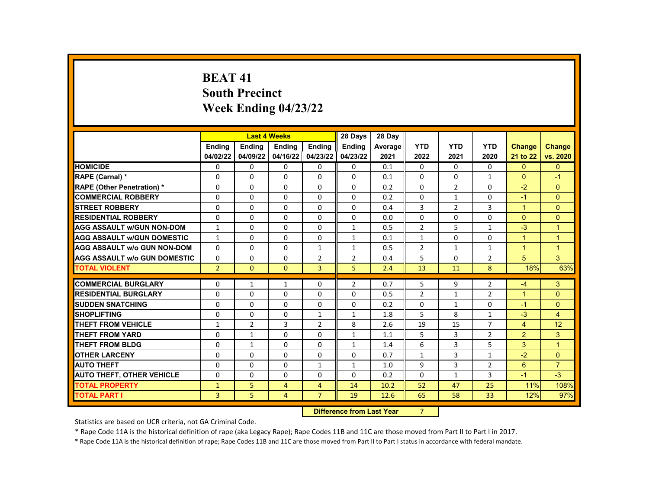# **BEAT 41 South Precinct Week Ending 04/23/22**

|                                     |                |                                    | <b>Last 4 Weeks</b> |                | 28 Days        | 28 Day  |                |                |                |                      |                |
|-------------------------------------|----------------|------------------------------------|---------------------|----------------|----------------|---------|----------------|----------------|----------------|----------------------|----------------|
|                                     | <b>Endina</b>  | <b>Endina</b>                      | <b>Endina</b>       | <b>Endina</b>  | <b>Ending</b>  | Average | <b>YTD</b>     | <b>YTD</b>     | <b>YTD</b>     | <b>Change</b>        | <b>Change</b>  |
|                                     | 04/02/22       | 04/09/22                           | 04/16/22            | 04/23/22       | 04/23/22       | 2021    | 2022           | 2021           | 2020           | 21 to 22             | vs. 2020       |
| <b>HOMICIDE</b>                     | 0              | $\Omega$                           | $\Omega$            | $\Omega$       | 0              | 0.1     | $\Omega$       | $\Omega$       | $\Omega$       | $\Omega$             | $\Omega$       |
| <b>RAPE (Carnal) *</b>              | $\Omega$       | $\Omega$                           | $\Omega$            | $\Omega$       | $\Omega$       | 0.1     | $\Omega$       | $\Omega$       | $\mathbf{1}$   | $\Omega$             | $-1$           |
| <b>RAPE (Other Penetration) *</b>   | 0              | $\Omega$                           | $\Omega$            | $\Omega$       | $\Omega$       | 0.2     | $\Omega$       | $\overline{2}$ | $\Omega$       | $-2$                 | $\Omega$       |
| <b>COMMERCIAL ROBBERY</b>           | $\Omega$       | $\Omega$                           | $\Omega$            | $\Omega$       | $\Omega$       | 0.2     | $\Omega$       | $\mathbf{1}$   | $\Omega$       | $-1$                 | $\Omega$       |
| <b>STREET ROBBERY</b>               | 0              | $\Omega$                           | $\Omega$            | $\Omega$       | $\Omega$       | 0.4     | 3              | $\overline{2}$ | 3              | $\blacktriangleleft$ | $\mathbf{0}$   |
| <b>RESIDENTIAL ROBBERY</b>          | 0              | $\Omega$                           | $\Omega$            | $\Omega$       | 0              | 0.0     | $\Omega$       | $\mathbf{0}$   | $\Omega$       | $\Omega$             | $\Omega$       |
| <b>AGG ASSAULT w/GUN NON-DOM</b>    | $\mathbf{1}$   | $\Omega$                           | $\Omega$            | 0              | $\mathbf{1}$   | 0.5     | $\overline{2}$ | 5              | $\mathbf{1}$   | $-3$                 | $\overline{1}$ |
| <b>AGG ASSAULT w/GUN DOMESTIC</b>   | $\mathbf{1}$   | $\Omega$                           | $\Omega$            | $\Omega$       | $\mathbf{1}$   | 0.1     | $\mathbf{1}$   | $\Omega$       | $\Omega$       | $\blacktriangleleft$ | $\overline{1}$ |
| <b>AGG ASSAULT w/o GUN NON-DOM</b>  | 0              | $\Omega$                           | $\Omega$            | $\mathbf{1}$   | $\mathbf{1}$   | 0.5     | $\overline{2}$ | $\mathbf{1}$   | $\mathbf{1}$   | $\blacktriangleleft$ | $\overline{1}$ |
| <b>AGG ASSAULT W/o GUN DOMESTIC</b> | $\Omega$       | $\Omega$                           | $\Omega$            | $\overline{2}$ | $\overline{2}$ | 0.4     | 5              | $\Omega$       | $\overline{2}$ | 5                    | 3              |
| <b>TOTAL VIOLENT</b>                | $\overline{2}$ | $\mathbf{0}$                       | $\Omega$            | $\overline{3}$ | 5              | 2.4     | 13             | 11             | 8              | 18%                  | 63%            |
|                                     |                |                                    |                     |                |                |         |                |                |                |                      |                |
| <b>COMMERCIAL BURGLARY</b>          | 0              | $\mathbf{1}$                       | $\mathbf{1}$        | $\mathbf{0}$   | $\overline{2}$ | 0.7     | 5              | 9              | $\overline{2}$ | $-4$                 | $\mathbf{3}$   |
| <b>RESIDENTIAL BURGLARY</b>         | 0              | $\Omega$                           | $\Omega$            | $\Omega$       | $\Omega$       | 0.5     | $\overline{2}$ | $\mathbf{1}$   | $\overline{2}$ | $\blacktriangleleft$ | $\Omega$       |
| <b>SUDDEN SNATCHING</b>             | $\Omega$       | $\Omega$                           | $\Omega$            | $\Omega$       | $\Omega$       | 0.2     | $\Omega$       | $\mathbf{1}$   | $\Omega$       | $-1$                 | $\Omega$       |
| <b>SHOPLIFTING</b>                  | 0              | $\Omega$                           | $\Omega$            | $\mathbf{1}$   | $\mathbf{1}$   | 1.8     | 5              | 8              | $\mathbf{1}$   | $-3$                 | $\overline{4}$ |
| <b>THEFT FROM VEHICLE</b>           | 1              | $\overline{2}$                     | 3                   | $\overline{2}$ | 8              | 2.6     | 19             | 15             | $\overline{7}$ | $\overline{4}$       | 12             |
| <b>THEFT FROM YARD</b>              | $\Omega$       | $\mathbf{1}$                       | $\Omega$            | $\Omega$       | $\mathbf{1}$   | 1.1     | 5.             | 3              | $\overline{2}$ | 2                    | 3              |
| <b>THEFT FROM BLDG</b>              | 0              | $\mathbf{1}$                       | $\Omega$            | $\Omega$       | $\mathbf{1}$   | 1.4     | 6              | 3              | 5              | 3                    | $\overline{1}$ |
| <b>OTHER LARCENY</b>                | 0              | $\Omega$                           | $\Omega$            | $\Omega$       | $\Omega$       | 0.7     | $\mathbf{1}$   | 3              | $\mathbf{1}$   | $-2$                 | $\Omega$       |
| <b>AUTO THEFT</b>                   | $\Omega$       | $\Omega$                           | $\Omega$            | $\mathbf{1}$   | $\mathbf{1}$   | 1.0     | 9              | $\overline{3}$ | $\overline{2}$ | 6                    | $\overline{7}$ |
| <b>AUTO THEFT, OTHER VEHICLE</b>    | 0              | $\Omega$                           | $\Omega$            | $\Omega$       | $\Omega$       | 0.2     | $\Omega$       | $\mathbf{1}$   | 3              | $-1$                 | $-3$           |
| <b>TOTAL PROPERTY</b>               | $\mathbf{1}$   | 5                                  | 4                   | 4              | 14             | 10.2    | 52             | 47             | 25             | 11%                  | 108%           |
| <b>TOTAL PART I</b>                 | $\overline{3}$ | 5                                  | 4                   | $\overline{7}$ | 19             | 12.6    | 65             | 58             | 33             | 12%                  | 97%            |
|                                     |                | <b>Difference from Least Vance</b> |                     | $\overline{ }$ |                |         |                |                |                |                      |                |

**Difference from Last Year** 7

Statistics are based on UCR criteria, not GA Criminal Code.

\* Rape Code 11A is the historical definition of rape (aka Legacy Rape); Rape Codes 11B and 11C are those moved from Part II to Part I in 2017.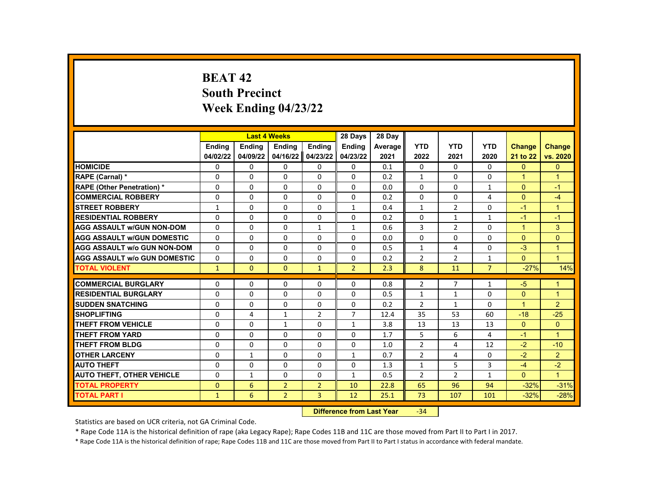# **BEAT 42 South Precinct Week Ending 04/23/22**

|                                     |              | <b>Last 4 Weeks</b> |                |                | 28 Days                      | 28 Day  |                |                |                |               |                |
|-------------------------------------|--------------|---------------------|----------------|----------------|------------------------------|---------|----------------|----------------|----------------|---------------|----------------|
|                                     | Ending       | <b>Ending</b>       | <b>Ending</b>  | <b>Ending</b>  | <b>Ending</b>                | Average | <b>YTD</b>     | <b>YTD</b>     | <b>YTD</b>     | <b>Change</b> | <b>Change</b>  |
|                                     | 04/02/22     | 04/09/22            | 04/16/22       | 04/23/22       | 04/23/22                     | 2021    | 2022           | 2021           | 2020           | 21 to 22      | vs. 2020       |
| <b>HOMICIDE</b>                     | 0            | 0                   | $\mathbf{0}$   | 0              | 0                            | 0.1     | 0              | 0              | 0              | $\mathbf{0}$  | $\mathbf{0}$   |
| RAPE (Carnal) *                     | $\Omega$     | $\Omega$            | $\Omega$       | $\Omega$       | $\Omega$                     | 0.2     | $\mathbf{1}$   | $\Omega$       | $\Omega$       | $\mathbf{1}$  | $\overline{1}$ |
| RAPE (Other Penetration) *          | $\Omega$     | $\Omega$            | $\Omega$       | $\Omega$       | $\Omega$                     | 0.0     | $\Omega$       | $\Omega$       | $\mathbf{1}$   | $\Omega$      | $-1$           |
| <b>COMMERCIAL ROBBERY</b>           | $\Omega$     | $\Omega$            | 0              | $\Omega$       | $\Omega$                     | 0.2     | $\Omega$       | $\Omega$       | 4              | $\Omega$      | $-4$           |
| <b>STREET ROBBERY</b>               | $\mathbf{1}$ | $\Omega$            | $\Omega$       | $\Omega$       | $\mathbf{1}$                 | 0.4     | $\mathbf{1}$   | $\overline{2}$ | $\Omega$       | $-1$          | $\mathbf{1}$   |
| <b>RESIDENTIAL ROBBERY</b>          | $\Omega$     | $\Omega$            | $\Omega$       | $\Omega$       | $\Omega$                     | 0.2     | $\Omega$       | $\mathbf{1}$   | $\mathbf{1}$   | $-1$          | $-1$           |
| <b>AGG ASSAULT w/GUN NON-DOM</b>    | 0            | 0                   | 0              | $\mathbf{1}$   | 1                            | 0.6     | 3              | $\overline{2}$ | 0              | $\mathbf{1}$  | 3              |
| <b>AGG ASSAULT W/GUN DOMESTIC</b>   | $\Omega$     | $\Omega$            | 0              | $\Omega$       | $\Omega$                     | 0.0     | $\Omega$       | $\Omega$       | $\Omega$       | $\Omega$      | $\mathbf{0}$   |
| <b>AGG ASSAULT w/o GUN NON-DOM</b>  | $\Omega$     | $\Omega$            | $\Omega$       | $\Omega$       | $\Omega$                     | 0.5     | $\mathbf{1}$   | 4              | $\Omega$       | $-3$          | $\mathbf{1}$   |
| <b>AGG ASSAULT W/o GUN DOMESTIC</b> | 0            | 0                   | 0              | 0              | 0                            | 0.2     | $\overline{2}$ | $\overline{2}$ | 1              | $\Omega$      | $\overline{1}$ |
| <b>TOTAL VIOLENT</b>                | $\mathbf{1}$ | $\mathbf{0}$        | $\Omega$       | $\mathbf{1}$   | $\overline{2}$               | 2.3     | 8              | 11             | $\overline{7}$ | $-27%$        | 14%            |
|                                     |              |                     |                |                |                              |         |                |                |                |               |                |
| <b>COMMERCIAL BURGLARY</b>          | 0            | 0                   | 0              | 0              | 0                            | 0.8     | $\overline{2}$ | $\overline{7}$ | $\mathbf{1}$   | $-5$          | 1              |
| <b>RESIDENTIAL BURGLARY</b>         | $\Omega$     | $\Omega$            | $\Omega$       | $\Omega$       | $\Omega$                     | 0.5     | $\mathbf{1}$   | $\mathbf{1}$   | $\Omega$       | $\Omega$      | $\mathbf{1}$   |
| <b>SUDDEN SNATCHING</b>             | $\Omega$     | $\Omega$            | $\Omega$       | $\Omega$       | $\Omega$                     | 0.2     | $\overline{2}$ | $\mathbf{1}$   | $\Omega$       | $\mathbf{1}$  | $\overline{2}$ |
| <b>SHOPLIFTING</b>                  | 0            | 4                   | $\mathbf{1}$   | $\overline{2}$ | $\overline{7}$               | 12.4    | 35             | 53             | 60             | $-18$         | $-25$          |
| <b>THEFT FROM VEHICLE</b>           | $\Omega$     | $\Omega$            | $\mathbf{1}$   | $\Omega$       | $\mathbf{1}$                 | 3.8     | 13             | 13             | 13             | $\Omega$      | $\Omega$       |
| <b>THEFT FROM YARD</b>              | $\Omega$     | $\Omega$            | $\Omega$       | $\Omega$       | $\Omega$                     | 1.7     | 5              | 6              | 4              | $-1$          | $\mathbf{1}$   |
| THEFT FROM BLDG                     | $\Omega$     | $\Omega$            | 0              | $\Omega$       | $\Omega$                     | 1.0     | $\overline{2}$ | 4              | 12             | $-2$          | $-10$          |
| <b>OTHER LARCENY</b>                | $\Omega$     | $\mathbf{1}$        | $\Omega$       | $\Omega$       | $\mathbf{1}$                 | 0.7     | $\overline{2}$ | 4              | 0              | $-2$          | $\overline{2}$ |
| <b>AUTO THEFT</b>                   | $\Omega$     | 0                   | $\Omega$       | $\Omega$       | $\Omega$                     | 1.3     | $\mathbf{1}$   | 5              | 3              | $-4$          | $-2$           |
| <b>AUTO THEFT, OTHER VEHICLE</b>    | 0            | $\mathbf{1}$        | 0              | 0              | $\mathbf{1}$                 | 0.5     | $\overline{2}$ | $\overline{2}$ | $\mathbf{1}$   | $\mathbf{0}$  | $\mathbf{1}$   |
| <b>TOTAL PROPERTY</b>               | $\Omega$     | 6                   | $\overline{2}$ | $\overline{2}$ | 10                           | 22.8    | 65             | 96             | 94             | $-32%$        | $-31%$         |
| <b>TOTAL PART I</b>                 | $\mathbf{1}$ | 6                   | $\overline{2}$ | 3              | 12                           | 25.1    | 73             | 107            | 101            | $-32%$        | $-28%$         |
|                                     |              |                     |                | <b>PARTER</b>  | the March and House of March |         | $\sim$ $\sim$  |                |                |               |                |

**Difference from Last Year** -34

Statistics are based on UCR criteria, not GA Criminal Code.

\* Rape Code 11A is the historical definition of rape (aka Legacy Rape); Rape Codes 11B and 11C are those moved from Part II to Part I in 2017.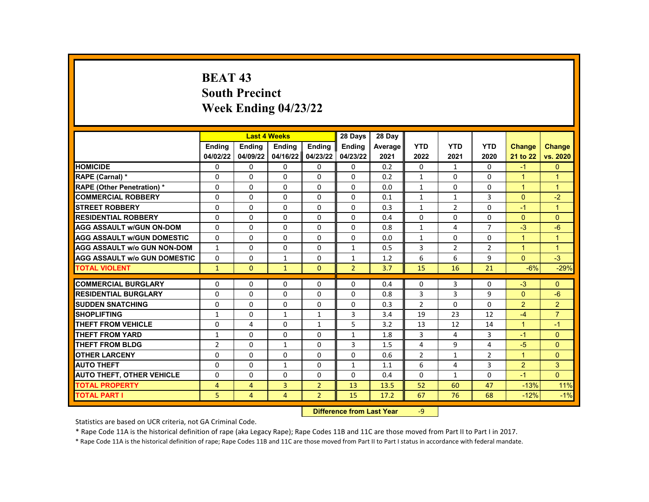# **BEAT 43 South Precinct Week Ending 04/23/22**

|                                     |                |                | <b>Last 4 Weeks</b> |                | 28 Days                   | 28 Day  |                |                |                |                |                |
|-------------------------------------|----------------|----------------|---------------------|----------------|---------------------------|---------|----------------|----------------|----------------|----------------|----------------|
|                                     | <b>Endina</b>  | <b>Ending</b>  | Ending              | Ending         | Ending                    | Average | <b>YTD</b>     | <b>YTD</b>     | <b>YTD</b>     | Change         | <b>Change</b>  |
|                                     | 04/02/22       | 04/09/22       | 04/16/22            | 04/23/22       | 04/23/22                  | 2021    | 2022           | 2021           | 2020           | 21 to 22       | vs. 2020       |
| <b>HOMICIDE</b>                     | 0              | 0              | 0                   | 0              | 0                         | 0.2     | 0              | $\mathbf{1}$   | 0              | $-1$           | $\mathbf{0}$   |
| RAPE (Carnal) *                     | 0              | $\mathbf{0}$   | $\Omega$            | $\Omega$       | 0                         | 0.2     | $\mathbf{1}$   | $\Omega$       | $\Omega$       | $\mathbf{1}$   | $\mathbf{1}$   |
| RAPE (Other Penetration) *          | $\Omega$       | $\Omega$       | $\Omega$            | $\Omega$       | $\Omega$                  | 0.0     | $\mathbf{1}$   | $\Omega$       | $\Omega$       | $\mathbf{1}$   | $\mathbf{1}$   |
| <b>COMMERCIAL ROBBERY</b>           | $\mathbf{0}$   | $\Omega$       | $\Omega$            | $\Omega$       | $\Omega$                  | 0.1     | $\mathbf{1}$   | $\mathbf{1}$   | 3              | $\Omega$       | $-2$           |
| <b>STREET ROBBERY</b>               | $\mathbf{0}$   | $\Omega$       | $\Omega$            | $\Omega$       | $\Omega$                  | 0.3     | $\mathbf{1}$   | $\overline{2}$ | $\mathbf{0}$   | $-1$           | $\mathbf{1}$   |
| <b>RESIDENTIAL ROBBERY</b>          | $\Omega$       | $\Omega$       | $\Omega$            | $\Omega$       | $\Omega$                  | 0.4     | $\Omega$       | $\Omega$       | $\Omega$       | $\Omega$       | $\Omega$       |
| <b>AGG ASSAULT w/GUN ON-DOM</b>     | $\Omega$       | $\Omega$       | $\Omega$            | $\Omega$       | 0                         | 0.8     | $\mathbf{1}$   | 4              | 7              | $-3$           | $-6$           |
| <b>AGG ASSAULT W/GUN DOMESTIC</b>   | $\Omega$       | 0              | 0                   | 0              | 0                         | 0.0     | $\mathbf{1}$   | 0              | $\mathbf 0$    | $\mathbf{1}$   | $\mathbf{1}$   |
| <b>AGG ASSAULT w/o GUN NON-DOM</b>  | 1              | $\Omega$       | $\Omega$            | $\Omega$       | 1                         | 0.5     | 3              | $\overline{2}$ | $\overline{2}$ | $\mathbf{1}$   | $\mathbf{1}$   |
| <b>AGG ASSAULT w/o GUN DOMESTIC</b> | $\mathbf{0}$   | 0              | $\mathbf{1}$        | 0              | $\mathbf{1}$              | 1.2     | 6              | 6              | 9              | $\Omega$       | $-3$           |
| <b>TOTAL VIOLENT</b>                | $\mathbf{1}$   | $\mathbf{0}$   | $\mathbf{1}$        | $\mathbf{0}$   | $\overline{2}$            | 3.7     | 15             | 16             | 21             | $-6%$          | $-29%$         |
|                                     |                |                |                     |                |                           |         |                |                |                |                |                |
| <b>COMMERCIAL BURGLARY</b>          | 0              | $\Omega$       | 0                   | $\Omega$       | 0                         | 0.4     | 0              | 3              | $\Omega$       | $-3$           | $\Omega$       |
| <b>RESIDENTIAL BURGLARY</b>         | 0              | 0              | $\Omega$            | 0              | 0                         | 0.8     | 3              | 3              | 9              | $\overline{0}$ | $-6$           |
| <b>SUDDEN SNATCHING</b>             | $\Omega$       | $\mathbf{0}$   | $\Omega$            | $\Omega$       | 0                         | 0.3     | $\overline{2}$ | $\Omega$       | $\Omega$       | $\overline{2}$ | 2              |
| <b>SHOPLIFTING</b>                  | 1              | $\Omega$       | $\mathbf{1}$        | $\mathbf{1}$   | 3                         | 3.4     | 19             | 23             | 12             | $-4$           | $\overline{7}$ |
| <b>THEFT FROM VEHICLE</b>           | $\Omega$       | 4              | $\Omega$            | $\mathbf{1}$   | 5                         | 3.2     | 13             | 12             | 14             | $\mathbf{1}$   | $-1$           |
| <b>THEFT FROM YARD</b>              | $\mathbf{1}$   | $\Omega$       | $\Omega$            | $\Omega$       | $\mathbf{1}$              | 1.8     | 3              | 4              | 3              | $-1$           | $\Omega$       |
| <b>THEFT FROM BLDG</b>              | $\overline{2}$ | $\Omega$       | $\mathbf{1}$        | $\Omega$       | 3                         | 1.5     | 4              | 9              | 4              | $-5$           | $\Omega$       |
| <b>OTHER LARCENY</b>                | $\mathbf{0}$   | $\Omega$       | $\Omega$            | $\Omega$       | $\Omega$                  | 0.6     | $\overline{2}$ | $\mathbf{1}$   | $\overline{2}$ | $\mathbf{1}$   | $\Omega$       |
| <b>AUTO THEFT</b>                   | $\Omega$       | 0              | $\mathbf{1}$        | $\Omega$       | $\mathbf{1}$              | 1.1     | 6              | 4              | 3              | $\overline{2}$ | 3              |
| <b>AUTO THEFT, OTHER VEHICLE</b>    | $\mathbf{0}$   | 0              | $\Omega$            | $\Omega$       | $\Omega$                  | 0.4     | $\Omega$       | $\mathbf{1}$   | $\Omega$       | $-1$           | $\Omega$       |
| <b>TOTAL PROPERTY</b>               | 4              | $\overline{a}$ | 3                   | $\overline{2}$ | 13                        | 13.5    | 52             | 60             | 47             | $-13%$         | 11%            |
| <b>TOTAL PART I</b>                 | 5              | 4              | 4                   | $\overline{2}$ | 15                        | 17.2    | 67             | 76             | 68             | $-12%$         | $-1%$          |
|                                     |                |                |                     |                | Difference from Loot Voor |         | $\Omega$       |                |                |                |                |

**Difference from Last Year** 

Statistics are based on UCR criteria, not GA Criminal Code.

\* Rape Code 11A is the historical definition of rape (aka Legacy Rape); Rape Codes 11B and 11C are those moved from Part II to Part I in 2017.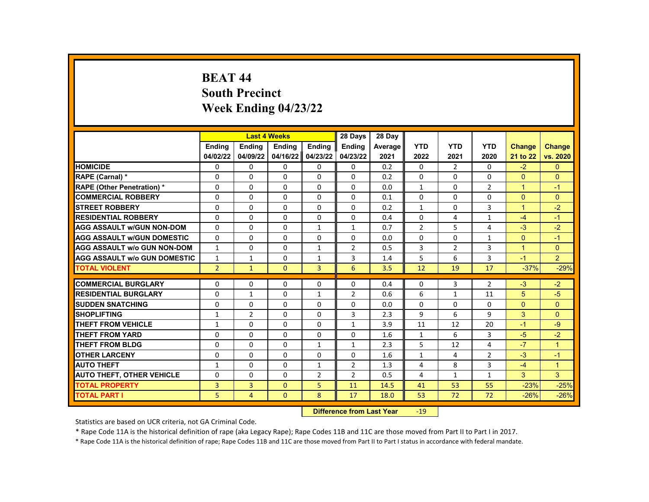# **BEAT 44 South Precinct Week Ending 04/23/22**

|                                     |                | <b>Last 4 Weeks</b> |              |                | 28 Days                                 | 28 Day  |                |                |                |                |                |
|-------------------------------------|----------------|---------------------|--------------|----------------|-----------------------------------------|---------|----------------|----------------|----------------|----------------|----------------|
|                                     | <b>Endina</b>  | <b>Endina</b>       | Ending       | Ending         | <b>Endina</b>                           | Average | <b>YTD</b>     | <b>YTD</b>     | <b>YTD</b>     | <b>Change</b>  | <b>Change</b>  |
|                                     | 04/02/22       | 04/09/22            | 04/16/22     | 04/23/22       | 04/23/22                                | 2021    | 2022           | 2021           | 2020           | 21 to 22       | vs. 2020       |
| <b>HOMICIDE</b>                     | 0              | 0                   | 0            | 0              | 0                                       | 0.2     | $\Omega$       | 2              | $\Omega$       | $-2$           | $\mathbf{0}$   |
| RAPE (Carnal) *                     | 0              | $\Omega$            | $\Omega$     | $\Omega$       | $\Omega$                                | 0.2     | $\Omega$       | $\Omega$       | $\Omega$       | $\Omega$       | $\Omega$       |
| RAPE (Other Penetration) *          | 0              | $\Omega$            | $\Omega$     | $\Omega$       | $\Omega$                                | 0.0     | $\mathbf{1}$   | $\Omega$       | 2              | $\mathbf{1}$   | $-1$           |
| <b>COMMERCIAL ROBBERY</b>           | 0              | $\Omega$            | $\Omega$     | 0              | 0                                       | 0.1     | $\Omega$       | 0              | $\Omega$       | $\Omega$       | $\Omega$       |
| <b>STREET ROBBERY</b>               | 0              | 0                   | 0            | 0              | $\Omega$                                | 0.2     | $\mathbf{1}$   | 0              | 3              | $\mathbf{1}$   | $-2$           |
| <b>RESIDENTIAL ROBBERY</b>          | $\Omega$       | $\Omega$            | $\Omega$     | $\Omega$       | $\Omega$                                | 0.4     | $\Omega$       | 4              | $\mathbf{1}$   | $-4$           | $-1$           |
| <b>AGG ASSAULT w/GUN NON-DOM</b>    | 0              | 0                   | 0            | 1              | $\mathbf{1}$                            | 0.7     | $\overline{2}$ | 5              | 4              | $-3$           | $-2$           |
| <b>AGG ASSAULT w/GUN DOMESTIC</b>   | 0              | 0                   | 0            | 0              | $\Omega$                                | 0.0     | $\Omega$       | $\Omega$       | 1              | $\Omega$       | $-1$           |
| <b>AGG ASSAULT w/o GUN NON-DOM</b>  | $\mathbf{1}$   | $\Omega$            | $\Omega$     | $\mathbf{1}$   | $\overline{2}$                          | 0.5     | 3              | $\overline{2}$ | 3              | $\overline{1}$ | $\Omega$       |
| <b>AGG ASSAULT w/o GUN DOMESTIC</b> | 1              | 1                   | 0            | 1              | 3                                       | 1.4     | 5              | 6              | 3              | $-1$           | $\overline{2}$ |
| <b>TOTAL VIOLENT</b>                | $\overline{2}$ | $\mathbf{1}$        | $\Omega$     | 3              | 6                                       | 3.5     | 12             | 19             | 17             | $-37%$         | $-29%$         |
|                                     |                |                     |              |                |                                         |         |                |                |                |                |                |
| <b>COMMERCIAL BURGLARY</b>          | 0              | $\Omega$            | 0            | 0              | 0                                       | 0.4     | $\mathbf{0}$   | 3              | $\overline{2}$ | $-3$           | $-2$           |
| <b>RESIDENTIAL BURGLARY</b>         | $\Omega$       | 1                   | $\Omega$     | $\mathbf{1}$   | $\overline{2}$                          | 0.6     | 6              | $\mathbf{1}$   | 11             | 5              | $-5$           |
| <b>SUDDEN SNATCHING</b>             | 0              | $\Omega$            | $\Omega$     | $\Omega$       | $\Omega$                                | 0.0     | $\Omega$       | $\Omega$       | $\Omega$       | $\Omega$       | $\Omega$       |
| <b>SHOPLIFTING</b>                  | 1              | $\overline{2}$      | $\Omega$     | 0              | 3                                       | 2.3     | 9              | 6              | 9              | 3              | $\Omega$       |
| <b>THEFT FROM VEHICLE</b>           | $\mathbf{1}$   | $\Omega$            | $\Omega$     | $\Omega$       | $\mathbf{1}$                            | 3.9     | 11             | 12             | 20             | $-1$           | -9             |
| <b>THEFT FROM YARD</b>              | 0              | $\Omega$            | $\Omega$     | $\Omega$       | $\Omega$                                | 1.6     | $\mathbf{1}$   | 6              | 3              | $-5$           | $-2$           |
| <b>THEFT FROM BLDG</b>              | 0              | $\Omega$            | 0            | $\mathbf{1}$   | $\mathbf{1}$                            | 2.3     | 5              | 12             | 4              | $-7$           | $\overline{1}$ |
| <b>OTHER LARCENY</b>                | 0              | 0                   | 0            | 0              | 0                                       | 1.6     | $\mathbf{1}$   | 4              | $\overline{2}$ | $-3$           | $-1$           |
| <b>AUTO THEFT</b>                   | $\mathbf{1}$   | $\Omega$            | $\Omega$     | 1              | $\overline{2}$                          | 1.3     | 4              | 8              | 3              | $-4$           | $\overline{1}$ |
| <b>AUTO THEFT, OTHER VEHICLE</b>    | 0              | 0                   | 0            | $\overline{2}$ | $\overline{2}$                          | 0.5     | 4              | $\mathbf{1}$   | $\mathbf{1}$   | 3              | 3              |
| <b>TOTAL PROPERTY</b>               | 3              | 3                   | $\Omega$     | 5              | 11                                      | 14.5    | 41             | 53             | 55             | $-23%$         | $-25%$         |
| <b>TOTAL PART I</b>                 | 5              | $\overline{4}$      | $\mathbf{0}$ | 8              | 17                                      | 18.0    | 53             | 72             | 72             | $-26%$         | $-26%$         |
|                                     |                |                     |              | <b>PARKER</b>  | and the company of the second states of |         | $\sim$         |                |                |                |                |

**Difference from Last Year** -19

Statistics are based on UCR criteria, not GA Criminal Code.

\* Rape Code 11A is the historical definition of rape (aka Legacy Rape); Rape Codes 11B and 11C are those moved from Part II to Part I in 2017.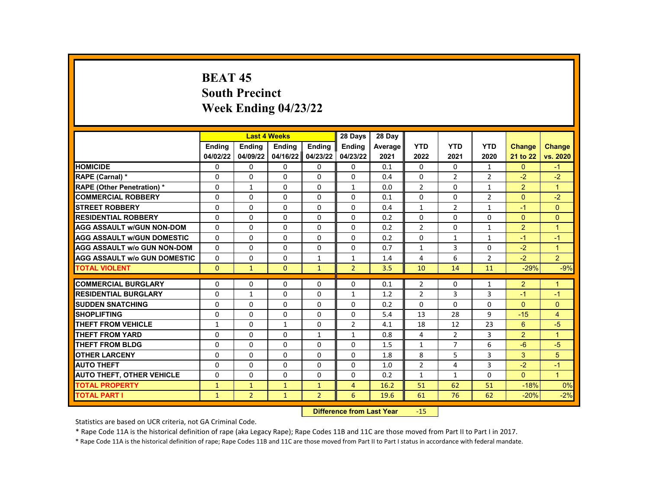# **BEAT 45 South Precinct Week Ending 04/23/22**

|                                     |               | <b>Last 4 Weeks</b> |              |                | 28 Days        | 28 Day  |                |                |                |                |                |
|-------------------------------------|---------------|---------------------|--------------|----------------|----------------|---------|----------------|----------------|----------------|----------------|----------------|
|                                     | <b>Endina</b> | <b>Endina</b>       | Ending       | Ending         | <b>Endina</b>  | Average | <b>YTD</b>     | <b>YTD</b>     | <b>YTD</b>     | <b>Change</b>  | <b>Change</b>  |
|                                     | 04/02/22      | 04/09/22            | 04/16/22     | 04/23/22       | 04/23/22       | 2021    | 2022           | 2021           | 2020           | 21 to 22       | vs. 2020       |
| <b>HOMICIDE</b>                     | 0             | 0                   | 0            | 0              | 0              | 0.1     | $\Omega$       | 0              | $\mathbf{1}$   | $\mathbf{0}$   | $-1$           |
| RAPE (Carnal) *                     | 0             | $\Omega$            | $\Omega$     | $\Omega$       | $\Omega$       | 0.4     | $\Omega$       | $\overline{2}$ | $\overline{2}$ | $-2$           | $-2$           |
| RAPE (Other Penetration) *          | 0             | $\mathbf{1}$        | $\Omega$     | $\Omega$       | $\mathbf{1}$   | 0.0     | $\overline{2}$ | $\Omega$       | $\mathbf{1}$   | $\overline{2}$ | $\mathbf{1}$   |
| <b>COMMERCIAL ROBBERY</b>           | 0             | $\Omega$            | $\Omega$     | 0              | $\Omega$       | 0.1     | $\Omega$       | 0              | $\overline{2}$ | $\Omega$       | $-2$           |
| <b>STREET ROBBERY</b>               | 0             | 0                   | 0            | 0              | $\Omega$       | 0.4     | $\mathbf{1}$   | $\overline{2}$ | $\mathbf{1}$   | $-1$           | $\Omega$       |
| <b>RESIDENTIAL ROBBERY</b>          | $\Omega$      | $\Omega$            | $\Omega$     | $\Omega$       | $\Omega$       | 0.2     | $\Omega$       | $\Omega$       | $\Omega$       | $\Omega$       | $\Omega$       |
| <b>AGG ASSAULT w/GUN NON-DOM</b>    | 0             | 0                   | 0            | 0              | $\Omega$       | 0.2     | $\overline{2}$ | 0              | 1              | $\overline{2}$ | 1              |
| <b>AGG ASSAULT w/GUN DOMESTIC</b>   | 0             | 0                   | 0            | 0              | 0              | 0.2     | $\Omega$       | $\mathbf{1}$   | 1              | $-1$           | $-1$           |
| <b>AGG ASSAULT w/o GUN NON-DOM</b>  | $\Omega$      | $\Omega$            | $\Omega$     | $\Omega$       | $\Omega$       | 0.7     | $\mathbf{1}$   | $\overline{3}$ | $\Omega$       | $-2$           | $\overline{1}$ |
| <b>AGG ASSAULT w/o GUN DOMESTIC</b> | $\Omega$      | 0                   | 0            | 1              | $\mathbf{1}$   | 1.4     | 4              | 6              | $\overline{2}$ | $-2$           | $\overline{2}$ |
| <b>TOTAL VIOLENT</b>                | $\Omega$      | $\mathbf{1}$        | $\Omega$     | $\mathbf{1}$   | $\overline{2}$ | 3.5     | 10             | 14             | 11             | $-29%$         | $-9%$          |
|                                     |               |                     |              |                |                |         |                |                |                |                |                |
| <b>COMMERCIAL BURGLARY</b>          | 0             | $\Omega$            | 0            | 0              | 0              | 0.1     | $\overline{2}$ | 0              | 1              | $\overline{2}$ | 1              |
| <b>RESIDENTIAL BURGLARY</b>         | 0             | 1                   | $\Omega$     | 0              | $\mathbf{1}$   | 1.2     | $\overline{2}$ | 3              | 3              | $-1$           | $-1$           |
| <b>SUDDEN SNATCHING</b>             | $\Omega$      | $\Omega$            | $\Omega$     | $\Omega$       | $\Omega$       | 0.2     | $\Omega$       | $\Omega$       | $\Omega$       | $\Omega$       | $\Omega$       |
| <b>SHOPLIFTING</b>                  | 0             | $\Omega$            | $\Omega$     | 0              | $\Omega$       | 5.4     | 13             | 28             | 9              | $-15$          | $\overline{4}$ |
| <b>THEFT FROM VEHICLE</b>           | $\mathbf{1}$  | 0                   | $\mathbf{1}$ | $\Omega$       | $\overline{2}$ | 4.1     | 18             | 12             | 23             | 6              | $-5$           |
| <b>THEFT FROM YARD</b>              | 0             | $\Omega$            | 0            | $\mathbf{1}$   | $\mathbf{1}$   | 0.8     | 4              | $\overline{2}$ | 3              | $\overline{2}$ | $\overline{1}$ |
| <b>THEFT FROM BLDG</b>              | 0             | $\Omega$            | 0            | $\Omega$       | $\Omega$       | 1.5     | $\mathbf{1}$   | $\overline{7}$ | 6              | $-6$           | $-5$           |
| <b>OTHER LARCENY</b>                | 0             | 0                   | 0            | 0              | $\Omega$       | 1.8     | 8              | 5              | 3              | 3              | 5              |
| <b>AUTO THEFT</b>                   | $\Omega$      | $\Omega$            | $\Omega$     | $\Omega$       | $\Omega$       | 1.0     | $\overline{2}$ | $\overline{4}$ | 3              | $-2$           | $-1$           |
| <b>AUTO THEFT, OTHER VEHICLE</b>    | 0             | 0                   | 0            | 0              | $\Omega$       | 0.2     | $\mathbf{1}$   | $\mathbf{1}$   | $\Omega$       | $\Omega$       | $\mathbf{1}$   |
| <b>TOTAL PROPERTY</b>               | $\mathbf{1}$  | $\mathbf{1}$        | $\mathbf{1}$ | $\mathbf{1}$   | $\overline{4}$ | 16.2    | 51             | 62             | 51             | $-18%$         | 0%             |
| <b>TOTAL PART I</b>                 | $\mathbf{1}$  | $\overline{2}$      | $\mathbf{1}$ | $\overline{2}$ | 6              | 19.6    | 61             | 76             | 62             | $-20%$         | $-2%$          |
|                                     |               |                     |              | <b>PARKER</b>  |                |         |                |                |                |                |                |

**Difference from Last Year -15** 

Statistics are based on UCR criteria, not GA Criminal Code.

\* Rape Code 11A is the historical definition of rape (aka Legacy Rape); Rape Codes 11B and 11C are those moved from Part II to Part I in 2017.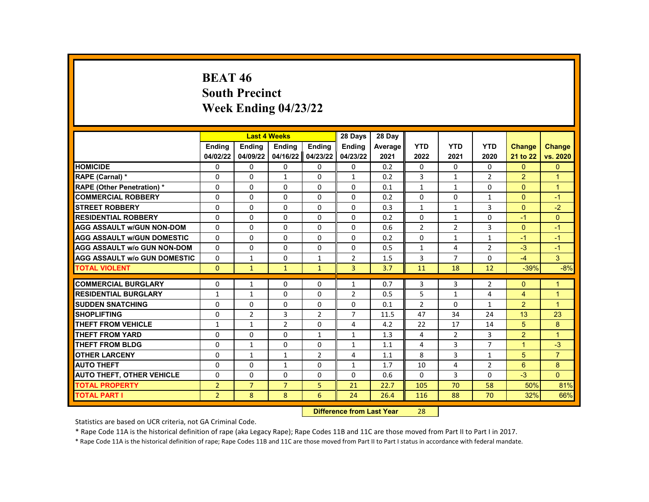# **BEAT 46 South Precinct Week Ending 04/23/22**

|                                     |                |                | <b>Last 4 Weeks</b> |                | 28 Days                   | 28 Day  |                |                |                |                      |                |
|-------------------------------------|----------------|----------------|---------------------|----------------|---------------------------|---------|----------------|----------------|----------------|----------------------|----------------|
|                                     | <b>Endina</b>  | <b>Endina</b>  | <b>Endina</b>       | <b>Endina</b>  | <b>Endina</b>             | Average | <b>YTD</b>     | <b>YTD</b>     | <b>YTD</b>     | <b>Change</b>        | <b>Change</b>  |
|                                     | 04/02/22       | 04/09/22       | 04/16/22            | 04/23/22       | 04/23/22                  | 2021    | 2022           | 2021           | 2020           | 21 to 22             | vs. 2020       |
| <b>HOMICIDE</b>                     | 0              | 0              | 0                   | 0              | 0                         | 0.2     | 0              | 0              | 0              | $\mathbf{0}$         | $\mathbf{0}$   |
| RAPE (Carnal) *                     | $\Omega$       | $\Omega$       | $\mathbf{1}$        | $\Omega$       | $\mathbf{1}$              | 0.2     | 3              | $\mathbf{1}$   | $\overline{2}$ | $\overline{2}$       | $\overline{1}$ |
| RAPE (Other Penetration) *          | $\Omega$       | $\Omega$       | $\Omega$            | $\Omega$       | $\Omega$                  | 0.1     | $\mathbf{1}$   | $\mathbf{1}$   | $\Omega$       | $\Omega$             | $\mathbf{1}$   |
| <b>COMMERCIAL ROBBERY</b>           | 0              | 0              | 0                   | 0              | 0                         | 0.2     | 0              | 0              | 1              | $\Omega$             | $-1$           |
| <b>STREET ROBBERY</b>               | $\Omega$       | $\Omega$       | $\Omega$            | $\Omega$       | $\Omega$                  | 0.3     | $\mathbf{1}$   | $\mathbf{1}$   | 3              | $\Omega$             | $-2$           |
| <b>RESIDENTIAL ROBBERY</b>          | $\Omega$       | $\Omega$       | $\Omega$            | $\Omega$       | $\Omega$                  | 0.2     | $\Omega$       | $\mathbf{1}$   | $\Omega$       | $-1$                 | $\Omega$       |
| <b>AGG ASSAULT w/GUN NON-DOM</b>    | 0              | 0              | 0                   | 0              | 0                         | 0.6     | $\overline{2}$ | $\overline{2}$ | 3              | $\mathbf{0}$         | $-1$           |
| <b>AGG ASSAULT w/GUN DOMESTIC</b>   | $\Omega$       | $\Omega$       | $\Omega$            | $\Omega$       | $\Omega$                  | 0.2     | $\Omega$       | $\mathbf{1}$   | $\mathbf{1}$   | $-1$                 | $-1$           |
| <b>AGG ASSAULT w/o GUN NON-DOM</b>  | $\Omega$       | $\Omega$       | $\Omega$            | $\Omega$       | $\Omega$                  | 0.5     | $\mathbf{1}$   | 4              | $\overline{2}$ | $-3$                 | $-1$           |
| <b>AGG ASSAULT w/o GUN DOMESTIC</b> | $\Omega$       | 1              | $\Omega$            | $\mathbf{1}$   | $\overline{2}$            | 1.5     | 3              | $\overline{7}$ | $\Omega$       | $-4$                 | 3              |
| <b>TOTAL VIOLENT</b>                | $\mathbf{0}$   | $\mathbf{1}$   | $\mathbf{1}$        | $\mathbf{1}$   | 3                         | 3.7     | 11             | 18             | 12             | $-39%$               | $-8%$          |
| <b>COMMERCIAL BURGLARY</b>          |                |                |                     |                |                           |         |                |                |                |                      | $\mathbf{1}$   |
|                                     | 0              | $\mathbf{1}$   | 0                   | 0              | $\mathbf{1}$              | 0.7     | 3              | 3              | 2              | $\Omega$             |                |
| <b>RESIDENTIAL BURGLARY</b>         | $\mathbf{1}$   | $\mathbf{1}$   | $\Omega$            | $\Omega$       | $\overline{2}$            | 0.5     | 5              | $\mathbf{1}$   | 4              | $\overline{4}$       | $\mathbf{1}$   |
| <b>SUDDEN SNATCHING</b>             | $\Omega$       | $\Omega$       | $\Omega$            | $\Omega$       | $\Omega$                  | 0.1     | $\overline{2}$ | $\Omega$       | $\mathbf{1}$   | 2                    | $\overline{1}$ |
| <b>SHOPLIFTING</b>                  | 0              | $\overline{2}$ | 3                   | $\overline{2}$ | $\overline{7}$            | 11.5    | 47             | 34             | 24             | 13                   | 23             |
| <b>THEFT FROM VEHICLE</b>           | $\mathbf{1}$   | $\mathbf{1}$   | $\overline{2}$      | $\Omega$       | 4                         | 4.2     | 22             | 17             | 14             | 5                    | 8              |
| <b>THEFT FROM YARD</b>              | $\Omega$       | $\Omega$       | $\Omega$            | $\mathbf{1}$   | $\mathbf{1}$              | 1.3     | 4              | $\overline{2}$ | 3              | $\overline{2}$       | $\overline{1}$ |
| <b>THEFT FROM BLDG</b>              | $\Omega$       | $\mathbf{1}$   | $\Omega$            | $\Omega$       | $\mathbf{1}$              | 1.1     | 4              | 3              | $\overline{7}$ | $\blacktriangleleft$ | $-3$           |
| <b>OTHER LARCENY</b>                | 0              | $\mathbf{1}$   | $\mathbf{1}$        | $\overline{2}$ | 4                         | 1.1     | 8              | 3              | 1              | 5                    | $\overline{7}$ |
| <b>AUTO THEFT</b>                   | $\Omega$       | $\Omega$       | $\mathbf{1}$        | $\Omega$       | $\mathbf{1}$              | 1.7     | 10             | 4              | $\overline{2}$ | 6                    | 8              |
| <b>AUTO THEFT, OTHER VEHICLE</b>    | $\Omega$       | $\Omega$       | $\Omega$            | $\Omega$       | $\Omega$                  | 0.6     | $\Omega$       | 3              | $\Omega$       | $-3$                 | $\Omega$       |
| <b>TOTAL PROPERTY</b>               | $\overline{2}$ | $\overline{7}$ | $\overline{7}$      | 5              | 21                        | 22.7    | 105            | 70             | 58             | 50%                  | 81%            |
| <b>TOTAL PART I</b>                 | $\overline{2}$ | 8              | 8                   | 6              | 24                        | 26.4    | 116            | 88             | 70             | 32%                  | 66%            |
|                                     |                |                |                     |                | Difference from Lost Voor |         | 70             |                |                |                      |                |

**Difference from Last Year** 

Statistics are based on UCR criteria, not GA Criminal Code.

\* Rape Code 11A is the historical definition of rape (aka Legacy Rape); Rape Codes 11B and 11C are those moved from Part II to Part I in 2017.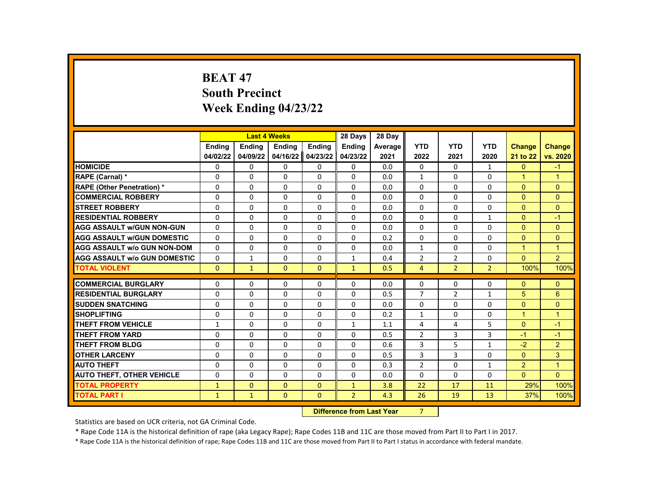# **BEAT 47 South Precinct Week Ending 04/23/22**

|                                     |               | <b>Last 4 Weeks</b> |               |                  | 28 Days                 | 28 Day  |                |                |                |                |                |
|-------------------------------------|---------------|---------------------|---------------|------------------|-------------------------|---------|----------------|----------------|----------------|----------------|----------------|
|                                     | <b>Endina</b> | <b>Ending</b>       | <b>Ending</b> | Ending           | <b>Endina</b>           | Average | <b>YTD</b>     | <b>YTD</b>     | <b>YTD</b>     | <b>Change</b>  | <b>Change</b>  |
|                                     | 04/02/22      | 04/09/22            | 04/16/22      | 04/23/22         | 04/23/22                | 2021    | 2022           | 2021           | 2020           | 21 to 22       | vs. 2020       |
| <b>HOMICIDE</b>                     | 0             | 0                   | $\mathbf{0}$  | $\mathbf{0}$     | 0                       | 0.0     | $\mathbf{0}$   | $\mathbf{0}$   | $\mathbf{1}$   | $\mathbf{0}$   | $-1$           |
| RAPE (Carnal) *                     | 0             | 0                   | 0             | $\Omega$         | $\Omega$                | 0.0     | $\mathbf{1}$   | 0              | $\Omega$       | $\mathbf{1}$   | $\mathbf{1}$   |
| <b>RAPE (Other Penetration) *</b>   | $\Omega$      | $\Omega$            | $\Omega$      | $\Omega$         | $\Omega$                | 0.0     | $\Omega$       | $\Omega$       | $\Omega$       | $\Omega$       | $\Omega$       |
| <b>COMMERCIAL ROBBERY</b>           | 0             | 0                   | 0             | 0                | 0                       | 0.0     | 0              | 0              | 0              | $\overline{0}$ | $\mathbf{0}$   |
| <b>STREET ROBBERY</b>               | $\Omega$      | $\Omega$            | $\Omega$      | $\Omega$         | $\Omega$                | 0.0     | $\Omega$       | $\Omega$       | $\Omega$       | $\Omega$       | $\Omega$       |
| <b>RESIDENTIAL ROBBERY</b>          | $\Omega$      | $\Omega$            | $\Omega$      | $\Omega$         | $\Omega$                | 0.0     | $\Omega$       | $\Omega$       | $\mathbf{1}$   | $\Omega$       | $-1$           |
| <b>AGG ASSAULT W/GUN NON-GUN</b>    | $\Omega$      | $\Omega$            | 0             | $\Omega$         | $\Omega$                | 0.0     | 0              | $\Omega$       | $\Omega$       | $\Omega$       | $\Omega$       |
| <b>AGG ASSAULT W/GUN DOMESTIC</b>   | $\Omega$      | $\Omega$            | $\Omega$      | $\Omega$         | $\Omega$                | 0.2     | $\Omega$       | $\Omega$       | $\Omega$       | $\Omega$       | $\Omega$       |
| <b>AGG ASSAULT w/o GUN NON-DOM</b>  | $\Omega$      | $\Omega$            | $\Omega$      | $\Omega$         | $\Omega$                | 0.0     | $\mathbf{1}$   | $\Omega$       | $\Omega$       | $\overline{1}$ | $\mathbf{1}$   |
| <b>AGG ASSAULT w/o GUN DOMESTIC</b> | 0             | $\mathbf{1}$        | 0             | 0                | 1                       | 0.4     | $\overline{2}$ | $\overline{2}$ | 0              | $\Omega$       | 2              |
| <b>TOTAL VIOLENT</b>                | $\Omega$      | $\mathbf{1}$        | $\Omega$      | $\Omega$         | $\mathbf{1}$            | 0.5     | $\overline{4}$ | $\overline{2}$ | $\overline{2}$ | 100%           | 100%           |
|                                     |               |                     |               |                  |                         |         |                |                |                |                |                |
| <b>COMMERCIAL BURGLARY</b>          | 0             | 0                   | 0             | 0                | 0                       | 0.0     | $\mathbf{0}$   | 0              | 0              | $\mathbf{0}$   | $\mathbf{0}$   |
| <b>RESIDENTIAL BURGLARY</b>         | 0             | 0                   | 0             | 0                | 0                       | 0.5     | $\overline{7}$ | $\overline{2}$ | $\mathbf{1}$   | 5              | $6\phantom{1}$ |
| <b>SUDDEN SNATCHING</b>             | $\Omega$      | $\Omega$            | $\Omega$      | $\Omega$         | $\Omega$                | 0.0     | $\Omega$       | $\Omega$       | $\Omega$       | $\Omega$       | $\Omega$       |
| <b>SHOPLIFTING</b>                  | $\Omega$      | $\Omega$            | 0             | $\Omega$         | $\Omega$                | 0.2     | $\mathbf{1}$   | $\Omega$       | $\Omega$       | $\mathbf{1}$   | $\overline{1}$ |
| <b>THEFT FROM VEHICLE</b>           | $\mathbf{1}$  | $\Omega$            | $\Omega$      | $\Omega$         | $\mathbf{1}$            | 1.1     | 4              | 4              | 5              | $\Omega$       | $-1$           |
| <b>THEFT FROM YARD</b>              | $\Omega$      | $\Omega$            | $\Omega$      | $\Omega$         | $\Omega$                | 0.5     | $\overline{2}$ | 3              | 3              | $-1$           | $-1$           |
| <b>THEFT FROM BLDG</b>              | $\Omega$      | $\Omega$            | 0             | $\Omega$         | $\Omega$                | 0.6     | 3              | 5              | $\mathbf{1}$   | $-2$           | $\overline{2}$ |
| <b>OTHER LARCENY</b>                | $\Omega$      | $\Omega$            | $\Omega$      | $\Omega$         | $\Omega$                | 0.5     | 3              | 3              | $\Omega$       | $\Omega$       | 3              |
| <b>AUTO THEFT</b>                   | $\Omega$      | $\Omega$            | $\Omega$      | $\Omega$         | $\Omega$                | 0.3     | $\overline{2}$ | $\Omega$       | $\mathbf{1}$   | 2              | $\mathbf{1}$   |
| <b>AUTO THEFT, OTHER VEHICLE</b>    | 0             | $\Omega$            | 0             | $\Omega$         | $\Omega$                | 0.0     | 0              | 0              | $\Omega$       | $\mathbf{0}$   | $\Omega$       |
| <b>TOTAL PROPERTY</b>               | $\mathbf{1}$  | $\mathbf{0}$        | $\Omega$      | $\mathbf{0}$     | $\mathbf{1}$            | 3.8     | 22             | 17             | 11             | 29%            | 100%           |
| <b>TOTAL PART I</b>                 | $\mathbf{1}$  | $\mathbf{1}$        | $\Omega$      | $\Omega$         | $\overline{2}$          | 4.3     | 26             | 19             | 13             | 37%            | 100%           |
|                                     |               |                     |               | <b>INSECTION</b> | a a dheann 1 anns Masan |         | $\sim$         |                |                |                |                |

**Difference from Last Year** 7

Statistics are based on UCR criteria, not GA Criminal Code.

\* Rape Code 11A is the historical definition of rape (aka Legacy Rape); Rape Codes 11B and 11C are those moved from Part II to Part I in 2017.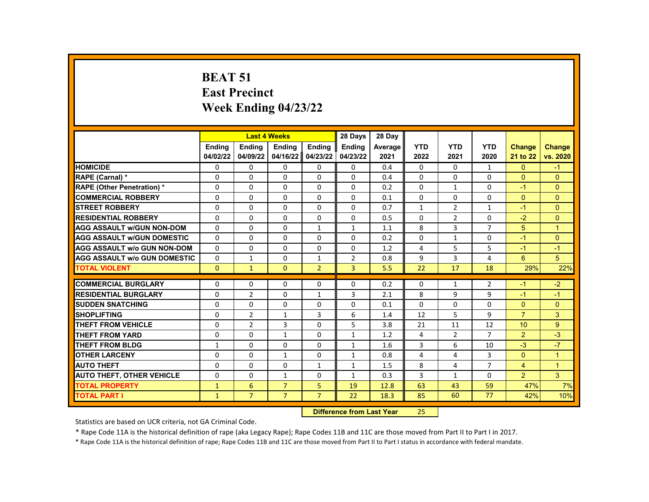#### **BEAT 51 East Precinct Week Ending 04/23/22**

|                                     |                           | <b>Last 4 Weeks</b>       |                           |                           | 28 Days                   | 28 Day                      |                    |                    |                    |                           |                           |
|-------------------------------------|---------------------------|---------------------------|---------------------------|---------------------------|---------------------------|-----------------------------|--------------------|--------------------|--------------------|---------------------------|---------------------------|
|                                     | <b>Endina</b><br>04/02/22 | <b>Endina</b><br>04/09/22 | <b>Endina</b><br>04/16/22 | <b>Endina</b><br>04/23/22 | <b>Ending</b><br>04/23/22 | Average<br>2021             | <b>YTD</b><br>2022 | <b>YTD</b><br>2021 | <b>YTD</b><br>2020 | <b>Change</b><br>21 to 22 | <b>Change</b><br>vs. 2020 |
| <b>HOMICIDE</b>                     | 0                         | 0                         | $\mathbf{0}$              | 0                         | $\mathbf{0}$              | 0.4                         | $\mathbf{0}$       | 0                  | $\mathbf{1}$       | $\Omega$                  | $-1$                      |
| RAPE (Carnal) *                     | 0                         | 0                         | $\Omega$                  | $\Omega$                  | $\Omega$                  | 0.4                         | $\Omega$           | $\Omega$           | $\Omega$           | $\Omega$                  | $\Omega$                  |
| <b>RAPE (Other Penetration) *</b>   | $\Omega$                  | $\Omega$                  | $\Omega$                  | $\Omega$                  | $\Omega$                  | 0.2                         | $\Omega$           | $\mathbf{1}$       | $\Omega$           | $-1$                      | $\Omega$                  |
| <b>COMMERCIAL ROBBERY</b>           | $\Omega$                  | 0                         | 0                         | $\Omega$                  | $\Omega$                  | 0.1                         | $\Omega$           | $\Omega$           | $\Omega$           | $\Omega$                  | $\Omega$                  |
| <b>STREET ROBBERY</b>               | 0                         | 0                         | 0                         | $\Omega$                  | $\Omega$                  | 0.7                         | $\mathbf{1}$       | $\overline{2}$     | $\mathbf{1}$       | $-1$                      | $\Omega$                  |
| <b>RESIDENTIAL ROBBERY</b>          | $\Omega$                  | $\Omega$                  | $\Omega$                  | $\Omega$                  | $\Omega$                  | 0.5                         | $\Omega$           | $\overline{2}$     | $\Omega$           | $-2$                      | $\overline{0}$            |
| <b>AGG ASSAULT w/GUN NON-DOM</b>    | $\Omega$                  | $\Omega$                  | 0                         | $\mathbf{1}$              | $\mathbf{1}$              | 1.1                         | 8                  | 3                  | $\overline{7}$     | 5                         | $\mathbf{1}$              |
| <b>AGG ASSAULT w/GUN DOMESTIC</b>   | $\Omega$                  | $\Omega$                  | 0                         | $\Omega$                  | $\Omega$                  | 0.2                         | $\Omega$           | $\mathbf{1}$       | $\Omega$           | $-1$                      | $\Omega$                  |
| <b>AGG ASSAULT w/o GUN NON-DOM</b>  | $\Omega$                  | $\Omega$                  | $\Omega$                  | $\Omega$                  | $\Omega$                  | 1.2                         | 4                  | 5                  | 5                  | $-1$                      | $-1$                      |
| <b>AGG ASSAULT w/o GUN DOMESTIC</b> | $\Omega$                  | $\mathbf{1}$              | 0                         | $\mathbf{1}$              | $\overline{2}$            | 0.8                         | 9                  | 3                  | 4                  | 6                         | 5                         |
| <b>TOTAL VIOLENT</b>                | $\Omega$                  | $\mathbf{1}$              | $\mathbf{0}$              | $\overline{2}$            | 3                         | 5.5                         | 22                 | 17                 | 18                 | 29%                       | 22%                       |
|                                     |                           |                           |                           |                           |                           |                             |                    |                    |                    |                           |                           |
| <b>COMMERCIAL BURGLARY</b>          | 0                         | 0                         | 0                         | 0                         | 0                         | 0.2                         | 0                  | $\mathbf{1}$       | $\overline{2}$     | $-1$                      | $-2$                      |
| <b>RESIDENTIAL BURGLARY</b>         | $\Omega$                  | $\overline{2}$            | 0                         | $\mathbf{1}$              | 3                         | 2.1                         | 8                  | 9                  | 9                  | $-1$                      | $-1$                      |
| <b>SUDDEN SNATCHING</b>             | $\Omega$                  | $\Omega$                  | $\Omega$                  | $\Omega$                  | $\Omega$                  | 0.1                         | $\Omega$           | $\Omega$           | $\Omega$           | $\Omega$                  | $\mathbf{0}$              |
| <b>SHOPLIFTING</b>                  | $\Omega$                  | $\overline{2}$            | $\mathbf{1}$              | 3                         | 6                         | 1.4                         | 12                 | 5                  | 9                  | $\overline{7}$            | 3                         |
| <b>THEFT FROM VEHICLE</b>           | $\Omega$                  | $\overline{2}$            | 3                         | $\Omega$                  | 5                         | 3.8                         | 21                 | 11                 | 12                 | 10                        | 9                         |
| <b>THEFT FROM YARD</b>              | $\Omega$                  | $\Omega$                  | $\mathbf{1}$              | $\Omega$                  | $\mathbf{1}$              | 1.2                         | 4                  | $\overline{2}$     | $\overline{7}$     | 2                         | $-3$                      |
| <b>THEFT FROM BLDG</b>              | $\mathbf{1}$              | 0                         | 0                         | 0                         | $\mathbf{1}$              | 1.6                         | 3                  | 6                  | 10                 | $-3$                      | $-7$                      |
| <b>OTHER LARCENY</b>                | $\Omega$                  | $\Omega$                  | $\mathbf{1}$              | $\Omega$                  | $\mathbf{1}$              | 0.8                         | $\overline{4}$     | 4                  | 3                  | $\Omega$                  | $\mathbf{1}$              |
| <b>AUTO THEFT</b>                   | $\Omega$                  | $\Omega$                  | $\Omega$                  | $\mathbf{1}$              | $\mathbf{1}$              | 1.5                         | 8                  | 4                  | $\overline{7}$     | $\overline{4}$            | $\mathbf{1}$              |
| <b>AUTO THEFT, OTHER VEHICLE</b>    | $\Omega$                  | $\Omega$                  | $\mathbf{1}$              | $\Omega$                  | $\mathbf{1}$              | 0.3                         | 3                  | $\mathbf{1}$       | $\Omega$           | $\overline{2}$            | 3                         |
| <b>TOTAL PROPERTY</b>               | $\mathbf{1}$              | 6                         | $\overline{7}$            | 5                         | 19                        | 12.8                        | 63                 | 43                 | 59                 | 47%                       | 7%                        |
| <b>TOTAL PART I</b>                 | $\mathbf{1}$              | $\overline{7}$            | $\overline{7}$            | $\overline{7}$            | 22                        | 18.3                        | 85                 | 60                 | 77                 | 42%                       | 10%                       |
|                                     |                           |                           |                           | <b>PARTER</b>             |                           | the Common Commission March | $\sim$ $-$         |                    |                    |                           |                           |

**Difference from Last Year** 25

Statistics are based on UCR criteria, not GA Criminal Code.

\* Rape Code 11A is the historical definition of rape (aka Legacy Rape); Rape Codes 11B and 11C are those moved from Part II to Part I in 2017.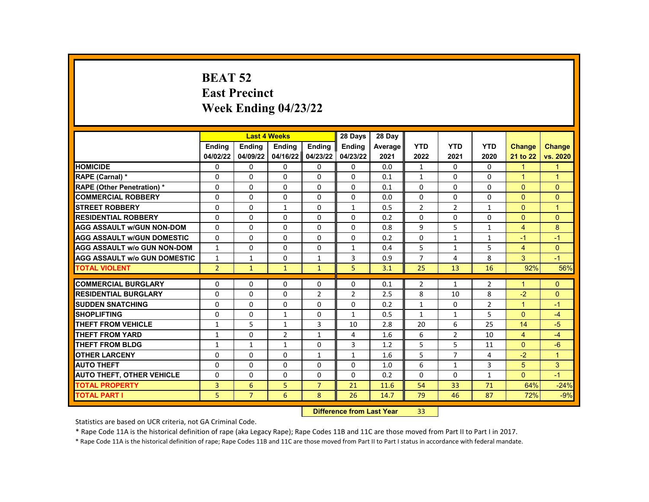## **BEAT 52 East Precinct Week Ending 04/23/22**

|                                     |                | <b>Last 4 Weeks</b> |                |                | 28 Days                   | 28 Day  |                |                |                |                |                |
|-------------------------------------|----------------|---------------------|----------------|----------------|---------------------------|---------|----------------|----------------|----------------|----------------|----------------|
|                                     | Ending         | <b>Ending</b>       | Ending         | Ending         | <b>Ending</b>             | Average | <b>YTD</b>     | <b>YTD</b>     | <b>YTD</b>     | <b>Change</b>  | <b>Change</b>  |
|                                     | 04/02/22       | 04/09/22            | 04/16/22       | 04/23/22       | 04/23/22                  | 2021    | 2022           | 2021           | 2020           | 21 to 22       | vs. 2020       |
| <b>HOMICIDE</b>                     | $\mathbf{0}$   | 0                   | $\mathbf{0}$   | 0              | $\mathbf{0}$              | 0.0     | $\mathbf{1}$   | 0              | $\mathbf{0}$   | $\mathbf{1}$   | $\mathbf{1}$   |
| RAPE (Carnal) *                     | 0              | 0                   | 0              | $\Omega$       | 0                         | 0.1     | $\mathbf{1}$   | 0              | $\Omega$       | $\mathbf{1}$   | 1              |
| <b>RAPE (Other Penetration) *</b>   | $\Omega$       | $\Omega$            | $\Omega$       | $\Omega$       | $\Omega$                  | 0.1     | $\Omega$       | $\Omega$       | $\Omega$       | $\Omega$       | $\overline{0}$ |
| <b>COMMERCIAL ROBBERY</b>           | $\Omega$       | $\Omega$            | $\Omega$       | $\Omega$       | $\Omega$                  | 0.0     | $\Omega$       | $\Omega$       | $\Omega$       | $\Omega$       | $\mathbf{0}$   |
| <b>STREET ROBBERY</b>               | $\Omega$       | $\Omega$            | $\mathbf{1}$   | $\Omega$       | $\mathbf{1}$              | 0.5     | $\overline{2}$ | $\overline{2}$ | $\mathbf{1}$   | $\Omega$       | $\mathbf{1}$   |
| <b>RESIDENTIAL ROBBERY</b>          | $\Omega$       | $\Omega$            | $\Omega$       | $\Omega$       | $\Omega$                  | 0.2     | $\Omega$       | $\Omega$       | $\Omega$       | $\Omega$       | $\mathbf{0}$   |
| <b>AGG ASSAULT w/GUN NON-DOM</b>    | 0              | 0                   | 0              | 0              | 0                         | 0.8     | 9              | 5              | $\mathbf{1}$   | $\overline{4}$ | 8              |
| <b>AGG ASSAULT w/GUN DOMESTIC</b>   | $\Omega$       | 0                   | 0              | $\Omega$       | 0                         | 0.2     | $\Omega$       | $\mathbf{1}$   | $\mathbf{1}$   | $-1$           | $-1$           |
| <b>AGG ASSAULT w/o GUN NON-DOM</b>  | $\mathbf{1}$   | $\Omega$            | $\Omega$       | $\Omega$       | $\mathbf{1}$              | 0.4     | 5              | $\mathbf{1}$   | 5              | $\overline{4}$ | $\Omega$       |
| <b>AGG ASSAULT w/o GUN DOMESTIC</b> | $\mathbf{1}$   | $\mathbf{1}$        | 0              | $\mathbf{1}$   | 3                         | 0.9     | $\overline{7}$ | 4              | 8              | 3              | $-1$           |
| <b>TOTAL VIOLENT</b>                | $\overline{2}$ | $\mathbf{1}$        | $\mathbf{1}$   | $\mathbf{1}$   | 5                         | 3.1     | 25             | 13             | 16             | 92%            | 56%            |
|                                     |                |                     |                |                |                           |         |                |                |                |                |                |
| <b>COMMERCIAL BURGLARY</b>          | 0              | 0                   | 0              | 0              | 0                         | 0.1     | $\overline{2}$ | $\mathbf{1}$   | $\overline{2}$ | 1              | $\mathbf{0}$   |
| <b>RESIDENTIAL BURGLARY</b>         | 0              | 0                   | 0              | $\overline{2}$ | $\overline{2}$            | 2.5     | 8              | 10             | 8              | $-2$           | $\pmb{0}$      |
| <b>SUDDEN SNATCHING</b>             | $\Omega$       | $\Omega$            | $\Omega$       | $\Omega$       | $\Omega$                  | 0.2     | $\mathbf{1}$   | $\Omega$       | $\overline{2}$ | $\mathbf{1}$   | $-1$           |
| <b>SHOPLIFTING</b>                  | $\Omega$       | $\Omega$            | $\mathbf{1}$   | $\Omega$       | $\mathbf{1}$              | 0.5     | $\mathbf{1}$   | $\mathbf{1}$   | 5              | $\Omega$       | $-4$           |
| <b>THEFT FROM VEHICLE</b>           | $\mathbf{1}$   | 5                   | $\mathbf{1}$   | 3              | 10                        | 2.8     | 20             | 6              | 25             | 14             | $-5$           |
| <b>THEFT FROM YARD</b>              | $\mathbf{1}$   | $\Omega$            | $\overline{2}$ | $\mathbf{1}$   | 4                         | 1.6     | 6              | $\overline{2}$ | 10             | $\overline{4}$ | $-4$           |
| <b>THEFT FROM BLDG</b>              | 1              | $\mathbf{1}$        | $\mathbf{1}$   | $\Omega$       | 3                         | 1.2     | 5              | 5              | 11             | $\Omega$       | $-6$           |
| <b>OTHER LARCENY</b>                | $\Omega$       | 0                   | $\Omega$       | $\mathbf{1}$   | $\mathbf{1}$              | 1.6     | 5              | $\overline{7}$ | 4              | $-2$           | $\mathbf{1}$   |
| <b>AUTO THEFT</b>                   | $\Omega$       | $\Omega$            | $\Omega$       | $\Omega$       | $\Omega$                  | 1.0     | 6              | $\mathbf{1}$   | 3              | 5              | 3              |
| <b>AUTO THEFT, OTHER VEHICLE</b>    | $\Omega$       | 0                   | 0              | 0              | $\Omega$                  | 0.2     | $\Omega$       | 0              | $\mathbf{1}$   | $\Omega$       | $-1$           |
| <b>TOTAL PROPERTY</b>               | 3              | 6                   | 5              | $\overline{7}$ | 21                        | 11.6    | 54             | 33             | 71             | 64%            | $-24%$         |
| <b>TOTAL PART I</b>                 | 5              | $\overline{7}$      | 6              | 8              | 26                        | 14.7    | 79             | 46             | 87             | 72%            | $-9%$          |
|                                     |                |                     |                |                | Difference from Look Vaca |         | 22             |                |                |                |                |

**Difference from Last Year** 33

Statistics are based on UCR criteria, not GA Criminal Code.

\* Rape Code 11A is the historical definition of rape (aka Legacy Rape); Rape Codes 11B and 11C are those moved from Part II to Part I in 2017.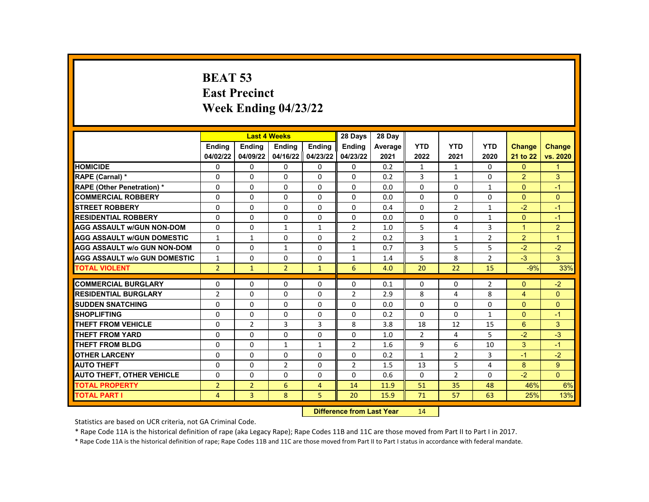# **BEAT 53 East Precinct Week Ending 04/23/22**

|                                     |                |                | <b>Last 4 Weeks</b> |                | 28 Days                   | 28 Day  |                |                |              |                |                |
|-------------------------------------|----------------|----------------|---------------------|----------------|---------------------------|---------|----------------|----------------|--------------|----------------|----------------|
|                                     | Ending         | <b>Ending</b>  | <b>Ending</b>       | Ending         | <b>Ending</b>             | Average | <b>YTD</b>     | <b>YTD</b>     | <b>YTD</b>   | Change         | <b>Change</b>  |
|                                     | 04/02/22       | 04/09/22       | 04/16/22            | 04/23/22       | 04/23/22                  | 2021    | 2022           | 2021           | 2020         | 21 to 22       | vs. 2020       |
| <b>HOMICIDE</b>                     | 0              | $\Omega$       | $\Omega$            | $\Omega$       | $\mathbf{0}$              | 0.2     | $\mathbf{1}$   | $\mathbf{1}$   | $\Omega$     | $\Omega$       | $\mathbf{1}$   |
| RAPE (Carnal) *                     | $\Omega$       | $\Omega$       | $\Omega$            | $\Omega$       | $\Omega$                  | 0.2     | 3              | $\mathbf{1}$   | $\Omega$     | $\overline{2}$ | 3              |
| <b>RAPE (Other Penetration) *</b>   | $\Omega$       | $\Omega$       | $\Omega$            | $\Omega$       | $\Omega$                  | 0.0     | $\Omega$       | $\Omega$       | $\mathbf{1}$ | $\Omega$       | $-1$           |
| <b>COMMERCIAL ROBBERY</b>           | 0              | $\Omega$       | $\Omega$            | $\Omega$       | $\Omega$                  | 0.0     | $\Omega$       | $\Omega$       | $\Omega$     | $\mathbf{0}$   | $\mathbf{0}$   |
| <b>STREET ROBBERY</b>               | $\Omega$       | $\Omega$       | $\Omega$            | $\Omega$       | $\Omega$                  | 0.4     | $\Omega$       | 2              | $\mathbf{1}$ | $-2$           | $-1$           |
| <b>RESIDENTIAL ROBBERY</b>          | $\Omega$       | $\Omega$       | $\Omega$            | $\Omega$       | $\Omega$                  | 0.0     | $\Omega$       | $\Omega$       | $\mathbf{1}$ | $\Omega$       | $-1$           |
| <b>AGG ASSAULT W/GUN NON-DOM</b>    | $\Omega$       | $\Omega$       | $\mathbf{1}$        | $\mathbf{1}$   | $\overline{2}$            | 1.0     | 5              | 4              | 3            | $\overline{1}$ | 2              |
| <b>AGG ASSAULT W/GUN DOMESTIC</b>   | $\mathbf{1}$   | $\mathbf{1}$   | $\Omega$            | $\Omega$       | $\overline{2}$            | 0.2     | 3              | $\mathbf{1}$   | 2            | 2              | $\overline{1}$ |
| <b>AGG ASSAULT W/o GUN NON-DOM</b>  | $\Omega$       | $\Omega$       | $\mathbf{1}$        | $\Omega$       | $\mathbf{1}$              | 0.7     | 3              | 5              | 5            | $-2$           | $-2$           |
| <b>AGG ASSAULT W/o GUN DOMESTIC</b> | $\mathbf{1}$   | $\Omega$       | $\Omega$            | $\Omega$       | $\mathbf{1}$              | 1.4     | 5              | 8              | 2            | $-3$           | 3 <sup>1</sup> |
| <b>TOTAL VIOLENT</b>                | $\overline{2}$ | $\mathbf{1}$   | $\overline{2}$      | $\mathbf{1}$   | 6                         | 4.0     | 20             | 22             | 15           | $-9%$          | 33%            |
|                                     |                |                |                     |                |                           |         |                |                |              |                |                |
| <b>COMMERCIAL BURGLARY</b>          | 0              | 0              | $\Omega$            | $\Omega$       | $\Omega$                  | 0.1     | $\mathbf{0}$   | 0              | 2            | $\Omega$       | $-2$           |
| <b>RESIDENTIAL BURGLARY</b>         | 2              | $\Omega$       | $\Omega$            | $\Omega$       | 2                         | 2.9     | 8              | 4              | 8            | $\overline{4}$ | $\overline{0}$ |
| <b>SUDDEN SNATCHING</b>             | $\Omega$       | $\Omega$       | $\Omega$            | $\Omega$       | $\Omega$                  | 0.0     | $\Omega$       | $\Omega$       | $\Omega$     | $\Omega$       | $\Omega$       |
| <b>SHOPLIFTING</b>                  | 0              | $\Omega$       | $\Omega$            | $\Omega$       | $\Omega$                  | 0.2     | $\Omega$       | $\Omega$       | $\mathbf{1}$ | $\mathbf{0}$   | $-1$           |
| <b>THEFT FROM VEHICLE</b>           | $\Omega$       | $\overline{2}$ | 3                   | 3              | 8                         | 3.8     | 18             | 12             | 15           | 6              | 3              |
| THEFT FROM YARD                     | $\Omega$       | $\Omega$       | $\Omega$            | $\Omega$       | $\Omega$                  | 1.0     | $\overline{2}$ | 4              | 5            | $-2$           | $-3$           |
| THEFT FROM BLDG                     | 0              | $\Omega$       | $\mathbf{1}$        | $\mathbf{1}$   | $\overline{2}$            | 1.6     | 9              | 6              | 10           | 3 <sup>1</sup> | $-1$           |
| <b>OTHER LARCENY</b>                | $\Omega$       | $\Omega$       | $\Omega$            | $\mathbf{0}$   | $\Omega$                  | 0.2     | $\mathbf{1}$   | $\overline{2}$ | 3            | $-1$           | $-2$           |
| <b>AUTO THEFT</b>                   | $\Omega$       | $\Omega$       | $\overline{2}$      | $\Omega$       | $\overline{2}$            | 1.5     | 13             | 5              | 4            | 8              | 9              |
| <b>AUTO THEFT, OTHER VEHICLE</b>    | 0              | $\Omega$       | $\Omega$            | $\Omega$       | $\Omega$                  | 0.6     | $\Omega$       | $\overline{2}$ | $\Omega$     | $-2$           | $\Omega$       |
| <b>TOTAL PROPERTY</b>               | $\overline{2}$ | $\overline{2}$ | 6                   | $\overline{4}$ | 14                        | 11.9    | 51             | 35             | 48           | 46%            | 6%             |
| <b>TOTAL PART I</b>                 | 4              | $\overline{3}$ | 8                   | 5              | 20                        | 15.9    | 71             | 57             | 63           | 25%            | 13%            |
|                                     |                |                |                     |                | Difference from Loot Voor |         | 11             |                |              |                |                |

**Difference from Last Year** 14

Statistics are based on UCR criteria, not GA Criminal Code.

\* Rape Code 11A is the historical definition of rape (aka Legacy Rape); Rape Codes 11B and 11C are those moved from Part II to Part I in 2017.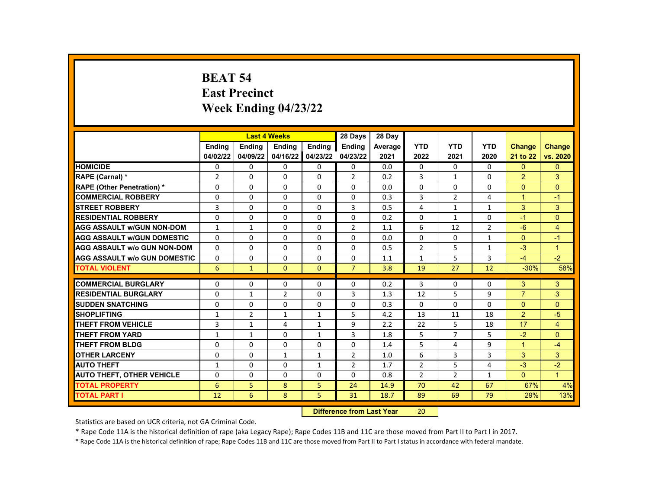## **BEAT 54 East Precinct Week Ending 04/23/22**

|                                     |                | <b>Last 4 Weeks</b> |                |                | 28 Days                  | 28 Day  |                |                |                |                |                      |
|-------------------------------------|----------------|---------------------|----------------|----------------|--------------------------|---------|----------------|----------------|----------------|----------------|----------------------|
|                                     | <b>Ending</b>  | <b>Ending</b>       | <b>Ending</b>  | <b>Ending</b>  | Ending                   | Average | <b>YTD</b>     | <b>YTD</b>     | <b>YTD</b>     | <b>Change</b>  | <b>Change</b>        |
|                                     | 04/02/22       | 04/09/22            | 04/16/22       | 04/23/22       | 04/23/22                 | 2021    | 2022           | 2021           | 2020           | 21 to 22       | vs. 2020             |
| <b>HOMICIDE</b>                     | 0              | 0                   | 0              | $\mathbf{0}$   | 0                        | 0.0     | $\mathbf{0}$   | $\mathbf{0}$   | 0              | $\Omega$       | $\Omega$             |
| RAPE (Carnal) *                     | $\overline{2}$ | 0                   | 0              | 0              | $\overline{2}$           | 0.2     | 3              | $\mathbf{1}$   | $\Omega$       | 2              | 3                    |
| <b>RAPE (Other Penetration) *</b>   | $\Omega$       | $\Omega$            | $\Omega$       | $\Omega$       | $\Omega$                 | 0.0     | $\Omega$       | $\Omega$       | $\Omega$       | $\Omega$       | $\Omega$             |
| <b>COMMERCIAL ROBBERY</b>           | 0              | 0                   | $\Omega$       | 0              | 0                        | 0.3     | 3              | $\overline{2}$ | 4              | $\mathbf{1}$   | $-1$                 |
| <b>STREET ROBBERY</b>               | 3              | $\Omega$            | 0              | $\Omega$       | 3                        | 0.5     | $\overline{4}$ | $\mathbf{1}$   | $\mathbf{1}$   | 3              | 3                    |
| <b>RESIDENTIAL ROBBERY</b>          | $\Omega$       | $\Omega$            | $\Omega$       | $\Omega$       | $\Omega$                 | 0.2     | $\Omega$       | $\mathbf{1}$   | $\Omega$       | $-1$           | $\overline{0}$       |
| <b>AGG ASSAULT w/GUN NON-DOM</b>    | $\mathbf{1}$   | $\mathbf{1}$        | 0              | $\Omega$       | $\overline{2}$           | 1.1     | 6              | 12             | $\overline{2}$ | $-6$           | $\overline{4}$       |
| <b>AGG ASSAULT w/GUN DOMESTIC</b>   | $\Omega$       | $\Omega$            | 0              | $\Omega$       | $\Omega$                 | 0.0     | $\Omega$       | $\Omega$       | $\mathbf{1}$   | $\Omega$       | $-1$                 |
| <b>AGG ASSAULT w/o GUN NON-DOM</b>  | $\Omega$       | $\Omega$            | $\Omega$       | $\Omega$       | $\Omega$                 | 0.5     | $\overline{2}$ | 5              | $\mathbf{1}$   | $-3$           | $\mathbf{1}$         |
| <b>AGG ASSAULT w/o GUN DOMESTIC</b> | 0              | 0                   | 0              | 0              | 0                        | 1.1     | 1              | 5              | 3              | $-4$           | $-2$                 |
| <b>TOTAL VIOLENT</b>                | 6              | $\mathbf{1}$        | $\Omega$       | $\Omega$       | $\overline{7}$           | 3.8     | 19             | 27             | 12             | $-30%$         | 58%                  |
| <b>COMMERCIAL BURGLARY</b>          | 0              | 0                   | 0              | 0              | 0                        | 0.2     | 3              | $\Omega$       | 0              | 3              | 3                    |
| <b>RESIDENTIAL BURGLARY</b>         |                |                     |                |                | 3                        | 1.3     | 12             | 5              | 9              | $\overline{7}$ | 3                    |
| <b>SUDDEN SNATCHING</b>             | 0              | $\mathbf{1}$        | $\overline{2}$ | 0              |                          |         |                |                |                |                |                      |
|                                     | $\Omega$       | $\Omega$            | $\Omega$       | $\Omega$       | $\Omega$                 | 0.3     | $\Omega$       | $\Omega$       | $\Omega$       | $\Omega$       | $\overline{0}$       |
| <b>SHOPLIFTING</b>                  | 1              | $\overline{2}$      | $\mathbf{1}$   | 1              | 5                        | 4.2     | 13             | 11             | 18             | $\overline{2}$ | $-5$                 |
| <b>THEFT FROM VEHICLE</b>           | 3              | $\mathbf{1}$        | 4              | $\mathbf{1}$   | 9                        | 2.2     | 22             | 5              | 18             | 17             | 4                    |
| THEFT FROM YARD                     | $\mathbf{1}$   | $\mathbf{1}$        | $\Omega$       | $\mathbf{1}$   | 3                        | 1.8     | 5              | $\overline{7}$ | 5              | $-2$           | $\Omega$             |
| <b>THEFT FROM BLDG</b>              | $\Omega$       | $\Omega$            | 0              | $\Omega$       | $\Omega$                 | 1.4     | 5              | 4              | 9              | $\mathbf{1}$   | $-4$                 |
| <b>OTHER LARCENY</b>                | $\Omega$       | $\Omega$            | $\mathbf{1}$   | $\mathbf{1}$   | $\overline{2}$           | 1.0     | 6              | 3              | 3              | 3              | 3                    |
| <b>AUTO THEFT</b>                   | $\mathbf{1}$   | $\Omega$            | 0              | $\mathbf{1}$   | $\overline{2}$           | 1.7     | $\overline{2}$ | 5              | 4              | $-3$           | $-2$                 |
| <b>AUTO THEFT, OTHER VEHICLE</b>    | $\Omega$       | $\Omega$            | 0              | $\Omega$       | $\Omega$                 | 0.8     | $\overline{2}$ | $\overline{2}$ | $\mathbf{1}$   | $\Omega$       | $\blacktriangleleft$ |
| <b>TOTAL PROPERTY</b>               | 6              | 5                   | 8              | 5              | 24                       | 14.9    | 70             | 42             | 67             | 67%            | 4%                   |
| <b>TOTAL PART I</b>                 | 12             | 6                   | 8              | 5              | 31                       | 18.7    | 89             | 69             | 79             | 29%            | 13%                  |
|                                     |                |                     |                | <b>INSECUL</b> | a a dheanna 1 anns Manan |         | $\mathbf{a}$   |                |                |                |                      |

**Difference from Last Year** 20

Statistics are based on UCR criteria, not GA Criminal Code.

\* Rape Code 11A is the historical definition of rape (aka Legacy Rape); Rape Codes 11B and 11C are those moved from Part II to Part I in 2017.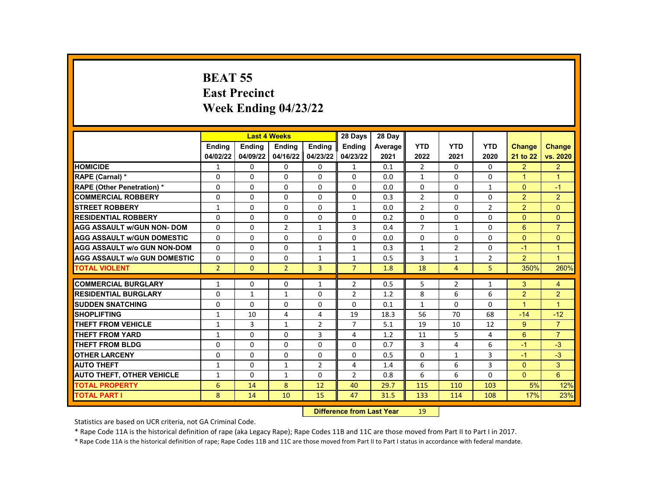# **BEAT 55 East Precinct Week Ending 04/23/22**

|                                     |                                        | <b>Last 4 Weeks</b> |                |                | 28 Days        | 28 Day  |                |                |                |                      |                      |
|-------------------------------------|----------------------------------------|---------------------|----------------|----------------|----------------|---------|----------------|----------------|----------------|----------------------|----------------------|
|                                     | <b>Endina</b>                          | Ending              | Ending         | Ending         | <b>Ending</b>  | Average | <b>YTD</b>     | <b>YTD</b>     | <b>YTD</b>     | <b>Change</b>        | <b>Change</b>        |
|                                     | 04/02/22                               | 04/09/22            | 04/16/22       | 04/23/22       | 04/23/22       | 2021    | 2022           | 2021           | 2020           | 21 to 22             | vs. 2020             |
| <b>HOMICIDE</b>                     | $\mathbf{1}$                           | 0                   | 0              | 0              | $\mathbf{1}$   | 0.1     | $\overline{2}$ | $\Omega$       | $\mathbf{0}$   | $\overline{2}$       | $\overline{2}$       |
| RAPE (Carnal) *                     | 0                                      | $\Omega$            | $\Omega$       | $\Omega$       | $\Omega$       | 0.0     | $\mathbf{1}$   | $\Omega$       | $\Omega$       | $\overline{1}$       | $\overline{1}$       |
| <b>RAPE (Other Penetration) *</b>   | 0                                      | $\Omega$            | $\Omega$       | $\Omega$       | $\Omega$       | 0.0     | $\Omega$       | $\Omega$       | $\mathbf{1}$   | $\Omega$             | $-1$                 |
| <b>COMMERCIAL ROBBERY</b>           | 0                                      | $\Omega$            | 0              | 0              | 0              | 0.3     | $\overline{2}$ | $\Omega$       | $\Omega$       | 2 <sup>1</sup>       | $\overline{2}$       |
| <b>STREET ROBBERY</b>               | $\mathbf{1}$                           | $\Omega$            | $\Omega$       | $\Omega$       | $\mathbf{1}$   | 0.0     | $\overline{2}$ | $\Omega$       | 2              | 2                    | $\Omega$             |
| <b>RESIDENTIAL ROBBERY</b>          | 0                                      | $\Omega$            | $\Omega$       | 0              | 0              | 0.2     | $\Omega$       | $\Omega$       | $\Omega$       | $\Omega$             | $\overline{0}$       |
| <b>AGG ASSAULT w/GUN NON- DOM</b>   | 0                                      | 0                   | $\overline{2}$ | $\mathbf{1}$   | 3              | 0.4     | 7              | 1              | $\Omega$       | 6                    | $\overline{7}$       |
| <b>AGG ASSAULT W/GUN DOMESTIC</b>   | 0                                      | $\Omega$            | $\Omega$       | $\Omega$       | $\Omega$       | 0.0     | $\mathbf{0}$   | $\Omega$       | $\Omega$       | $\Omega$             | $\Omega$             |
| <b>AGG ASSAULT w/o GUN NON-DOM</b>  | 0                                      | $\Omega$            | $\Omega$       | $\mathbf{1}$   | $\mathbf{1}$   | 0.3     | $\mathbf{1}$   | $\overline{2}$ | $\mathbf{0}$   | $-1$                 | $\blacktriangleleft$ |
| <b>AGG ASSAULT w/o GUN DOMESTIC</b> | 0                                      | $\Omega$            | $\Omega$       | $\mathbf{1}$   | $\mathbf{1}$   | 0.5     | 3              | 1              | $\overline{2}$ | 2                    | $\overline{1}$       |
| <b>TOTAL VIOLENT</b>                | $\overline{2}$                         | $\Omega$            | $\overline{2}$ | $\overline{3}$ | $\overline{7}$ | 1.8     | 18             | 4              | 5              | 350%                 | 260%                 |
| <b>COMMERCIAL BURGLARY</b>          | $\mathbf{1}$                           | $\Omega$            | $\Omega$       | $\mathbf{1}$   | $\overline{2}$ | 0.5     | 5              | $\overline{2}$ | $\mathbf{1}$   | 3                    | $\overline{4}$       |
| <b>RESIDENTIAL BURGLARY</b>         | 0                                      | $\mathbf{1}$        | $\mathbf{1}$   | 0              | $\overline{2}$ | 1.2     | 8              | 6              | 6              | $\overline{2}$       | $\overline{2}$       |
| <b>SUDDEN SNATCHING</b>             | 0                                      | $\Omega$            | $\Omega$       | $\Omega$       | $\Omega$       | 0.1     | $\mathbf{1}$   | $\mathbf{0}$   | $\Omega$       | $\blacktriangleleft$ | $\overline{1}$       |
| <b>SHOPLIFTING</b>                  | $\mathbf{1}$                           | 10                  | 4              | 4              | 19             | 18.3    | 56             | 70             | 68             | $-14$                | $-12$                |
| <b>THEFT FROM VEHICLE</b>           | $\mathbf{1}$                           | 3                   | $\mathbf{1}$   | $\overline{2}$ | $\overline{7}$ | 5.1     | 19             | 10             | 12             | 9                    | $\overline{7}$       |
| <b>THEFT FROM YARD</b>              | 1                                      | $\Omega$            | $\Omega$       | 3              | 4              | 1.2     | 11             | 5              | 4              | 6                    | $\overline{7}$       |
| <b>THEFT FROM BLDG</b>              | $\Omega$                               | $\Omega$            | $\Omega$       | $\Omega$       | $\Omega$       | 0.7     | 3              | 4              | 6              | $-1$                 | $-3$                 |
| <b>OTHER LARCENY</b>                | 0                                      | $\Omega$            | $\Omega$       | $\Omega$       | $\Omega$       | 0.5     | $\Omega$       | $\mathbf{1}$   | 3              | $-1$                 | $-3$                 |
| <b>AUTO THEFT</b>                   | $\mathbf{1}$                           | $\Omega$            | $\mathbf{1}$   | $\overline{2}$ | 4              | 1.4     | 6              | 6              | 3              | $\Omega$             | 3                    |
| <b>AUTO THEFT, OTHER VEHICLE</b>    | 1                                      | $\Omega$            | $\mathbf{1}$   | 0              | $\overline{2}$ | 0.8     | 6              | 6              | $\Omega$       | $\mathbf{0}$         | $6^{\circ}$          |
| <b>TOTAL PROPERTY</b>               | 6                                      | 14                  | 8              | 12             | 40             | 29.7    | 115            | 110            | 103            | 5%                   | 12%                  |
| <b>TOTAL PART I</b>                 | 8                                      | 14                  | 10             | 15             | 47             | 31.5    | 133            | 114            | 108            | 17%                  | 23%                  |
|                                     | <b>Difference from Last Year</b><br>19 |                     |                |                |                |         |                |                |                |                      |                      |

Statistics are based on UCR criteria, not GA Criminal Code.

\* Rape Code 11A is the historical definition of rape (aka Legacy Rape); Rape Codes 11B and 11C are those moved from Part II to Part I in 2017.